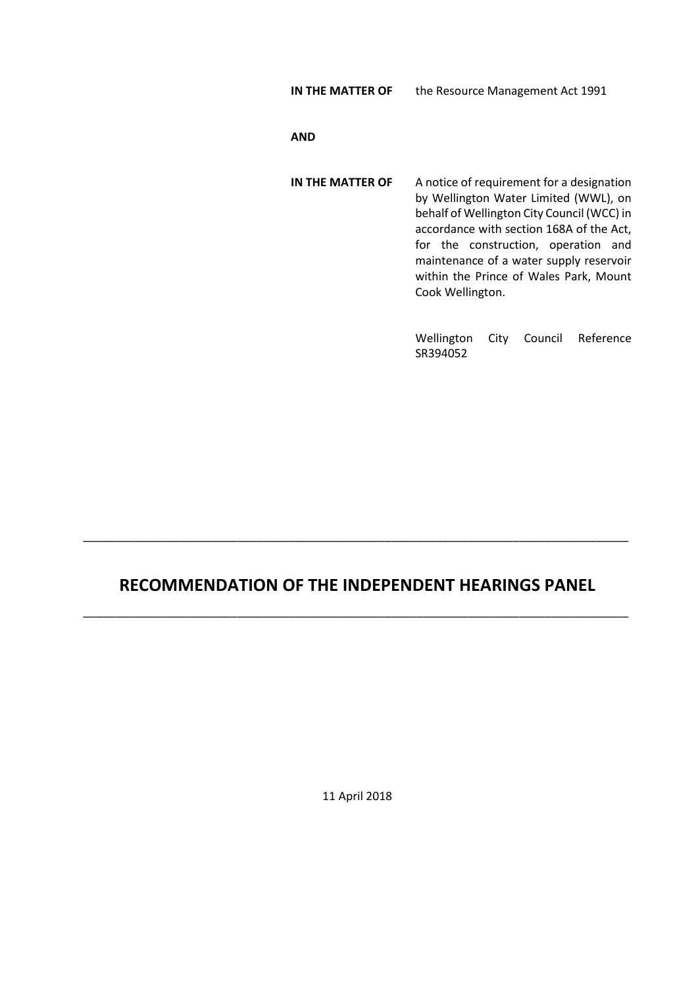**IN THE MATTER OF** the Resource Management Act 1991

#### **AND**

**IN THE MATTER OF** A notice of requirement for a designation by Wellington Water Limited (WWL), on behalf of Wellington City Council (WCC) in accordance with section 168A of the Act, for the construction, operation and maintenance of a water supply reservoir within the Prince of Wales Park, Mount Cook Wellington.

> Wellington City Council Reference SR394052

# **RECOMMENDATION OF THE INDEPENDENT HEARINGS PANEL**

\_\_\_\_\_\_\_\_\_\_\_\_\_\_\_\_\_\_\_\_\_\_\_\_\_\_\_\_\_\_\_\_\_\_\_\_\_\_\_\_\_\_\_\_\_\_\_\_\_\_\_\_\_\_\_\_\_\_\_\_\_\_\_\_\_\_\_\_\_\_\_\_\_\_\_\_\_\_\_\_\_\_\_\_\_

\_\_\_\_\_\_\_\_\_\_\_\_\_\_\_\_\_\_\_\_\_\_\_\_\_\_\_\_\_\_\_\_\_\_\_\_\_\_\_\_\_\_\_\_\_\_\_\_\_\_\_\_\_\_\_\_\_\_\_\_\_\_\_\_\_\_\_\_\_\_\_\_\_\_\_\_\_\_\_\_\_\_\_\_\_

11 April 2018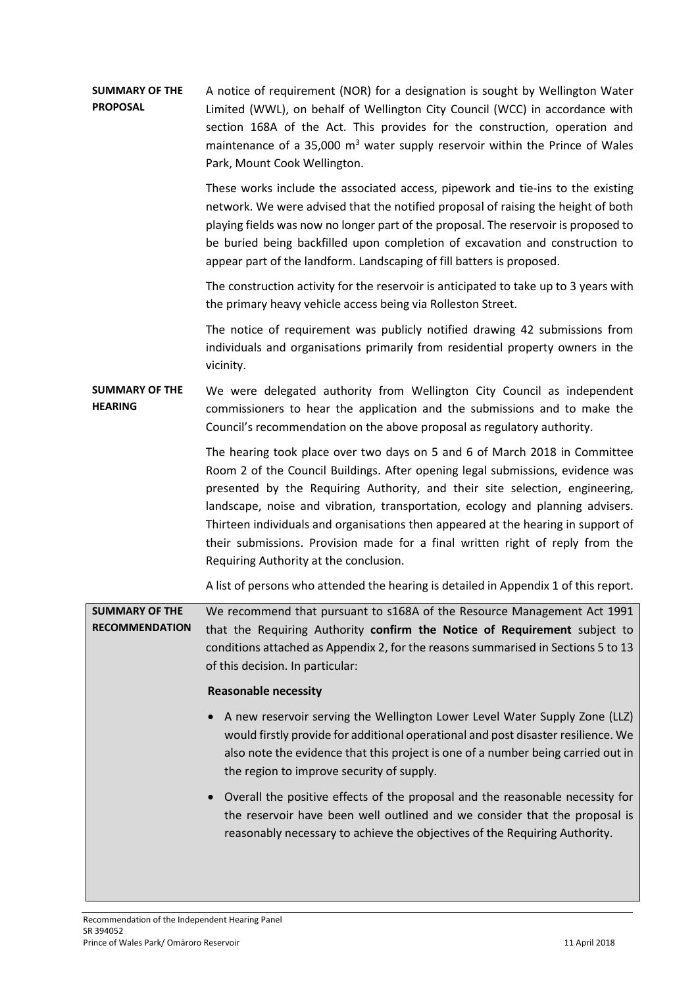#### **SUMMARY OF THE PROPOSAL** A notice of requirement (NOR) for a designation is sought by Wellington Water Limited (WWL), on behalf of Wellington City Council (WCC) in accordance with section 168A of the Act. This provides for the construction, operation and maintenance of a 35,000  $m<sup>3</sup>$  water supply reservoir within the Prince of Wales Park, Mount Cook Wellington.

These works include the associated access, pipework and tie-ins to the existing network. We were advised that the notified proposal of raising the height of both playing fields was now no longer part of the proposal. The reservoir is proposed to be buried being backfilled upon completion of excavation and construction to appear part of the landform. Landscaping of fill batters is proposed.

The construction activity for the reservoir is anticipated to take up to 3 years with the primary heavy vehicle access being via Rolleston Street.

The notice of requirement was publicly notified drawing 42 submissions from individuals and organisations primarily from residential property owners in the vicinity.

#### **SUMMARY OF THE HEARING** We were delegated authority from Wellington City Council as independent commissioners to hear the application and the submissions and to make the Council's recommendation on the above proposal as regulatory authority.

The hearing took place over two days on 5 and 6 of March 2018 in Committee Room 2 of the Council Buildings. After opening legal submissions, evidence was presented by the Requiring Authority, and their site selection, engineering, landscape, noise and vibration, transportation, ecology and planning advisers. Thirteen individuals and organisations then appeared at the hearing in support of their submissions. Provision made for a final written right of reply from the Requiring Authority at the conclusion.

A list of persons who attended the hearing is detailed in Appendix 1 of this report.

**SUMMARY OF THE RECOMMENDATION** We recommend that pursuant to s168A of the Resource Management Act 1991 that the Requiring Authority **confirm the Notice of Requirement** subject to conditions attached as Appendix 2, for the reasons summarised in Sections 5 to 13 of this decision. In particular:

#### **Reasonable necessity**

- A new reservoir serving the Wellington Lower Level Water Supply Zone (LLZ) would firstly provide for additional operational and post disaster resilience. We also note the evidence that this project is one of a number being carried out in the region to improve security of supply.
- Overall the positive effects of the proposal and the reasonable necessity for the reservoir have been well outlined and we consider that the proposal is reasonably necessary to achieve the objectives of the Requiring Authority.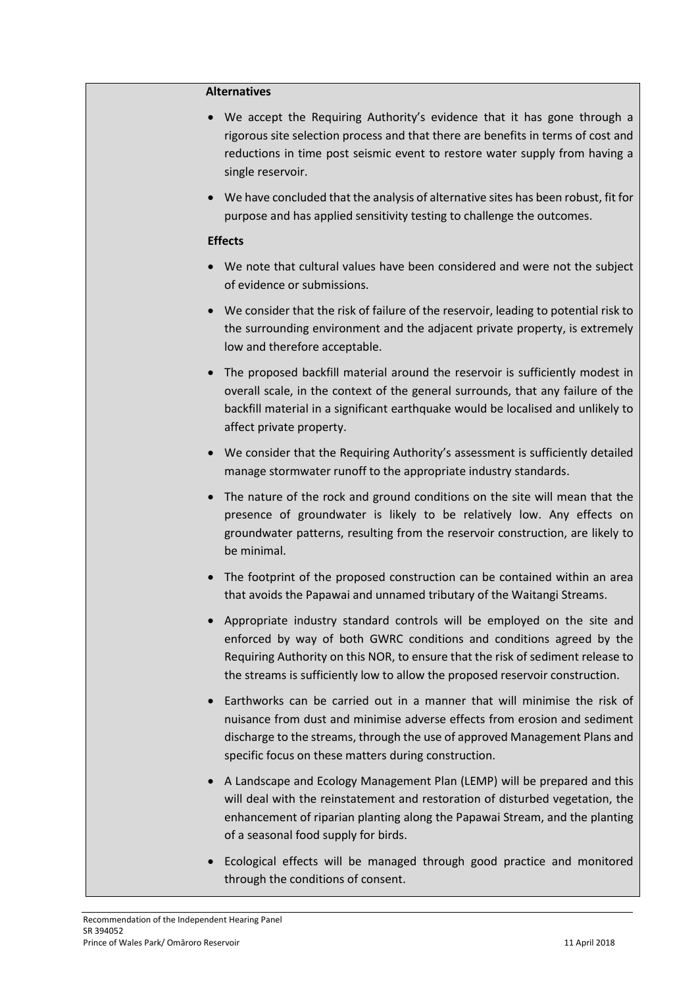#### **Alternatives**

- We accept the Requiring Authority's evidence that it has gone through a rigorous site selection process and that there are benefits in terms of cost and reductions in time post seismic event to restore water supply from having a single reservoir.
- We have concluded that the analysis of alternative sites has been robust, fit for purpose and has applied sensitivity testing to challenge the outcomes.

#### **Effects**

- We note that cultural values have been considered and were not the subject of evidence or submissions.
- We consider that the risk of failure of the reservoir, leading to potential risk to the surrounding environment and the adjacent private property, is extremely low and therefore acceptable.
- The proposed backfill material around the reservoir is sufficiently modest in overall scale, in the context of the general surrounds, that any failure of the backfill material in a significant earthquake would be localised and unlikely to affect private property.
- We consider that the Requiring Authority's assessment is sufficiently detailed manage stormwater runoff to the appropriate industry standards.
- The nature of the rock and ground conditions on the site will mean that the presence of groundwater is likely to be relatively low. Any effects on groundwater patterns, resulting from the reservoir construction, are likely to be minimal.
- The footprint of the proposed construction can be contained within an area that avoids the Papawai and unnamed tributary of the Waitangi Streams.
- Appropriate industry standard controls will be employed on the site and enforced by way of both GWRC conditions and conditions agreed by the Requiring Authority on this NOR, to ensure that the risk of sediment release to the streams is sufficiently low to allow the proposed reservoir construction.
- Earthworks can be carried out in a manner that will minimise the risk of nuisance from dust and minimise adverse effects from erosion and sediment discharge to the streams, through the use of approved Management Plans and specific focus on these matters during construction.
- A Landscape and Ecology Management Plan (LEMP) will be prepared and this will deal with the reinstatement and restoration of disturbed vegetation, the enhancement of riparian planting along the Papawai Stream, and the planting of a seasonal food supply for birds.
- Ecological effects will be managed through good practice and monitored through the conditions of consent.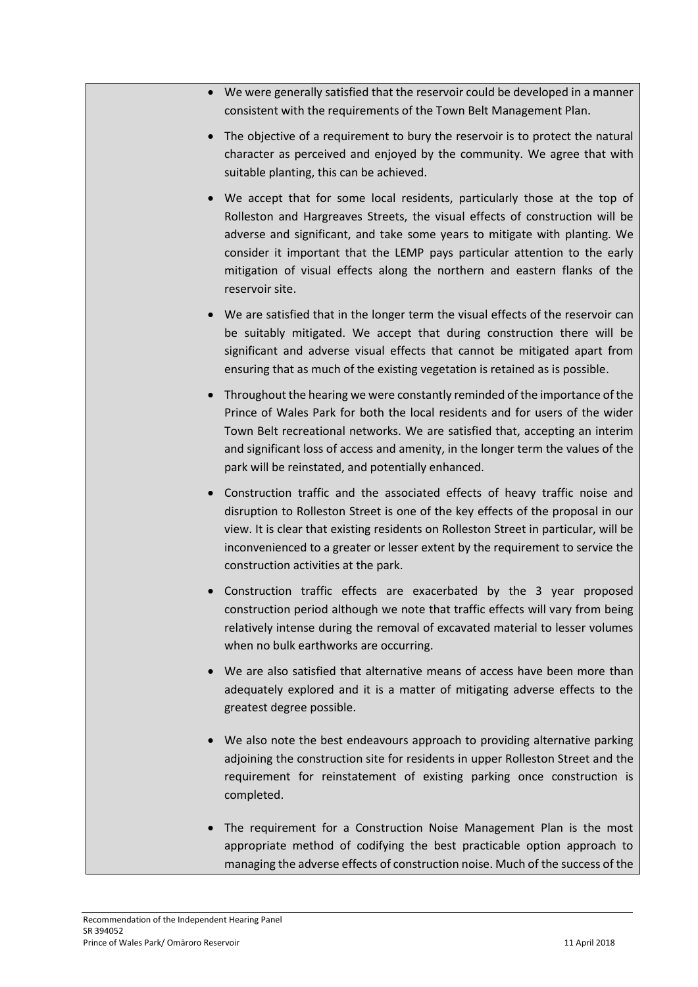- We were generally satisfied that the reservoir could be developed in a manner consistent with the requirements of the Town Belt Management Plan.
- The objective of a requirement to bury the reservoir is to protect the natural character as perceived and enjoyed by the community. We agree that with suitable planting, this can be achieved.
- We accept that for some local residents, particularly those at the top of Rolleston and Hargreaves Streets, the visual effects of construction will be adverse and significant, and take some years to mitigate with planting. We consider it important that the LEMP pays particular attention to the early mitigation of visual effects along the northern and eastern flanks of the reservoir site.
- We are satisfied that in the longer term the visual effects of the reservoir can be suitably mitigated. We accept that during construction there will be significant and adverse visual effects that cannot be mitigated apart from ensuring that as much of the existing vegetation is retained as is possible.
- Throughout the hearing we were constantly reminded of the importance of the Prince of Wales Park for both the local residents and for users of the wider Town Belt recreational networks. We are satisfied that, accepting an interim and significant loss of access and amenity, in the longer term the values of the park will be reinstated, and potentially enhanced.
- Construction traffic and the associated effects of heavy traffic noise and disruption to Rolleston Street is one of the key effects of the proposal in our view. It is clear that existing residents on Rolleston Street in particular, will be inconvenienced to a greater or lesser extent by the requirement to service the construction activities at the park.
- Construction traffic effects are exacerbated by the 3 year proposed construction period although we note that traffic effects will vary from being relatively intense during the removal of excavated material to lesser volumes when no bulk earthworks are occurring.
- We are also satisfied that alternative means of access have been more than adequately explored and it is a matter of mitigating adverse effects to the greatest degree possible.
- We also note the best endeavours approach to providing alternative parking adjoining the construction site for residents in upper Rolleston Street and the requirement for reinstatement of existing parking once construction is completed.
- The requirement for a Construction Noise Management Plan is the most appropriate method of codifying the best practicable option approach to managing the adverse effects of construction noise. Much of the success of the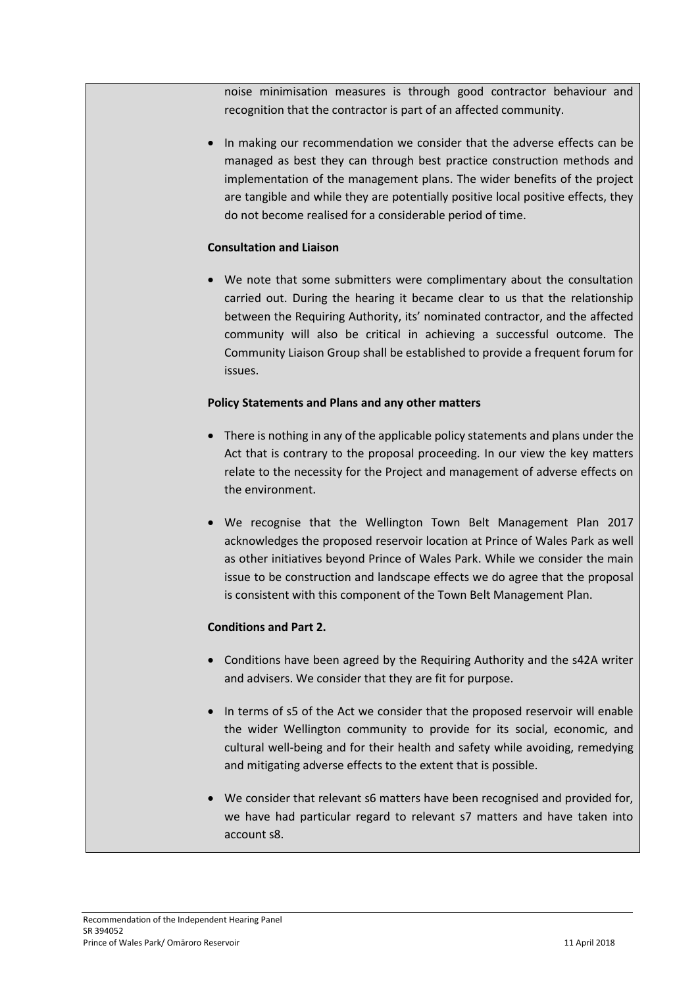noise minimisation measures is through good contractor behaviour and recognition that the contractor is part of an affected community.

• In making our recommendation we consider that the adverse effects can be managed as best they can through best practice construction methods and implementation of the management plans. The wider benefits of the project are tangible and while they are potentially positive local positive effects, they do not become realised for a considerable period of time.

#### **Consultation and Liaison**

 We note that some submitters were complimentary about the consultation carried out. During the hearing it became clear to us that the relationship between the Requiring Authority, its' nominated contractor, and the affected community will also be critical in achieving a successful outcome. The Community Liaison Group shall be established to provide a frequent forum for issues.

#### **Policy Statements and Plans and any other matters**

- There is nothing in any of the applicable policy statements and plans under the Act that is contrary to the proposal proceeding. In our view the key matters relate to the necessity for the Project and management of adverse effects on the environment.
- We recognise that the Wellington Town Belt Management Plan 2017 acknowledges the proposed reservoir location at Prince of Wales Park as well as other initiatives beyond Prince of Wales Park. While we consider the main issue to be construction and landscape effects we do agree that the proposal is consistent with this component of the Town Belt Management Plan.

### **Conditions and Part 2.**

- Conditions have been agreed by the Requiring Authority and the s42A writer and advisers. We consider that they are fit for purpose.
- In terms of s5 of the Act we consider that the proposed reservoir will enable the wider Wellington community to provide for its social, economic, and cultural well-being and for their health and safety while avoiding, remedying and mitigating adverse effects to the extent that is possible.
- We consider that relevant s6 matters have been recognised and provided for, we have had particular regard to relevant s7 matters and have taken into account s8.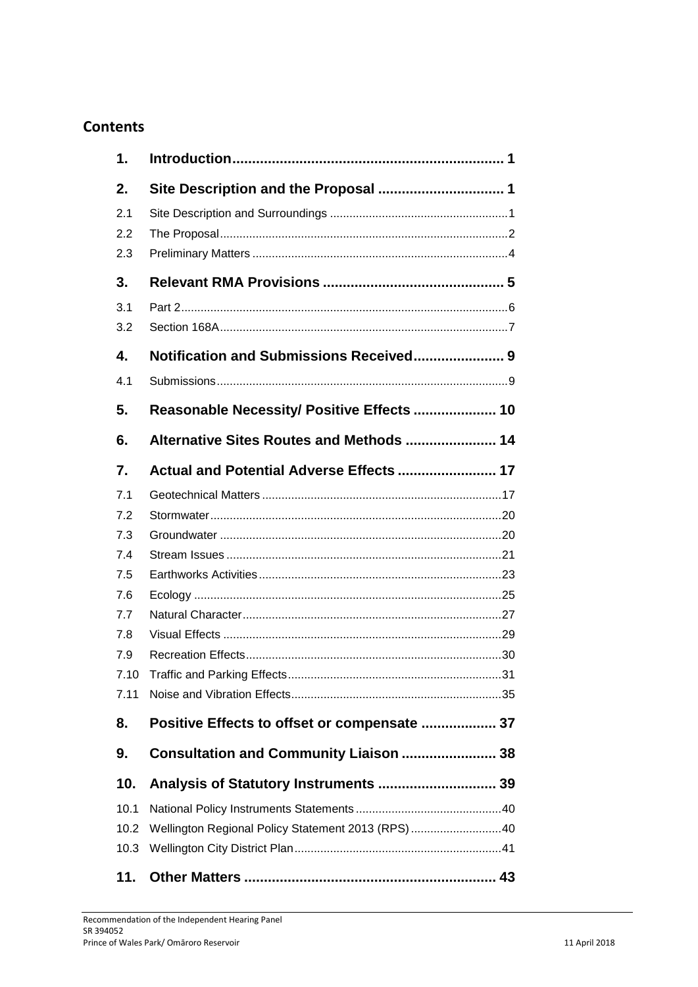# **Contents**

| 1.   |                                                   |
|------|---------------------------------------------------|
| 2.   |                                                   |
| 2.1  |                                                   |
| 2.2  |                                                   |
| 2.3  |                                                   |
| 3.   |                                                   |
| 3.1  |                                                   |
| 3.2  |                                                   |
| 4.   |                                                   |
| 4.1  |                                                   |
| 5.   | Reasonable Necessity/ Positive Effects  10        |
| 6.   | Alternative Sites Routes and Methods  14          |
| 7.   | Actual and Potential Adverse Effects  17          |
| 7.1  |                                                   |
| 7.2  |                                                   |
| 7.3  |                                                   |
| 7.4  |                                                   |
| 7.5  |                                                   |
| 7.6  |                                                   |
| 7.7  |                                                   |
| 7.8  |                                                   |
| 7.9  |                                                   |
| 7.10 | 31                                                |
| 7.11 |                                                   |
| 8.   | Positive Effects to offset or compensate  37      |
| 9.   | Consultation and Community Liaison  38            |
| 10.  |                                                   |
| 10.1 |                                                   |
| 10.2 | Wellington Regional Policy Statement 2013 (RPS)40 |
| 10.3 |                                                   |
| 11.  |                                                   |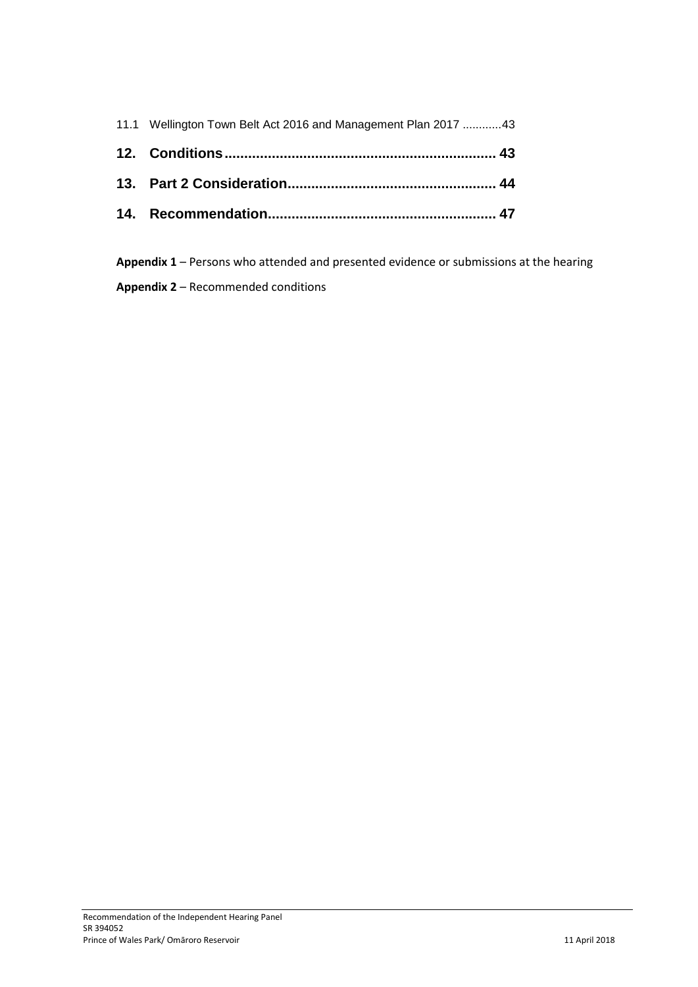| 11.1 Wellington Town Belt Act 2016 and Management Plan 2017  43 |
|-----------------------------------------------------------------|
|                                                                 |
|                                                                 |
|                                                                 |

**Appendix 1** – Persons who attended and presented evidence or submissions at the hearing **Appendix 2** – Recommended conditions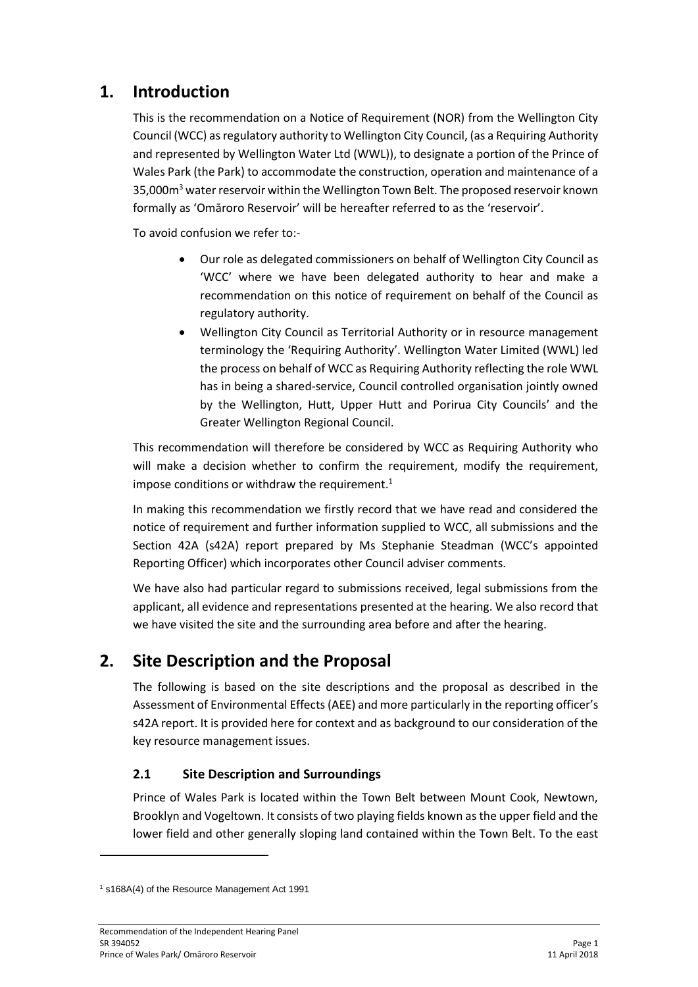# **1. Introduction**

This is the recommendation on a Notice of Requirement (NOR) from the Wellington City Council (WCC) as regulatory authority to Wellington City Council, (as a Requiring Authority and represented by Wellington Water Ltd (WWL)), to designate a portion of the Prince of Wales Park (the Park) to accommodate the construction, operation and maintenance of a 35,000m<sup>3</sup> water reservoir within the Wellington Town Belt. The proposed reservoir known formally as 'Omāroro Reservoir' will be hereafter referred to as the 'reservoir'.

To avoid confusion we refer to:-

- Our role as delegated commissioners on behalf of Wellington City Council as 'WCC' where we have been delegated authority to hear and make a recommendation on this notice of requirement on behalf of the Council as regulatory authority.
- Wellington City Council as Territorial Authority or in resource management terminology the 'Requiring Authority'. Wellington Water Limited (WWL) led the process on behalf of WCC as Requiring Authority reflecting the role WWL has in being a shared-service, Council controlled organisation jointly owned by the Wellington, Hutt, Upper Hutt and Porirua City Councils' and the Greater Wellington Regional Council.

This recommendation will therefore be considered by WCC as Requiring Authority who will make a decision whether to confirm the requirement, modify the requirement, impose conditions or withdraw the requirement. $1$ 

In making this recommendation we firstly record that we have read and considered the notice of requirement and further information supplied to WCC, all submissions and the Section 42A (s42A) report prepared by Ms Stephanie Steadman (WCC's appointed Reporting Officer) which incorporates other Council adviser comments.

We have also had particular regard to submissions received, legal submissions from the applicant, all evidence and representations presented at the hearing. We also record that we have visited the site and the surrounding area before and after the hearing.

# **2. Site Description and the Proposal**

The following is based on the site descriptions and the proposal as described in the Assessment of Environmental Effects (AEE) and more particularly in the reporting officer's s42A report. It is provided here for context and as background to our consideration of the key resource management issues.

# **2.1 Site Description and Surroundings**

Prince of Wales Park is located within the Town Belt between Mount Cook, Newtown, Brooklyn and Vogeltown. It consists of two playing fields known as the upper field and the lower field and other generally sloping land contained within the Town Belt. To the east

<sup>1</sup> s168A(4) of the Resource Management Act 1991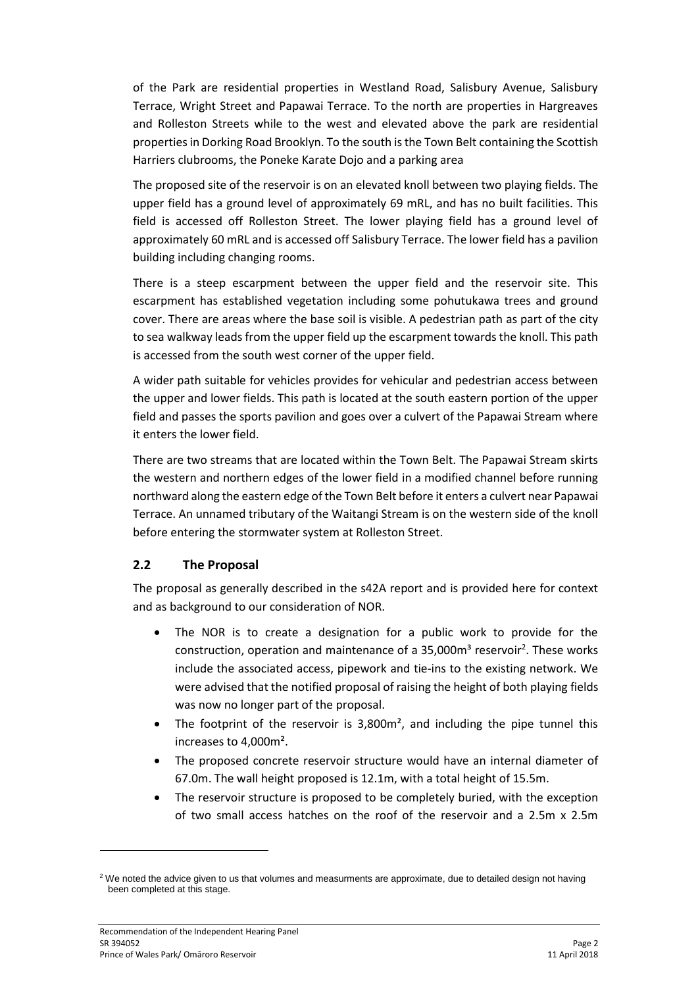of the Park are residential properties in Westland Road, Salisbury Avenue, Salisbury Terrace, Wright Street and Papawai Terrace. To the north are properties in Hargreaves and Rolleston Streets while to the west and elevated above the park are residential properties in Dorking Road Brooklyn. To the south is the Town Belt containing the Scottish Harriers clubrooms, the Poneke Karate Dojo and a parking area

The proposed site of the reservoir is on an elevated knoll between two playing fields. The upper field has a ground level of approximately 69 mRL, and has no built facilities. This field is accessed off Rolleston Street. The lower playing field has a ground level of approximately 60 mRL and is accessed off Salisbury Terrace. The lower field has a pavilion building including changing rooms.

There is a steep escarpment between the upper field and the reservoir site. This escarpment has established vegetation including some pohutukawa trees and ground cover. There are areas where the base soil is visible. A pedestrian path as part of the city to sea walkway leads from the upper field up the escarpment towards the knoll. This path is accessed from the south west corner of the upper field.

A wider path suitable for vehicles provides for vehicular and pedestrian access between the upper and lower fields. This path is located at the south eastern portion of the upper field and passes the sports pavilion and goes over a culvert of the Papawai Stream where it enters the lower field.

There are two streams that are located within the Town Belt. The Papawai Stream skirts the western and northern edges of the lower field in a modified channel before running northward along the eastern edge of the Town Belt before it enters a culvert near Papawai Terrace. An unnamed tributary of the Waitangi Stream is on the western side of the knoll before entering the stormwater system at Rolleston Street.

### **2.2 The Proposal**

The proposal as generally described in the s42A report and is provided here for context and as background to our consideration of NOR.

- The NOR is to create a designation for a public work to provide for the construction, operation and maintenance of a 35,000m<sup>3</sup> reservoir<sup>2</sup>. These works include the associated access, pipework and tie-ins to the existing network. We were advised that the notified proposal of raising the height of both playing fields was now no longer part of the proposal.
- The footprint of the reservoir is  $3,800$  m<sup>2</sup>, and including the pipe tunnel this increases to 4,000m².
- The proposed concrete reservoir structure would have an internal diameter of 67.0m. The wall height proposed is 12.1m, with a total height of 15.5m.
- The reservoir structure is proposed to be completely buried, with the exception of two small access hatches on the roof of the reservoir and a 2.5m x 2.5m

1

<sup>&</sup>lt;sup>2</sup> We noted the advice given to us that volumes and measurments are approximate, due to detailed design not having been completed at this stage.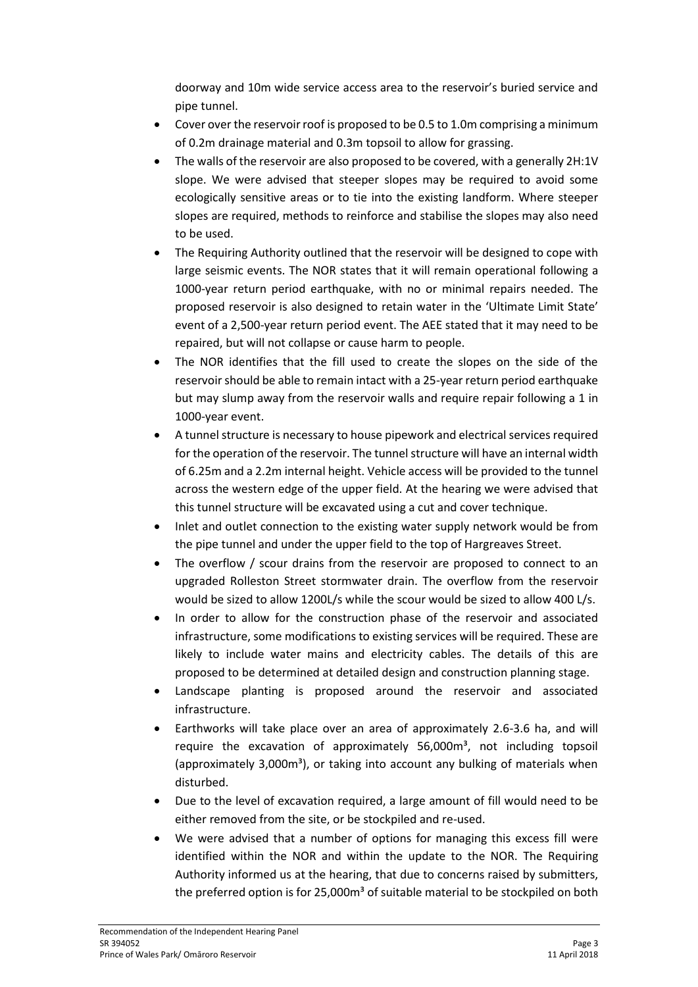doorway and 10m wide service access area to the reservoir's buried service and pipe tunnel.

- Cover over the reservoir roof is proposed to be 0.5 to 1.0m comprising a minimum of 0.2m drainage material and 0.3m topsoil to allow for grassing.
- The walls of the reservoir are also proposed to be covered, with a generally 2H:1V slope. We were advised that steeper slopes may be required to avoid some ecologically sensitive areas or to tie into the existing landform. Where steeper slopes are required, methods to reinforce and stabilise the slopes may also need to be used.
- The Requiring Authority outlined that the reservoir will be designed to cope with large seismic events. The NOR states that it will remain operational following a 1000-year return period earthquake, with no or minimal repairs needed. The proposed reservoir is also designed to retain water in the 'Ultimate Limit State' event of a 2,500-year return period event. The AEE stated that it may need to be repaired, but will not collapse or cause harm to people.
- The NOR identifies that the fill used to create the slopes on the side of the reservoir should be able to remain intact with a 25-year return period earthquake but may slump away from the reservoir walls and require repair following a 1 in 1000-year event.
- A tunnel structure is necessary to house pipework and electrical services required for the operation of the reservoir. The tunnel structure will have an internal width of 6.25m and a 2.2m internal height. Vehicle access will be provided to the tunnel across the western edge of the upper field. At the hearing we were advised that this tunnel structure will be excavated using a cut and cover technique.
- Inlet and outlet connection to the existing water supply network would be from the pipe tunnel and under the upper field to the top of Hargreaves Street.
- The overflow / scour drains from the reservoir are proposed to connect to an upgraded Rolleston Street stormwater drain. The overflow from the reservoir would be sized to allow 1200L/s while the scour would be sized to allow 400 L/s.
- In order to allow for the construction phase of the reservoir and associated infrastructure, some modifications to existing services will be required. These are likely to include water mains and electricity cables. The details of this are proposed to be determined at detailed design and construction planning stage.
- Landscape planting is proposed around the reservoir and associated infrastructure.
- Earthworks will take place over an area of approximately 2.6-3.6 ha, and will require the excavation of approximately  $56,000m^3$ , not including topsoil (approximately  $3,000m<sup>3</sup>$ ), or taking into account any bulking of materials when disturbed.
- Due to the level of excavation required, a large amount of fill would need to be either removed from the site, or be stockpiled and re-used.
- We were advised that a number of options for managing this excess fill were identified within the NOR and within the update to the NOR. The Requiring Authority informed us at the hearing, that due to concerns raised by submitters, the preferred option is for 25,000m<sup>3</sup> of suitable material to be stockpiled on both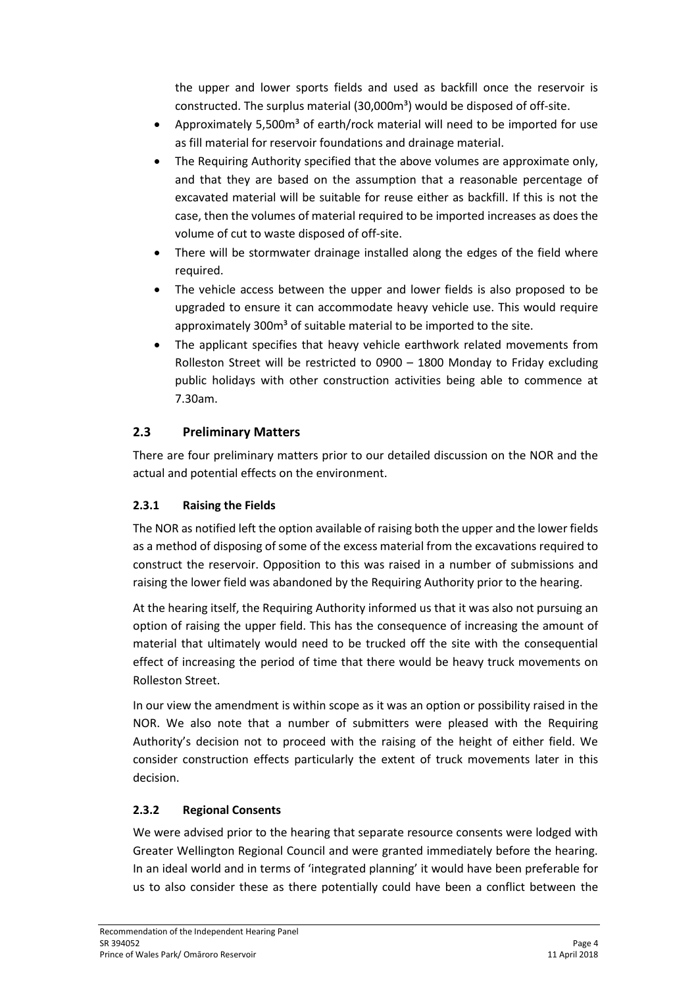the upper and lower sports fields and used as backfill once the reservoir is constructed. The surplus material (30,000m<sup>3</sup>) would be disposed of off-site.

- Approximately 5,500m<sup>3</sup> of earth/rock material will need to be imported for use as fill material for reservoir foundations and drainage material.
- The Requiring Authority specified that the above volumes are approximate only, and that they are based on the assumption that a reasonable percentage of excavated material will be suitable for reuse either as backfill. If this is not the case, then the volumes of material required to be imported increases as does the volume of cut to waste disposed of off-site.
- There will be stormwater drainage installed along the edges of the field where required.
- The vehicle access between the upper and lower fields is also proposed to be upgraded to ensure it can accommodate heavy vehicle use. This would require approximately 300m<sup>3</sup> of suitable material to be imported to the site.
- The applicant specifies that heavy vehicle earthwork related movements from Rolleston Street will be restricted to 0900 – 1800 Monday to Friday excluding public holidays with other construction activities being able to commence at 7.30am.

# **2.3 Preliminary Matters**

There are four preliminary matters prior to our detailed discussion on the NOR and the actual and potential effects on the environment.

# **2.3.1 Raising the Fields**

The NOR as notified left the option available of raising both the upper and the lower fields as a method of disposing of some of the excess material from the excavations required to construct the reservoir. Opposition to this was raised in a number of submissions and raising the lower field was abandoned by the Requiring Authority prior to the hearing.

At the hearing itself, the Requiring Authority informed us that it was also not pursuing an option of raising the upper field. This has the consequence of increasing the amount of material that ultimately would need to be trucked off the site with the consequential effect of increasing the period of time that there would be heavy truck movements on Rolleston Street.

In our view the amendment is within scope as it was an option or possibility raised in the NOR. We also note that a number of submitters were pleased with the Requiring Authority's decision not to proceed with the raising of the height of either field. We consider construction effects particularly the extent of truck movements later in this decision.

# **2.3.2 Regional Consents**

We were advised prior to the hearing that separate resource consents were lodged with Greater Wellington Regional Council and were granted immediately before the hearing. In an ideal world and in terms of 'integrated planning' it would have been preferable for us to also consider these as there potentially could have been a conflict between the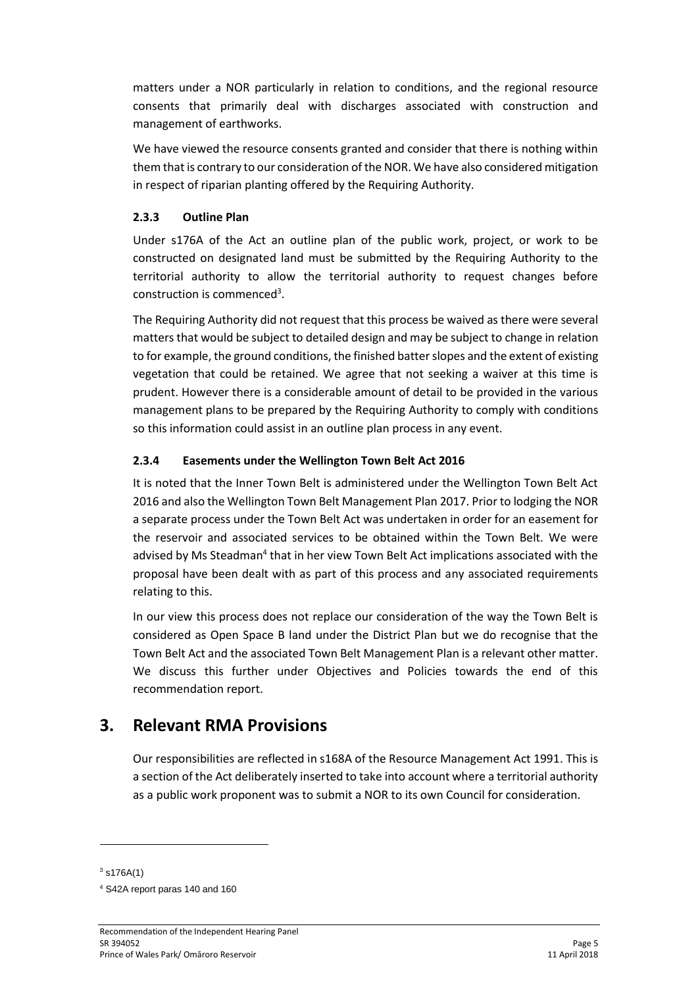matters under a NOR particularly in relation to conditions, and the regional resource consents that primarily deal with discharges associated with construction and management of earthworks.

We have viewed the resource consents granted and consider that there is nothing within them that is contrary to our consideration of the NOR. We have also considered mitigation in respect of riparian planting offered by the Requiring Authority.

### **2.3.3 Outline Plan**

Under s176A of the Act an outline plan of the public work, project, or work to be constructed on designated land must be submitted by the Requiring Authority to the territorial authority to allow the territorial authority to request changes before construction is commenced<sup>3</sup>.

The Requiring Authority did not request that this process be waived as there were several matters that would be subject to detailed design and may be subject to change in relation to for example, the ground conditions, the finished batter slopes and the extent of existing vegetation that could be retained. We agree that not seeking a waiver at this time is prudent. However there is a considerable amount of detail to be provided in the various management plans to be prepared by the Requiring Authority to comply with conditions so this information could assist in an outline plan process in any event.

### **2.3.4 Easements under the Wellington Town Belt Act 2016**

It is noted that the Inner Town Belt is administered under the Wellington Town Belt Act 2016 and also the Wellington Town Belt Management Plan 2017. Prior to lodging the NOR a separate process under the Town Belt Act was undertaken in order for an easement for the reservoir and associated services to be obtained within the Town Belt. We were advised by Ms Steadman<sup>4</sup> that in her view Town Belt Act implications associated with the proposal have been dealt with as part of this process and any associated requirements relating to this.

In our view this process does not replace our consideration of the way the Town Belt is considered as Open Space B land under the District Plan but we do recognise that the Town Belt Act and the associated Town Belt Management Plan is a relevant other matter. We discuss this further under Objectives and Policies towards the end of this recommendation report.

# **3. Relevant RMA Provisions**

Our responsibilities are reflected in s168A of the Resource Management Act 1991. This is a section of the Act deliberately inserted to take into account where a territorial authority as a public work proponent was to submit a NOR to its own Council for consideration.

 $3 \text{ s176A(1)}$ 

**.** 

<sup>4</sup> S42A report paras 140 and 160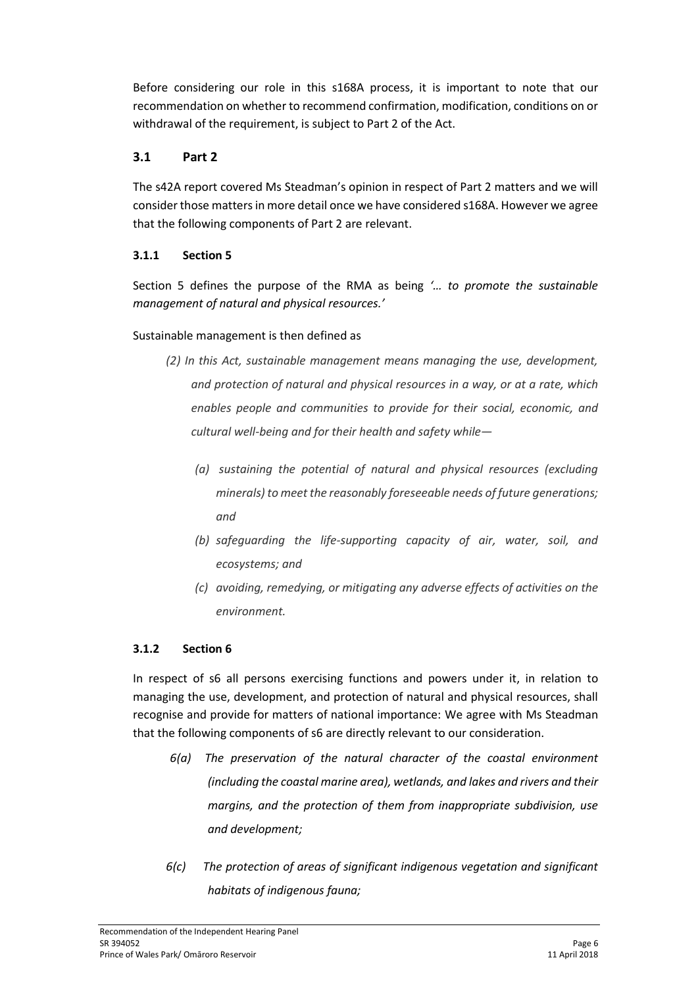Before considering our role in this s168A process, it is important to note that our recommendation on whether to recommend confirmation, modification, conditions on or withdrawal of the requirement, is subject to Part 2 of the Act.

## **3.1 Part 2**

The s42A report covered Ms Steadman's opinion in respect of Part 2 matters and we will consider those matters in more detail once we have considered s168A. However we agree that the following components of Part 2 are relevant.

### **3.1.1 Section 5**

Section 5 defines the purpose of the RMA as being *'… to promote the sustainable management of natural and physical resources.'* 

### Sustainable management is then defined as

- *(2) In this Act, sustainable management means managing the use, development, and protection of natural and physical resources in a way, or at a rate, which enables people and communities to provide for their social, economic, and cultural well-being and for their health and safety while—*
	- *(a) sustaining the potential of natural and physical resources (excluding minerals) to meet the reasonably foreseeable needs of future generations; and*
	- *(b) safeguarding the life-supporting capacity of air, water, soil, and ecosystems; and*
	- *(c) avoiding, remedying, or mitigating any adverse effects of activities on the environment.*

### **3.1.2 Section 6**

In respect of s6 all persons exercising functions and powers under it, in relation to managing the use, development, and protection of natural and physical resources, shall recognise and provide for matters of national importance: We agree with Ms Steadman that the following components of s6 are directly relevant to our consideration.

- *6(a) The preservation of the natural character of the coastal environment (including the coastal marine area), wetlands, and lakes and rivers and their margins, and the protection of them from inappropriate subdivision, use and development;*
- *6(c) The protection of areas of significant indigenous vegetation and significant habitats of indigenous fauna;*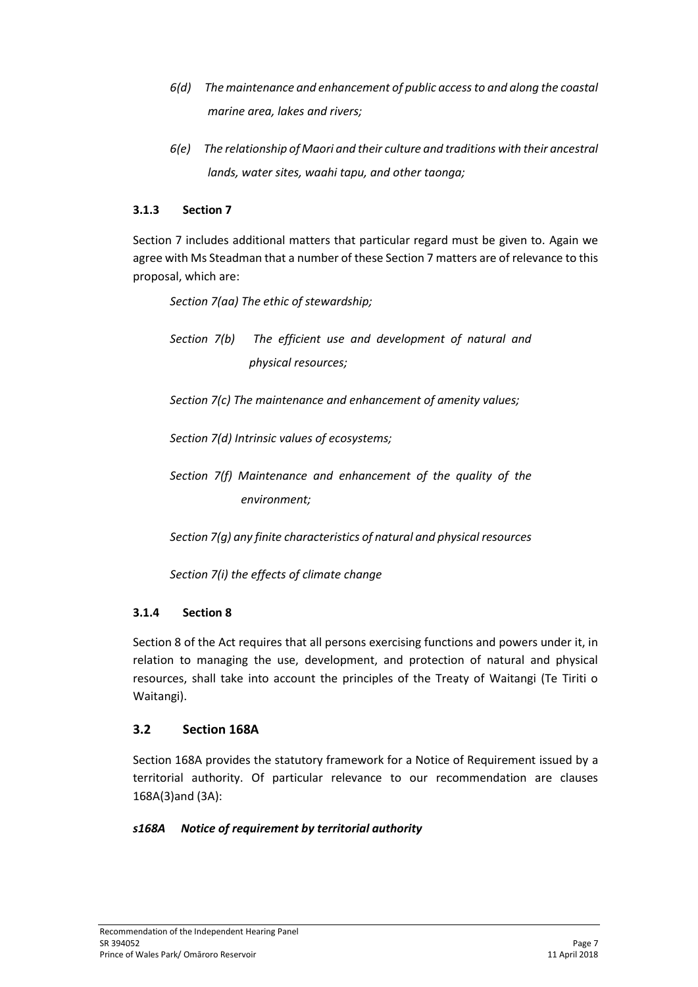- *6(d) The maintenance and enhancement of public access to and along the coastal marine area, lakes and rivers;*
- *6(e) The relationship of Maori and their culture and traditions with their ancestral lands, water sites, waahi tapu, and other taonga;*

### **3.1.3 Section 7**

Section 7 includes additional matters that particular regard must be given to. Again we agree with Ms Steadman that a number of these Section 7 matters are of relevance to this proposal, which are:

*Section 7(aa) The ethic of stewardship;*

*Section 7(b) The efficient use and development of natural and physical resources;*

*Section 7(c) The maintenance and enhancement of amenity values;*

*Section 7(d) Intrinsic values of ecosystems;*

*Section 7(f) Maintenance and enhancement of the quality of the environment;*

*Section 7(g) any finite characteristics of natural and physical resources*

*Section 7(i) the effects of climate change*

### **3.1.4 Section 8**

Section 8 of the Act requires that all persons exercising functions and powers under it, in relation to managing the use, development, and protection of natural and physical resources, shall take into account the principles of the Treaty of Waitangi (Te Tiriti o Waitangi).

# **3.2 Section 168A**

Section 168A provides the statutory framework for a Notice of Requirement issued by a territorial authority. Of particular relevance to our recommendation are clauses 168A(3)and (3A):

### *s168A Notice of requirement by territorial authority*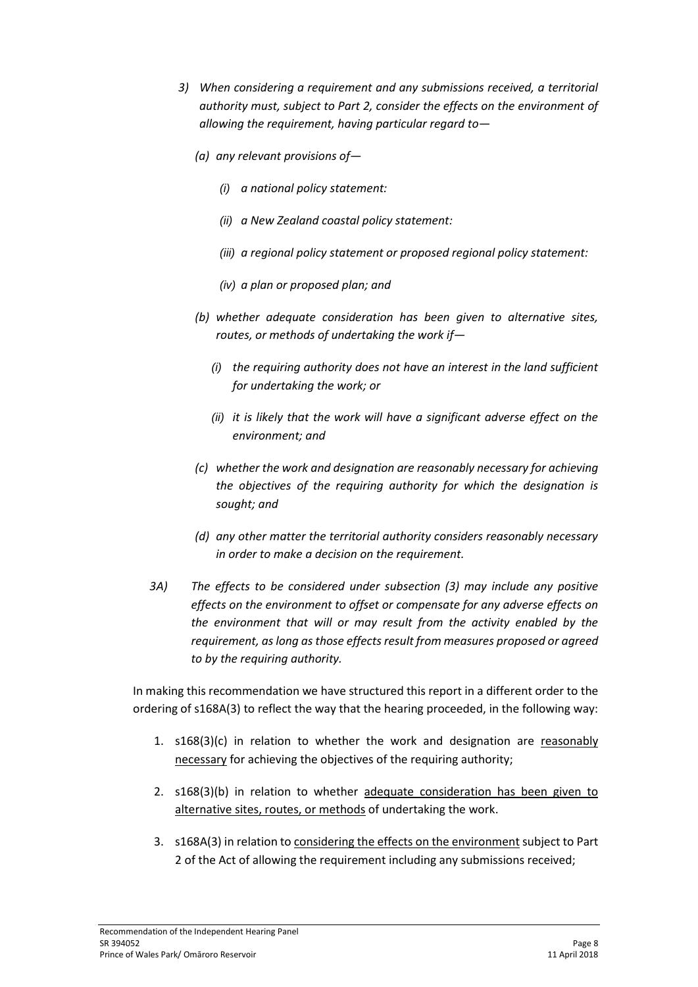- *3) When considering a requirement and any submissions received, a territorial authority must, subject to Part 2, consider the effects on the environment of allowing the requirement, having particular regard to—*
	- *(a) any relevant provisions of—*
		- *(i) a national policy statement:*
		- *(ii) a New Zealand coastal policy statement:*
		- *(iii) a regional policy statement or proposed regional policy statement:*
		- *(iv) a plan or proposed plan; and*
	- *(b) whether adequate consideration has been given to alternative sites, routes, or methods of undertaking the work if—*
		- *(i) the requiring authority does not have an interest in the land sufficient for undertaking the work; or*
		- *(ii) it is likely that the work will have a significant adverse effect on the environment; and*
	- *(c) whether the work and designation are reasonably necessary for achieving the objectives of the requiring authority for which the designation is sought; and*
	- *(d) any other matter the territorial authority considers reasonably necessary in order to make a decision on the requirement.*
- *3A) The effects to be considered under subsection (3) may include any positive effects on the environment to offset or compensate for any adverse effects on the environment that will or may result from the activity enabled by the requirement, as long as those effects result from measures proposed or agreed to by the requiring authority.*

In making this recommendation we have structured this report in a different order to the ordering of s168A(3) to reflect the way that the hearing proceeded, in the following way:

- 1.  $s168(3)(c)$  in relation to whether the work and designation are reasonably necessary for achieving the objectives of the requiring authority;
- 2. s168(3)(b) in relation to whether adequate consideration has been given to alternative sites, routes, or methods of undertaking the work.
- 3. s168A(3) in relation to considering the effects on the environment subject to Part 2 of the Act of allowing the requirement including any submissions received;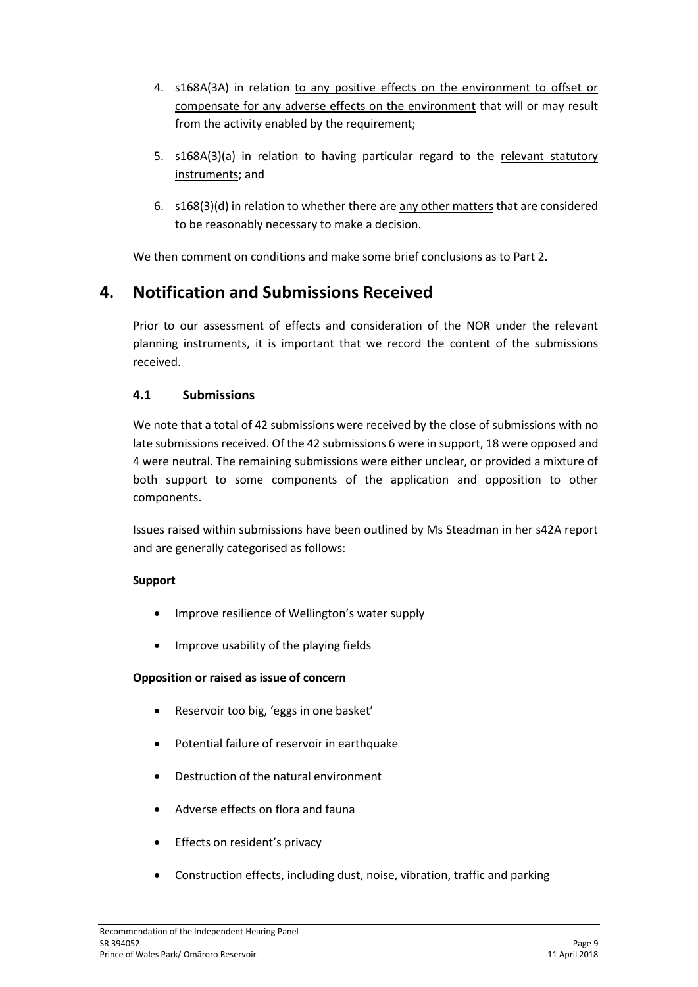- 4. s168A(3A) in relation to any positive effects on the environment to offset or compensate for any adverse effects on the environment that will or may result from the activity enabled by the requirement;
- 5. s168A(3)(a) in relation to having particular regard to the relevant statutory instruments; and
- 6. s168(3)(d) in relation to whether there are any other matters that are considered to be reasonably necessary to make a decision.

We then comment on conditions and make some brief conclusions as to Part 2.

# **4. Notification and Submissions Received**

Prior to our assessment of effects and consideration of the NOR under the relevant planning instruments, it is important that we record the content of the submissions received.

### **4.1 Submissions**

We note that a total of 42 submissions were received by the close of submissions with no late submissions received. Of the 42 submissions 6 were in support, 18 were opposed and 4 were neutral. The remaining submissions were either unclear, or provided a mixture of both support to some components of the application and opposition to other components.

Issues raised within submissions have been outlined by Ms Steadman in her s42A report and are generally categorised as follows:

### **Support**

- Improve resilience of Wellington's water supply
- Improve usability of the playing fields

### **Opposition or raised as issue of concern**

- Reservoir too big, 'eggs in one basket'
- Potential failure of reservoir in earthquake
- Destruction of the natural environment
- Adverse effects on flora and fauna
- **•** Effects on resident's privacy
- Construction effects, including dust, noise, vibration, traffic and parking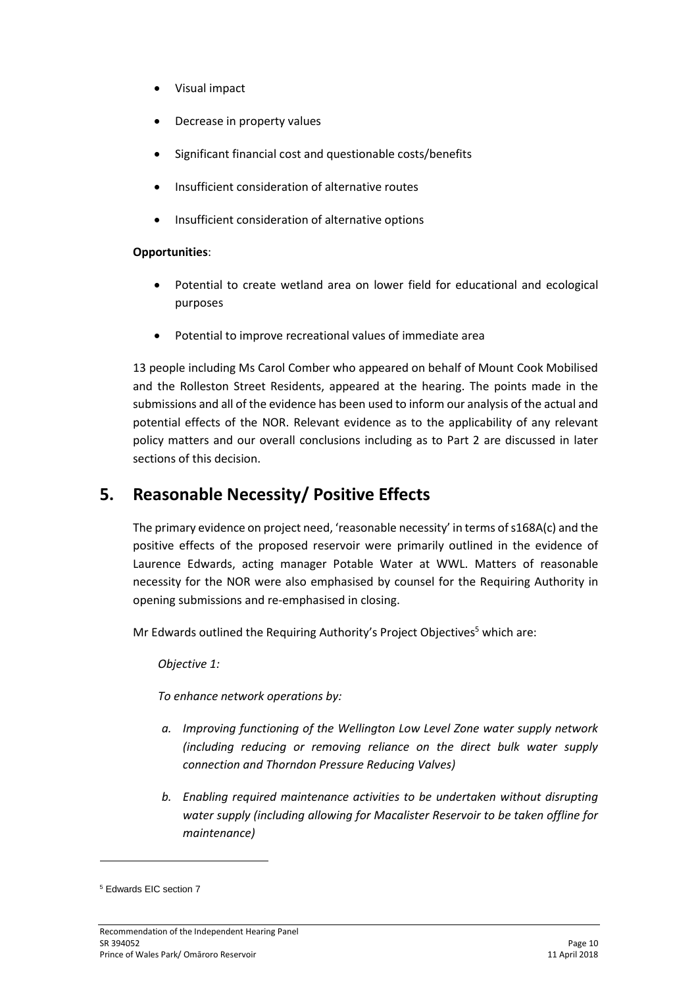- Visual impact
- Decrease in property values
- Significant financial cost and questionable costs/benefits
- Insufficient consideration of alternative routes
- Insufficient consideration of alternative options

#### **Opportunities**:

- Potential to create wetland area on lower field for educational and ecological purposes
- Potential to improve recreational values of immediate area

13 people including Ms Carol Comber who appeared on behalf of Mount Cook Mobilised and the Rolleston Street Residents, appeared at the hearing. The points made in the submissions and all of the evidence has been used to inform our analysis of the actual and potential effects of the NOR. Relevant evidence as to the applicability of any relevant policy matters and our overall conclusions including as to Part 2 are discussed in later sections of this decision.

# **5. Reasonable Necessity/ Positive Effects**

The primary evidence on project need, 'reasonable necessity' in terms of s168A(c) and the positive effects of the proposed reservoir were primarily outlined in the evidence of Laurence Edwards, acting manager Potable Water at WWL. Matters of reasonable necessity for the NOR were also emphasised by counsel for the Requiring Authority in opening submissions and re-emphasised in closing.

Mr Edwards outlined the Requiring Authority's Project Objectives<sup>5</sup> which are:

*Objective 1:*

*To enhance network operations by:*

- *a. Improving functioning of the Wellington Low Level Zone water supply network (including reducing or removing reliance on the direct bulk water supply connection and Thorndon Pressure Reducing Valves)*
- *b. Enabling required maintenance activities to be undertaken without disrupting water supply (including allowing for Macalister Reservoir to be taken offline for maintenance)*

<sup>5</sup> Edwards EIC section 7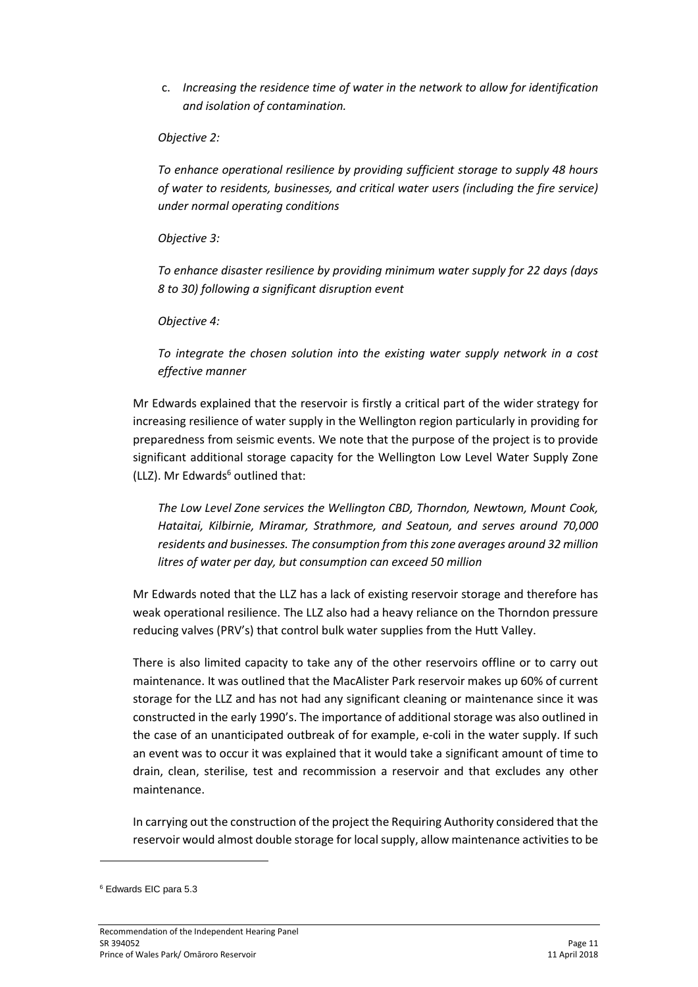c. *Increasing the residence time of water in the network to allow for identification and isolation of contamination.*

#### *Objective 2:*

*To enhance operational resilience by providing sufficient storage to supply 48 hours of water to residents, businesses, and critical water users (including the fire service) under normal operating conditions*

*Objective 3:*

*To enhance disaster resilience by providing minimum water supply for 22 days (days 8 to 30) following a significant disruption event*

*Objective 4:*

*To integrate the chosen solution into the existing water supply network in a cost effective manner*

Mr Edwards explained that the reservoir is firstly a critical part of the wider strategy for increasing resilience of water supply in the Wellington region particularly in providing for preparedness from seismic events. We note that the purpose of the project is to provide significant additional storage capacity for the Wellington Low Level Water Supply Zone (LLZ). Mr Edwards $6$  outlined that:

*The Low Level Zone services the Wellington CBD, Thorndon, Newtown, Mount Cook, Hataitai, Kilbirnie, Miramar, Strathmore, and Seatoun, and serves around 70,000 residents and businesses. The consumption from this zone averages around 32 million litres of water per day, but consumption can exceed 50 million*

Mr Edwards noted that the LLZ has a lack of existing reservoir storage and therefore has weak operational resilience. The LLZ also had a heavy reliance on the Thorndon pressure reducing valves (PRV's) that control bulk water supplies from the Hutt Valley.

There is also limited capacity to take any of the other reservoirs offline or to carry out maintenance. It was outlined that the MacAlister Park reservoir makes up 60% of current storage for the LLZ and has not had any significant cleaning or maintenance since it was constructed in the early 1990's. The importance of additional storage was also outlined in the case of an unanticipated outbreak of for example, e-coli in the water supply. If such an event was to occur it was explained that it would take a significant amount of time to drain, clean, sterilise, test and recommission a reservoir and that excludes any other maintenance.

In carrying out the construction of the project the Requiring Authority considered that the reservoir would almost double storage for local supply, allow maintenance activities to be

<sup>6</sup> Edwards EIC para 5.3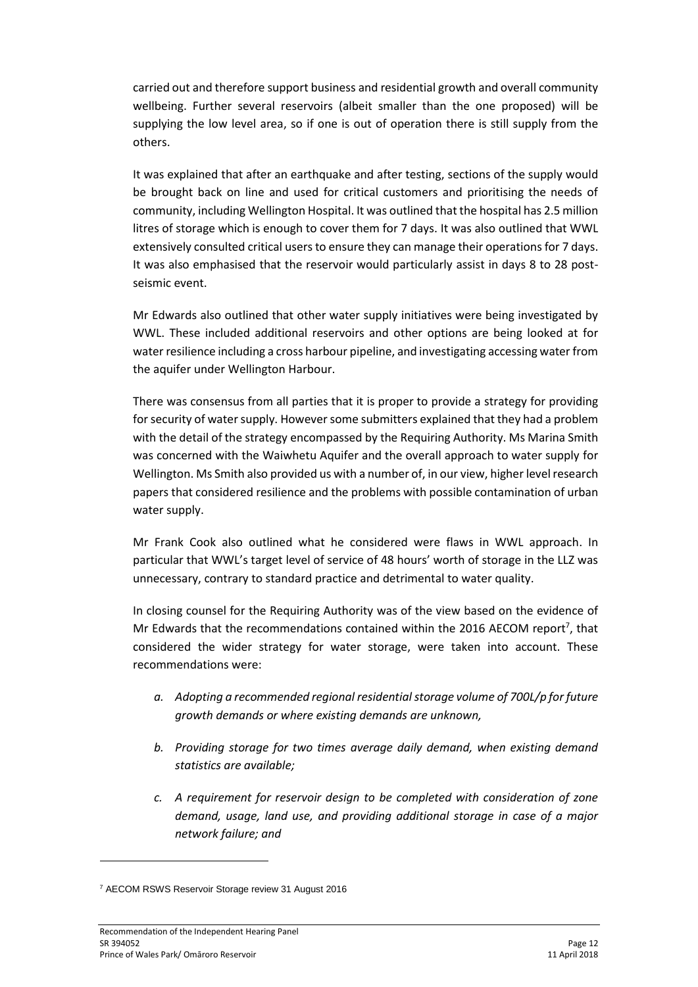carried out and therefore support business and residential growth and overall community wellbeing. Further several reservoirs (albeit smaller than the one proposed) will be supplying the low level area, so if one is out of operation there is still supply from the others.

It was explained that after an earthquake and after testing, sections of the supply would be brought back on line and used for critical customers and prioritising the needs of community, including Wellington Hospital. It was outlined that the hospital has 2.5 million litres of storage which is enough to cover them for 7 days. It was also outlined that WWL extensively consulted critical users to ensure they can manage their operations for 7 days. It was also emphasised that the reservoir would particularly assist in days 8 to 28 postseismic event.

Mr Edwards also outlined that other water supply initiatives were being investigated by WWL. These included additional reservoirs and other options are being looked at for water resilience including a cross harbour pipeline, and investigating accessing water from the aquifer under Wellington Harbour.

There was consensus from all parties that it is proper to provide a strategy for providing for security of water supply. However some submitters explained that they had a problem with the detail of the strategy encompassed by the Requiring Authority. Ms Marina Smith was concerned with the Waiwhetu Aquifer and the overall approach to water supply for Wellington. Ms Smith also provided us with a number of, in our view, higher level research papers that considered resilience and the problems with possible contamination of urban water supply.

Mr Frank Cook also outlined what he considered were flaws in WWL approach. In particular that WWL's target level of service of 48 hours' worth of storage in the LLZ was unnecessary, contrary to standard practice and detrimental to water quality.

In closing counsel for the Requiring Authority was of the view based on the evidence of Mr Edwards that the recommendations contained within the 2016 AECOM report<sup>7</sup>, that considered the wider strategy for water storage, were taken into account. These recommendations were:

- *a. Adopting a recommended regional residential storage volume of 700L/p for future growth demands or where existing demands are unknown,*
- *b. Providing storage for two times average daily demand, when existing demand statistics are available;*
- *c. A requirement for reservoir design to be completed with consideration of zone demand, usage, land use, and providing additional storage in case of a major network failure; and*

<sup>7</sup> AECOM RSWS Reservoir Storage review 31 August 2016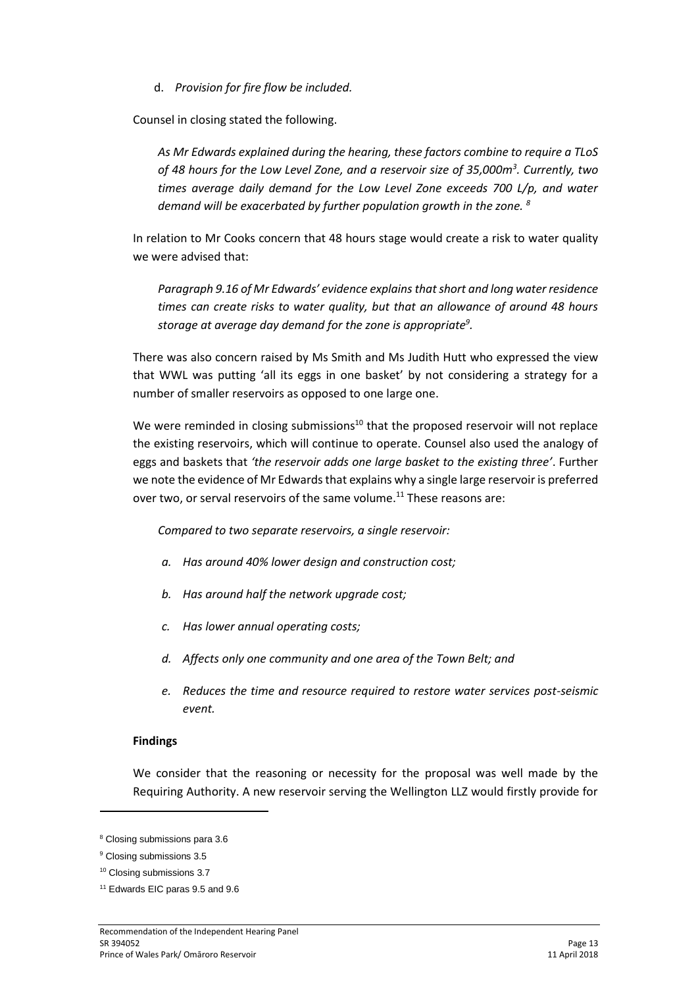d. *Provision for fire flow be included.*

Counsel in closing stated the following.

*As Mr Edwards explained during the hearing, these factors combine to require a TLoS of 48 hours for the Low Level Zone, and a reservoir size of 35,000m<sup>3</sup> . Currently, two times average daily demand for the Low Level Zone exceeds 700 L/p, and water demand will be exacerbated by further population growth in the zone. <sup>8</sup>*

In relation to Mr Cooks concern that 48 hours stage would create a risk to water quality we were advised that:

*Paragraph 9.16 of Mr Edwards' evidence explains that short and long water residence times can create risks to water quality, but that an allowance of around 48 hours storage at average day demand for the zone is appropriate<sup>9</sup> .* 

There was also concern raised by Ms Smith and Ms Judith Hutt who expressed the view that WWL was putting 'all its eggs in one basket' by not considering a strategy for a number of smaller reservoirs as opposed to one large one.

We were reminded in closing submissions $10$  that the proposed reservoir will not replace the existing reservoirs, which will continue to operate. Counsel also used the analogy of eggs and baskets that *'the reservoir adds one large basket to the existing three'*. Further we note the evidence of Mr Edwards that explains why a single large reservoir is preferred over two, or serval reservoirs of the same volume.<sup>11</sup> These reasons are:

*Compared to two separate reservoirs, a single reservoir:* 

- *a. Has around 40% lower design and construction cost;*
- *b. Has around half the network upgrade cost;*
- *c. Has lower annual operating costs;*
- *d. Affects only one community and one area of the Town Belt; and*
- *e. Reduces the time and resource required to restore water services post-seismic event.*

#### **Findings**

We consider that the reasoning or necessity for the proposal was well made by the Requiring Authority. A new reservoir serving the Wellington LLZ would firstly provide for

1

<sup>8</sup> Closing submissions para 3.6

<sup>&</sup>lt;sup>9</sup> Closing submissions 3.5

<sup>10</sup> Closing submissions 3.7

<sup>&</sup>lt;sup>11</sup> Edwards EIC paras 9.5 and 9.6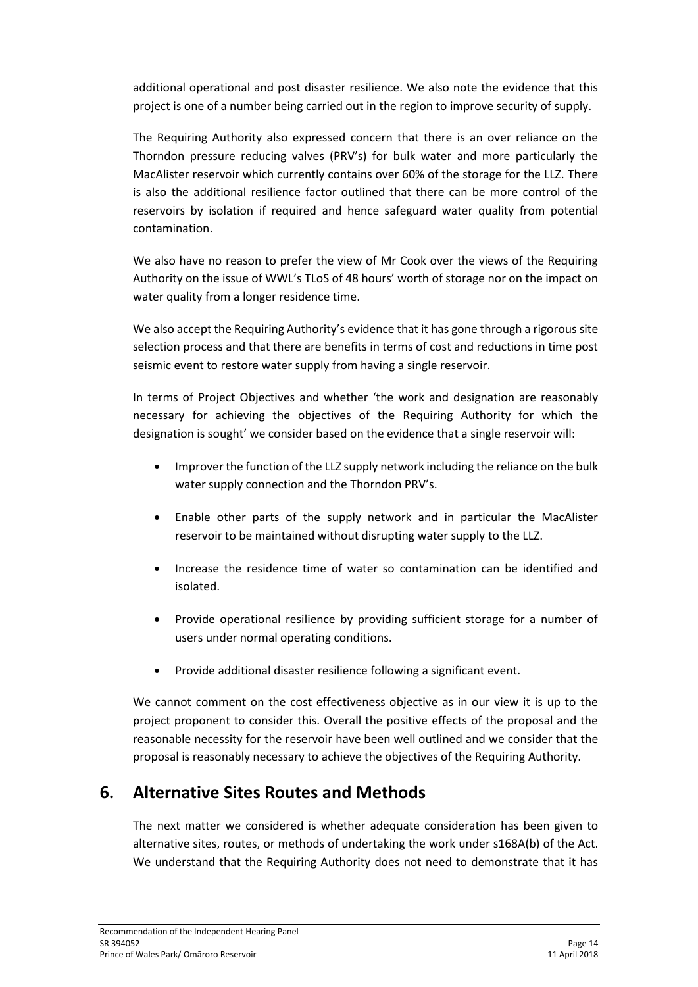additional operational and post disaster resilience. We also note the evidence that this project is one of a number being carried out in the region to improve security of supply.

The Requiring Authority also expressed concern that there is an over reliance on the Thorndon pressure reducing valves (PRV's) for bulk water and more particularly the MacAlister reservoir which currently contains over 60% of the storage for the LLZ. There is also the additional resilience factor outlined that there can be more control of the reservoirs by isolation if required and hence safeguard water quality from potential contamination.

We also have no reason to prefer the view of Mr Cook over the views of the Requiring Authority on the issue of WWL's TLoS of 48 hours' worth of storage nor on the impact on water quality from a longer residence time.

We also accept the Requiring Authority's evidence that it has gone through a rigorous site selection process and that there are benefits in terms of cost and reductions in time post seismic event to restore water supply from having a single reservoir.

In terms of Project Objectives and whether 'the work and designation are reasonably necessary for achieving the objectives of the Requiring Authority for which the designation is sought' we consider based on the evidence that a single reservoir will:

- Improver the function of the LLZ supply network including the reliance on the bulk water supply connection and the Thorndon PRV's.
- Enable other parts of the supply network and in particular the MacAlister reservoir to be maintained without disrupting water supply to the LLZ.
- Increase the residence time of water so contamination can be identified and isolated.
- Provide operational resilience by providing sufficient storage for a number of users under normal operating conditions.
- Provide additional disaster resilience following a significant event.

We cannot comment on the cost effectiveness objective as in our view it is up to the project proponent to consider this. Overall the positive effects of the proposal and the reasonable necessity for the reservoir have been well outlined and we consider that the proposal is reasonably necessary to achieve the objectives of the Requiring Authority.

# **6. Alternative Sites Routes and Methods**

The next matter we considered is whether adequate consideration has been given to alternative sites, routes, or methods of undertaking the work under s168A(b) of the Act. We understand that the Requiring Authority does not need to demonstrate that it has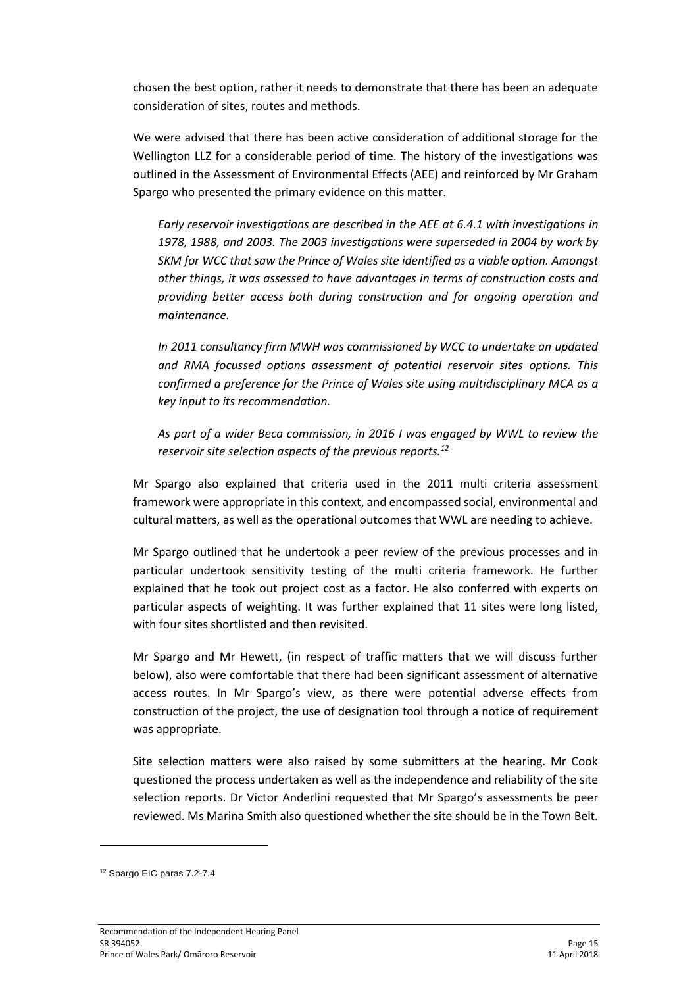chosen the best option, rather it needs to demonstrate that there has been an adequate consideration of sites, routes and methods.

We were advised that there has been active consideration of additional storage for the Wellington LLZ for a considerable period of time. The history of the investigations was outlined in the Assessment of Environmental Effects (AEE) and reinforced by Mr Graham Spargo who presented the primary evidence on this matter.

*Early reservoir investigations are described in the AEE at 6.4.1 with investigations in 1978, 1988, and 2003. The 2003 investigations were superseded in 2004 by work by SKM for WCC that saw the Prince of Wales site identified as a viable option. Amongst other things, it was assessed to have advantages in terms of construction costs and providing better access both during construction and for ongoing operation and maintenance.*

*In 2011 consultancy firm MWH was commissioned by WCC to undertake an updated and RMA focussed options assessment of potential reservoir sites options. This confirmed a preference for the Prince of Wales site using multidisciplinary MCA as a key input to its recommendation.*

*As part of a wider Beca commission, in 2016 I was engaged by WWL to review the reservoir site selection aspects of the previous reports.<sup>12</sup>*

Mr Spargo also explained that criteria used in the 2011 multi criteria assessment framework were appropriate in this context, and encompassed social, environmental and cultural matters, as well as the operational outcomes that WWL are needing to achieve.

Mr Spargo outlined that he undertook a peer review of the previous processes and in particular undertook sensitivity testing of the multi criteria framework. He further explained that he took out project cost as a factor. He also conferred with experts on particular aspects of weighting. It was further explained that 11 sites were long listed, with four sites shortlisted and then revisited.

Mr Spargo and Mr Hewett, (in respect of traffic matters that we will discuss further below), also were comfortable that there had been significant assessment of alternative access routes. In Mr Spargo's view, as there were potential adverse effects from construction of the project, the use of designation tool through a notice of requirement was appropriate.

Site selection matters were also raised by some submitters at the hearing. Mr Cook questioned the process undertaken as well as the independence and reliability of the site selection reports. Dr Victor Anderlini requested that Mr Spargo's assessments be peer reviewed. Ms Marina Smith also questioned whether the site should be in the Town Belt.

1

<sup>12</sup> Spargo EIC paras 7.2-7.4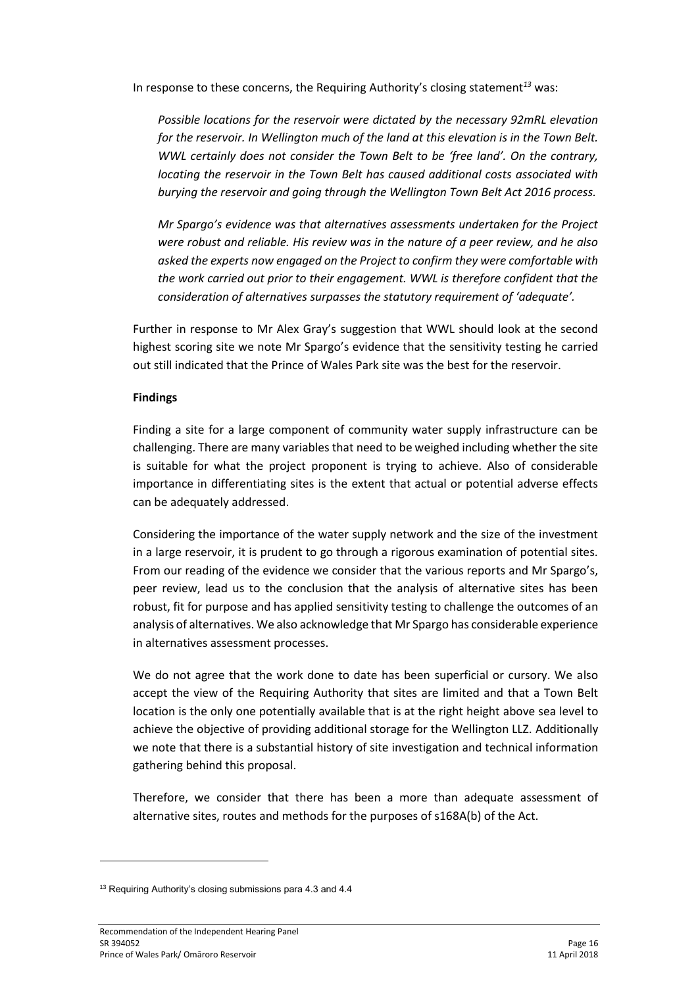In response to these concerns, the Requiring Authority's closing statement*<sup>13</sup>* was:

*Possible locations for the reservoir were dictated by the necessary 92mRL elevation for the reservoir. In Wellington much of the land at this elevation is in the Town Belt. WWL certainly does not consider the Town Belt to be 'free land'. On the contrary, locating the reservoir in the Town Belt has caused additional costs associated with burying the reservoir and going through the Wellington Town Belt Act 2016 process.* 

*Mr Spargo's evidence was that alternatives assessments undertaken for the Project were robust and reliable. His review was in the nature of a peer review, and he also asked the experts now engaged on the Project to confirm they were comfortable with the work carried out prior to their engagement. WWL is therefore confident that the consideration of alternatives surpasses the statutory requirement of 'adequate'.* 

Further in response to Mr Alex Gray's suggestion that WWL should look at the second highest scoring site we note Mr Spargo's evidence that the sensitivity testing he carried out still indicated that the Prince of Wales Park site was the best for the reservoir.

#### **Findings**

Finding a site for a large component of community water supply infrastructure can be challenging. There are many variables that need to be weighed including whether the site is suitable for what the project proponent is trying to achieve. Also of considerable importance in differentiating sites is the extent that actual or potential adverse effects can be adequately addressed.

Considering the importance of the water supply network and the size of the investment in a large reservoir, it is prudent to go through a rigorous examination of potential sites. From our reading of the evidence we consider that the various reports and Mr Spargo's, peer review, lead us to the conclusion that the analysis of alternative sites has been robust, fit for purpose and has applied sensitivity testing to challenge the outcomes of an analysis of alternatives. We also acknowledge that Mr Spargo has considerable experience in alternatives assessment processes.

We do not agree that the work done to date has been superficial or cursory. We also accept the view of the Requiring Authority that sites are limited and that a Town Belt location is the only one potentially available that is at the right height above sea level to achieve the objective of providing additional storage for the Wellington LLZ. Additionally we note that there is a substantial history of site investigation and technical information gathering behind this proposal.

Therefore, we consider that there has been a more than adequate assessment of alternative sites, routes and methods for the purposes of s168A(b) of the Act.

<sup>&</sup>lt;sup>13</sup> Requiring Authority's closing submissions para 4.3 and 4.4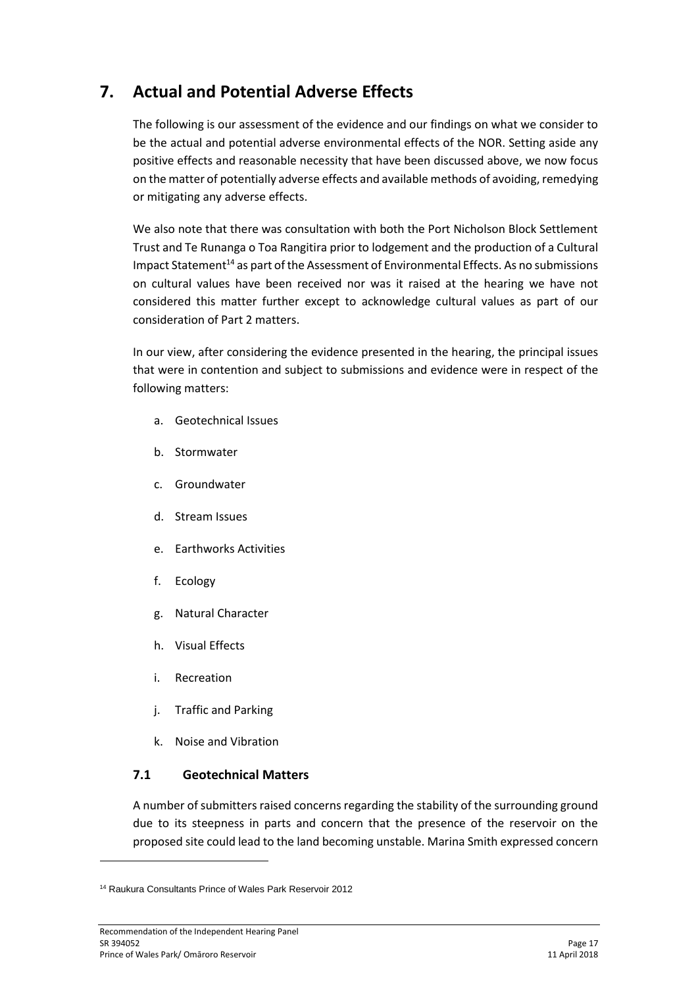# **7. Actual and Potential Adverse Effects**

The following is our assessment of the evidence and our findings on what we consider to be the actual and potential adverse environmental effects of the NOR. Setting aside any positive effects and reasonable necessity that have been discussed above, we now focus on the matter of potentially adverse effects and available methods of avoiding, remedying or mitigating any adverse effects.

We also note that there was consultation with both the Port Nicholson Block Settlement Trust and Te Runanga o Toa Rangitira prior to lodgement and the production of a Cultural Impact Statement<sup>14</sup> as part of the Assessment of Environmental Effects. As no submissions on cultural values have been received nor was it raised at the hearing we have not considered this matter further except to acknowledge cultural values as part of our consideration of Part 2 matters.

In our view, after considering the evidence presented in the hearing, the principal issues that were in contention and subject to submissions and evidence were in respect of the following matters:

- a. Geotechnical Issues
- b. Stormwater
- c. Groundwater
- d. Stream Issues
- e. Earthworks Activities
- f. Ecology
- g. Natural Character
- h. Visual Effects
- i. Recreation
- j. Traffic and Parking
- k. Noise and Vibration

### **7.1 Geotechnical Matters**

A number of submitters raised concerns regarding the stability of the surrounding ground due to its steepness in parts and concern that the presence of the reservoir on the proposed site could lead to the land becoming unstable. Marina Smith expressed concern

<sup>14</sup> Raukura Consultants Prince of Wales Park Reservoir 2012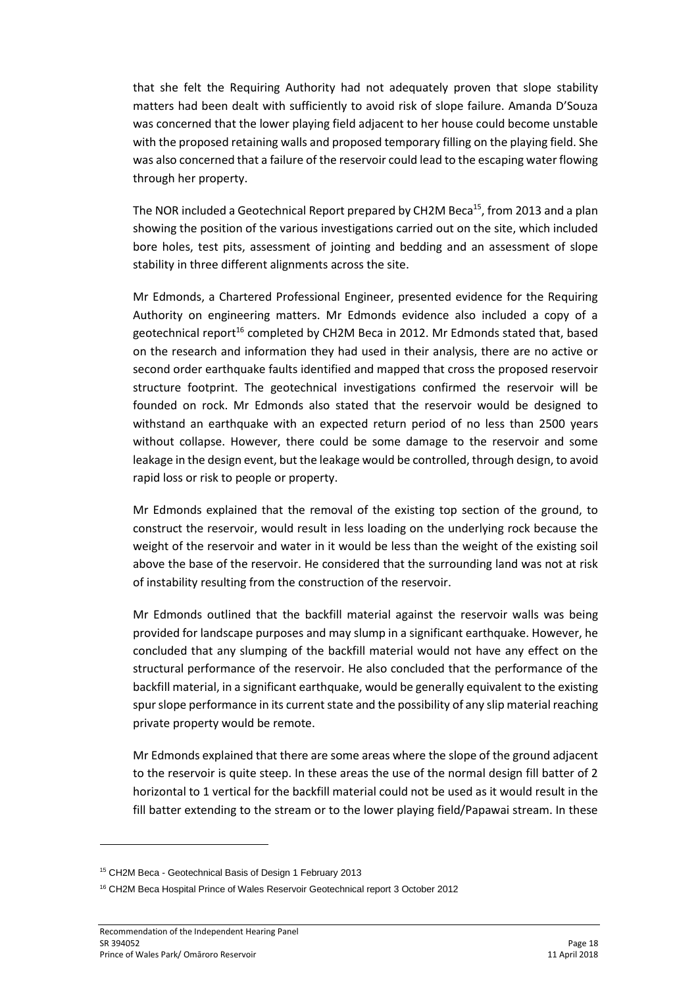that she felt the Requiring Authority had not adequately proven that slope stability matters had been dealt with sufficiently to avoid risk of slope failure. Amanda D'Souza was concerned that the lower playing field adjacent to her house could become unstable with the proposed retaining walls and proposed temporary filling on the playing field. She was also concerned that a failure of the reservoir could lead to the escaping water flowing through her property.

The NOR included a Geotechnical Report prepared by CH2M Beca<sup>15</sup>, from 2013 and a plan showing the position of the various investigations carried out on the site, which included bore holes, test pits, assessment of jointing and bedding and an assessment of slope stability in three different alignments across the site.

Mr Edmonds, a Chartered Professional Engineer, presented evidence for the Requiring Authority on engineering matters. Mr Edmonds evidence also included a copy of a geotechnical report<sup>16</sup> completed by CH2M Beca in 2012. Mr Edmonds stated that, based on the research and information they had used in their analysis, there are no active or second order earthquake faults identified and mapped that cross the proposed reservoir structure footprint. The geotechnical investigations confirmed the reservoir will be founded on rock. Mr Edmonds also stated that the reservoir would be designed to withstand an earthquake with an expected return period of no less than 2500 years without collapse. However, there could be some damage to the reservoir and some leakage in the design event, but the leakage would be controlled, through design, to avoid rapid loss or risk to people or property.

Mr Edmonds explained that the removal of the existing top section of the ground, to construct the reservoir, would result in less loading on the underlying rock because the weight of the reservoir and water in it would be less than the weight of the existing soil above the base of the reservoir. He considered that the surrounding land was not at risk of instability resulting from the construction of the reservoir.

Mr Edmonds outlined that the backfill material against the reservoir walls was being provided for landscape purposes and may slump in a significant earthquake. However, he concluded that any slumping of the backfill material would not have any effect on the structural performance of the reservoir. He also concluded that the performance of the backfill material, in a significant earthquake, would be generally equivalent to the existing spur slope performance in its current state and the possibility of any slip material reaching private property would be remote.

Mr Edmonds explained that there are some areas where the slope of the ground adjacent to the reservoir is quite steep. In these areas the use of the normal design fill batter of 2 horizontal to 1 vertical for the backfill material could not be used as it would result in the fill batter extending to the stream or to the lower playing field/Papawai stream. In these

**.** 

<sup>15</sup> CH2M Beca - Geotechnical Basis of Design 1 February 2013

<sup>16</sup> CH2M Beca Hospital Prince of Wales Reservoir Geotechnical report 3 October 2012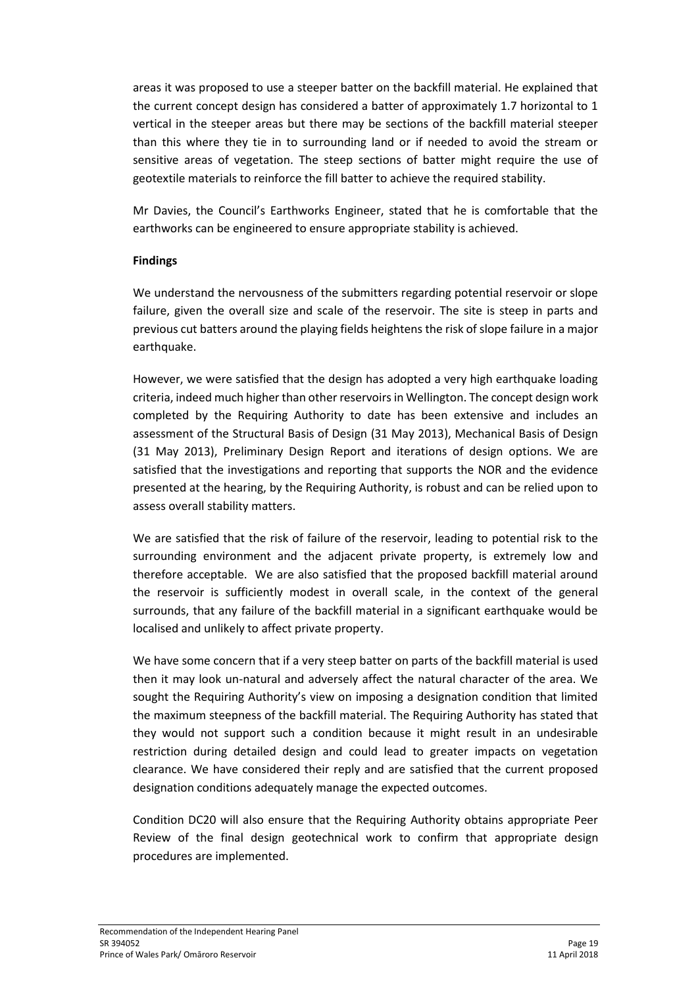areas it was proposed to use a steeper batter on the backfill material. He explained that the current concept design has considered a batter of approximately 1.7 horizontal to 1 vertical in the steeper areas but there may be sections of the backfill material steeper than this where they tie in to surrounding land or if needed to avoid the stream or sensitive areas of vegetation. The steep sections of batter might require the use of geotextile materials to reinforce the fill batter to achieve the required stability.

Mr Davies, the Council's Earthworks Engineer, stated that he is comfortable that the earthworks can be engineered to ensure appropriate stability is achieved.

#### **Findings**

We understand the nervousness of the submitters regarding potential reservoir or slope failure, given the overall size and scale of the reservoir. The site is steep in parts and previous cut batters around the playing fields heightens the risk of slope failure in a major earthquake.

However, we were satisfied that the design has adopted a very high earthquake loading criteria, indeed much higher than other reservoirs in Wellington. The concept design work completed by the Requiring Authority to date has been extensive and includes an assessment of the Structural Basis of Design (31 May 2013), Mechanical Basis of Design (31 May 2013), Preliminary Design Report and iterations of design options. We are satisfied that the investigations and reporting that supports the NOR and the evidence presented at the hearing, by the Requiring Authority, is robust and can be relied upon to assess overall stability matters.

We are satisfied that the risk of failure of the reservoir, leading to potential risk to the surrounding environment and the adjacent private property, is extremely low and therefore acceptable. We are also satisfied that the proposed backfill material around the reservoir is sufficiently modest in overall scale, in the context of the general surrounds, that any failure of the backfill material in a significant earthquake would be localised and unlikely to affect private property.

We have some concern that if a very steep batter on parts of the backfill material is used then it may look un-natural and adversely affect the natural character of the area. We sought the Requiring Authority's view on imposing a designation condition that limited the maximum steepness of the backfill material. The Requiring Authority has stated that they would not support such a condition because it might result in an undesirable restriction during detailed design and could lead to greater impacts on vegetation clearance. We have considered their reply and are satisfied that the current proposed designation conditions adequately manage the expected outcomes.

Condition DC20 will also ensure that the Requiring Authority obtains appropriate Peer Review of the final design geotechnical work to confirm that appropriate design procedures are implemented.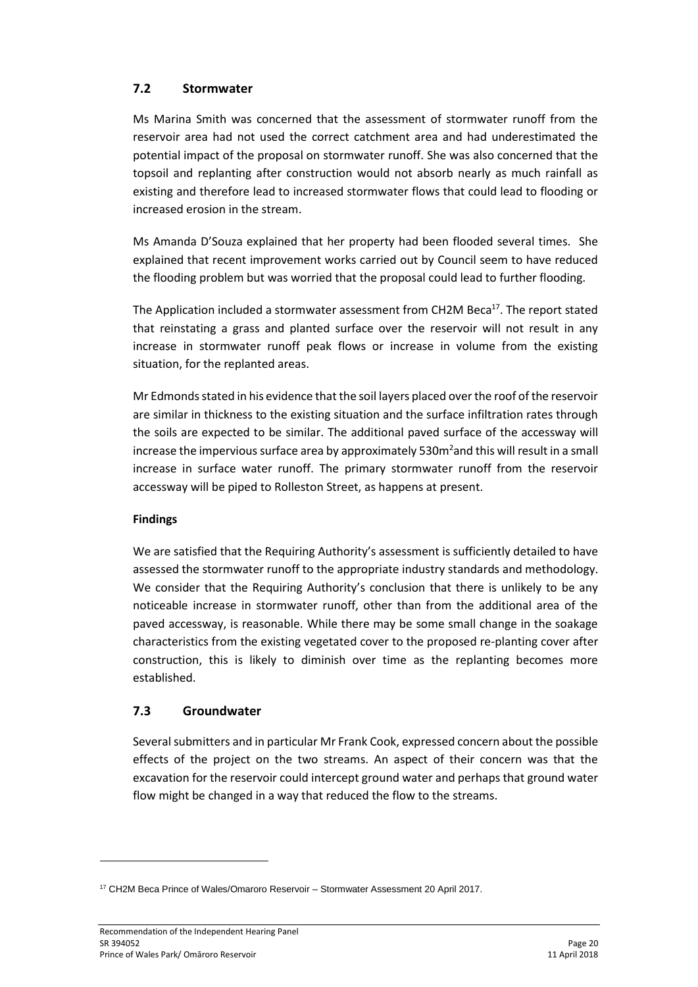### **7.2 Stormwater**

Ms Marina Smith was concerned that the assessment of stormwater runoff from the reservoir area had not used the correct catchment area and had underestimated the potential impact of the proposal on stormwater runoff. She was also concerned that the topsoil and replanting after construction would not absorb nearly as much rainfall as existing and therefore lead to increased stormwater flows that could lead to flooding or increased erosion in the stream.

Ms Amanda D'Souza explained that her property had been flooded several times. She explained that recent improvement works carried out by Council seem to have reduced the flooding problem but was worried that the proposal could lead to further flooding.

The Application included a stormwater assessment from CH2M Beca<sup>17</sup>. The report stated that reinstating a grass and planted surface over the reservoir will not result in any increase in stormwater runoff peak flows or increase in volume from the existing situation, for the replanted areas.

Mr Edmonds stated in his evidence that the soil layers placed over the roof of the reservoir are similar in thickness to the existing situation and the surface infiltration rates through the soils are expected to be similar. The additional paved surface of the accessway will increase the impervious surface area by approximately 530m<sup>2</sup> and this will result in a small increase in surface water runoff. The primary stormwater runoff from the reservoir accessway will be piped to Rolleston Street, as happens at present.

#### **Findings**

We are satisfied that the Requiring Authority's assessment is sufficiently detailed to have assessed the stormwater runoff to the appropriate industry standards and methodology. We consider that the Requiring Authority's conclusion that there is unlikely to be any noticeable increase in stormwater runoff, other than from the additional area of the paved accessway, is reasonable. While there may be some small change in the soakage characteristics from the existing vegetated cover to the proposed re-planting cover after construction, this is likely to diminish over time as the replanting becomes more established.

### **7.3 Groundwater**

Several submitters and in particular Mr Frank Cook, expressed concern about the possible effects of the project on the two streams. An aspect of their concern was that the excavation for the reservoir could intercept ground water and perhaps that ground water flow might be changed in a way that reduced the flow to the streams.

<sup>17</sup> CH2M Beca Prince of Wales/Omaroro Reservoir – Stormwater Assessment 20 April 2017.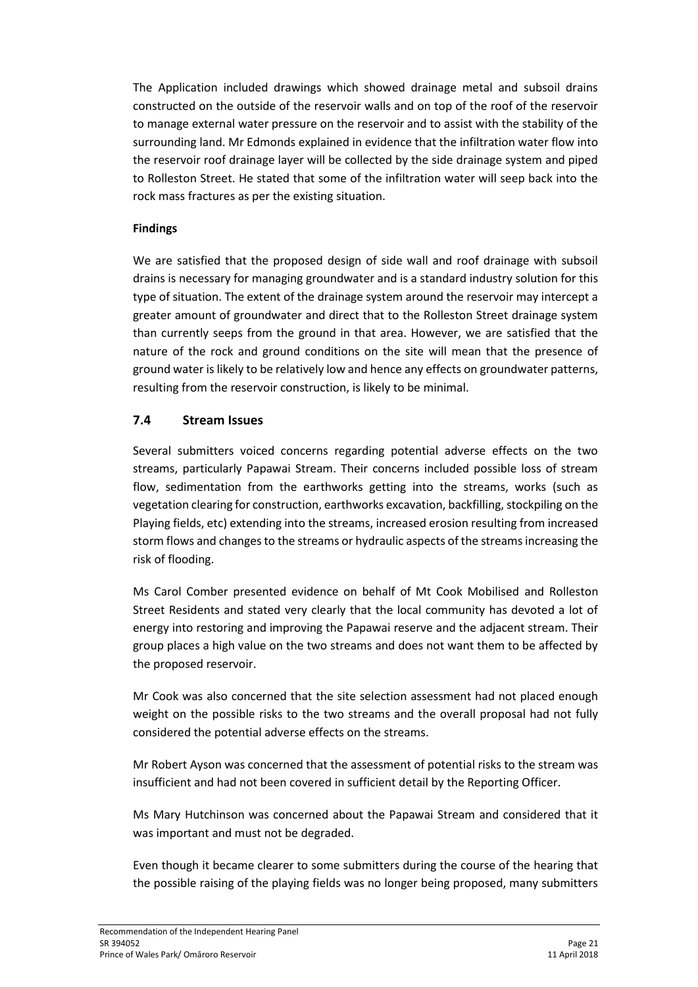The Application included drawings which showed drainage metal and subsoil drains constructed on the outside of the reservoir walls and on top of the roof of the reservoir to manage external water pressure on the reservoir and to assist with the stability of the surrounding land. Mr Edmonds explained in evidence that the infiltration water flow into the reservoir roof drainage layer will be collected by the side drainage system and piped to Rolleston Street. He stated that some of the infiltration water will seep back into the rock mass fractures as per the existing situation.

#### **Findings**

We are satisfied that the proposed design of side wall and roof drainage with subsoil drains is necessary for managing groundwater and is a standard industry solution for this type of situation. The extent of the drainage system around the reservoir may intercept a greater amount of groundwater and direct that to the Rolleston Street drainage system than currently seeps from the ground in that area. However, we are satisfied that the nature of the rock and ground conditions on the site will mean that the presence of ground water is likely to be relatively low and hence any effects on groundwater patterns, resulting from the reservoir construction, is likely to be minimal.

### **7.4 Stream Issues**

Several submitters voiced concerns regarding potential adverse effects on the two streams, particularly Papawai Stream. Their concerns included possible loss of stream flow, sedimentation from the earthworks getting into the streams, works (such as vegetation clearing for construction, earthworks excavation, backfilling, stockpiling on the Playing fields, etc) extending into the streams, increased erosion resulting from increased storm flows and changes to the streams or hydraulic aspects of the streams increasing the risk of flooding.

Ms Carol Comber presented evidence on behalf of Mt Cook Mobilised and Rolleston Street Residents and stated very clearly that the local community has devoted a lot of energy into restoring and improving the Papawai reserve and the adjacent stream. Their group places a high value on the two streams and does not want them to be affected by the proposed reservoir.

Mr Cook was also concerned that the site selection assessment had not placed enough weight on the possible risks to the two streams and the overall proposal had not fully considered the potential adverse effects on the streams.

Mr Robert Ayson was concerned that the assessment of potential risks to the stream was insufficient and had not been covered in sufficient detail by the Reporting Officer.

Ms Mary Hutchinson was concerned about the Papawai Stream and considered that it was important and must not be degraded.

Even though it became clearer to some submitters during the course of the hearing that the possible raising of the playing fields was no longer being proposed, many submitters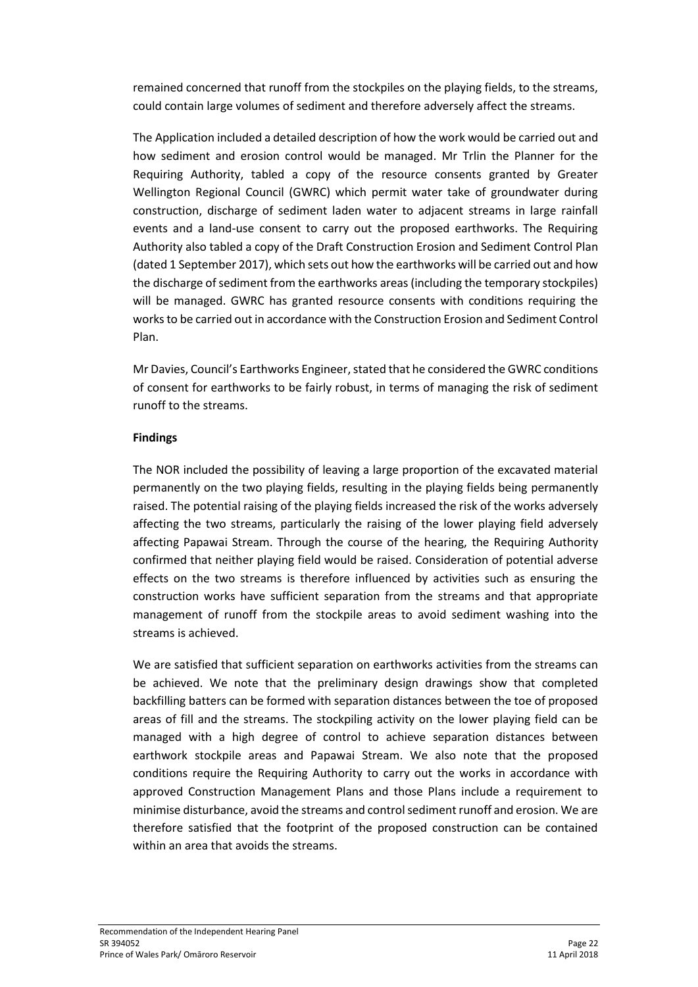remained concerned that runoff from the stockpiles on the playing fields, to the streams, could contain large volumes of sediment and therefore adversely affect the streams.

The Application included a detailed description of how the work would be carried out and how sediment and erosion control would be managed. Mr Trlin the Planner for the Requiring Authority, tabled a copy of the resource consents granted by Greater Wellington Regional Council (GWRC) which permit water take of groundwater during construction, discharge of sediment laden water to adjacent streams in large rainfall events and a land-use consent to carry out the proposed earthworks. The Requiring Authority also tabled a copy of the Draft Construction Erosion and Sediment Control Plan (dated 1 September 2017), which sets out how the earthworks will be carried out and how the discharge of sediment from the earthworks areas (including the temporary stockpiles) will be managed. GWRC has granted resource consents with conditions requiring the works to be carried out in accordance with the Construction Erosion and Sediment Control Plan.

Mr Davies, Council's Earthworks Engineer, stated that he considered the GWRC conditions of consent for earthworks to be fairly robust, in terms of managing the risk of sediment runoff to the streams.

#### **Findings**

The NOR included the possibility of leaving a large proportion of the excavated material permanently on the two playing fields, resulting in the playing fields being permanently raised. The potential raising of the playing fields increased the risk of the works adversely affecting the two streams, particularly the raising of the lower playing field adversely affecting Papawai Stream. Through the course of the hearing, the Requiring Authority confirmed that neither playing field would be raised. Consideration of potential adverse effects on the two streams is therefore influenced by activities such as ensuring the construction works have sufficient separation from the streams and that appropriate management of runoff from the stockpile areas to avoid sediment washing into the streams is achieved.

We are satisfied that sufficient separation on earthworks activities from the streams can be achieved. We note that the preliminary design drawings show that completed backfilling batters can be formed with separation distances between the toe of proposed areas of fill and the streams. The stockpiling activity on the lower playing field can be managed with a high degree of control to achieve separation distances between earthwork stockpile areas and Papawai Stream. We also note that the proposed conditions require the Requiring Authority to carry out the works in accordance with approved Construction Management Plans and those Plans include a requirement to minimise disturbance, avoid the streams and control sediment runoff and erosion. We are therefore satisfied that the footprint of the proposed construction can be contained within an area that avoids the streams.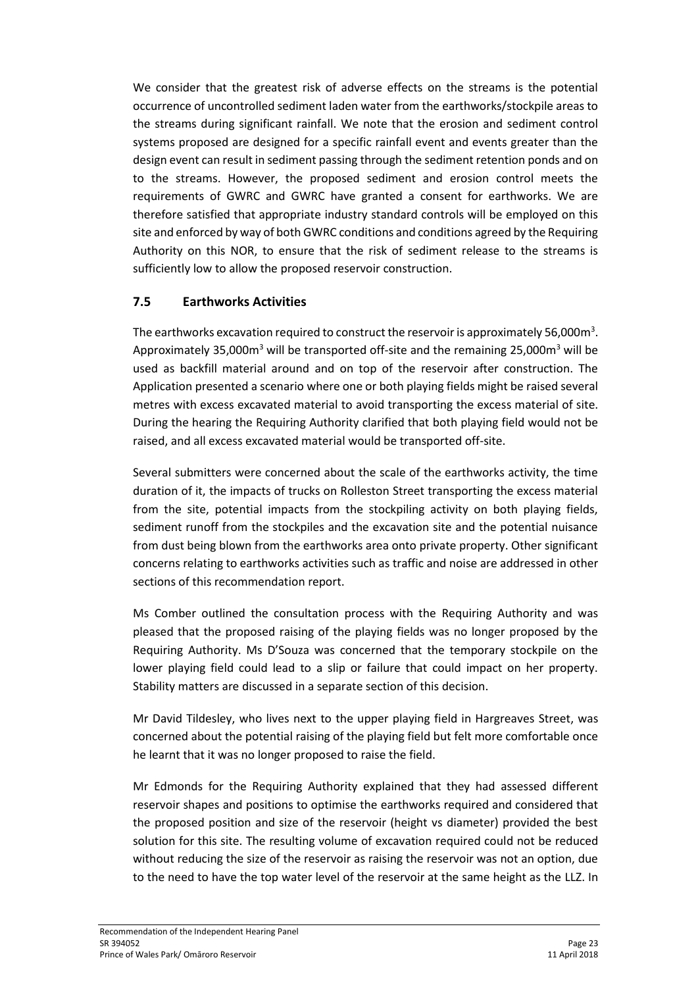We consider that the greatest risk of adverse effects on the streams is the potential occurrence of uncontrolled sediment laden water from the earthworks/stockpile areas to the streams during significant rainfall. We note that the erosion and sediment control systems proposed are designed for a specific rainfall event and events greater than the design event can result in sediment passing through the sediment retention ponds and on to the streams. However, the proposed sediment and erosion control meets the requirements of GWRC and GWRC have granted a consent for earthworks. We are therefore satisfied that appropriate industry standard controls will be employed on this site and enforced by way of both GWRC conditions and conditions agreed by the Requiring Authority on this NOR, to ensure that the risk of sediment release to the streams is sufficiently low to allow the proposed reservoir construction.

### **7.5 Earthworks Activities**

The earthworks excavation required to construct the reservoir is approximately 56,000 $\mathsf{m}^{3}.$ Approximately 35,000 $m<sup>3</sup>$  will be transported off-site and the remaining 25,000 $m<sup>3</sup>$  will be used as backfill material around and on top of the reservoir after construction. The Application presented a scenario where one or both playing fields might be raised several metres with excess excavated material to avoid transporting the excess material of site. During the hearing the Requiring Authority clarified that both playing field would not be raised, and all excess excavated material would be transported off-site.

Several submitters were concerned about the scale of the earthworks activity, the time duration of it, the impacts of trucks on Rolleston Street transporting the excess material from the site, potential impacts from the stockpiling activity on both playing fields, sediment runoff from the stockpiles and the excavation site and the potential nuisance from dust being blown from the earthworks area onto private property. Other significant concerns relating to earthworks activities such as traffic and noise are addressed in other sections of this recommendation report.

Ms Comber outlined the consultation process with the Requiring Authority and was pleased that the proposed raising of the playing fields was no longer proposed by the Requiring Authority. Ms D'Souza was concerned that the temporary stockpile on the lower playing field could lead to a slip or failure that could impact on her property. Stability matters are discussed in a separate section of this decision.

Mr David Tildesley, who lives next to the upper playing field in Hargreaves Street, was concerned about the potential raising of the playing field but felt more comfortable once he learnt that it was no longer proposed to raise the field.

Mr Edmonds for the Requiring Authority explained that they had assessed different reservoir shapes and positions to optimise the earthworks required and considered that the proposed position and size of the reservoir (height vs diameter) provided the best solution for this site. The resulting volume of excavation required could not be reduced without reducing the size of the reservoir as raising the reservoir was not an option, due to the need to have the top water level of the reservoir at the same height as the LLZ. In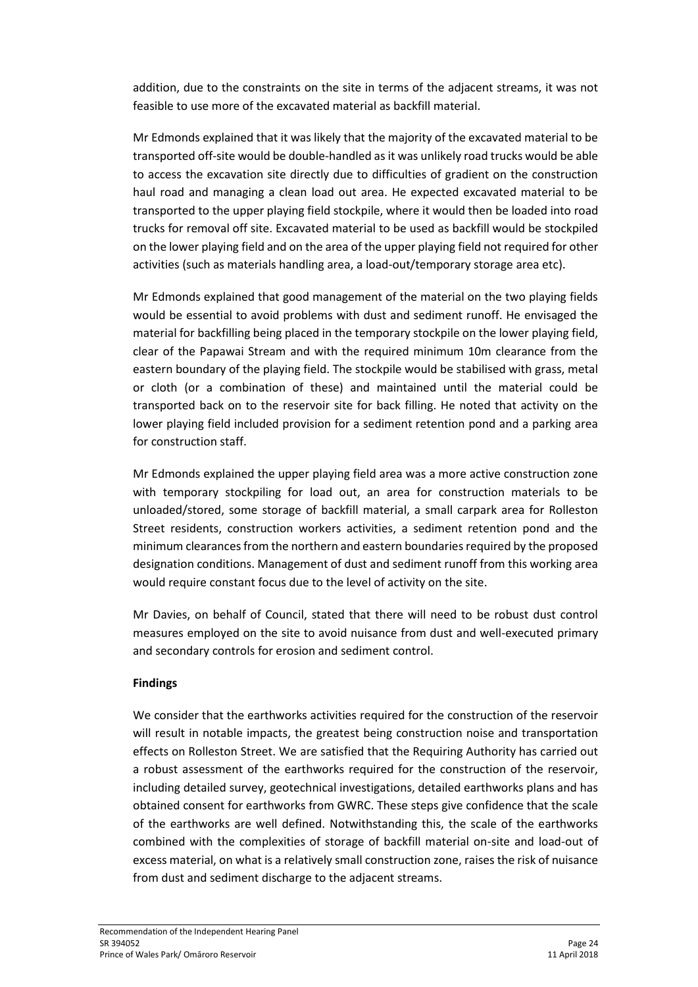addition, due to the constraints on the site in terms of the adjacent streams, it was not feasible to use more of the excavated material as backfill material.

Mr Edmonds explained that it was likely that the majority of the excavated material to be transported off-site would be double-handled as it was unlikely road trucks would be able to access the excavation site directly due to difficulties of gradient on the construction haul road and managing a clean load out area. He expected excavated material to be transported to the upper playing field stockpile, where it would then be loaded into road trucks for removal off site. Excavated material to be used as backfill would be stockpiled on the lower playing field and on the area of the upper playing field not required for other activities (such as materials handling area, a load-out/temporary storage area etc).

Mr Edmonds explained that good management of the material on the two playing fields would be essential to avoid problems with dust and sediment runoff. He envisaged the material for backfilling being placed in the temporary stockpile on the lower playing field, clear of the Papawai Stream and with the required minimum 10m clearance from the eastern boundary of the playing field. The stockpile would be stabilised with grass, metal or cloth (or a combination of these) and maintained until the material could be transported back on to the reservoir site for back filling. He noted that activity on the lower playing field included provision for a sediment retention pond and a parking area for construction staff.

Mr Edmonds explained the upper playing field area was a more active construction zone with temporary stockpiling for load out, an area for construction materials to be unloaded/stored, some storage of backfill material, a small carpark area for Rolleston Street residents, construction workers activities, a sediment retention pond and the minimum clearances from the northern and eastern boundaries required by the proposed designation conditions. Management of dust and sediment runoff from this working area would require constant focus due to the level of activity on the site.

Mr Davies, on behalf of Council, stated that there will need to be robust dust control measures employed on the site to avoid nuisance from dust and well-executed primary and secondary controls for erosion and sediment control.

#### **Findings**

We consider that the earthworks activities required for the construction of the reservoir will result in notable impacts, the greatest being construction noise and transportation effects on Rolleston Street. We are satisfied that the Requiring Authority has carried out a robust assessment of the earthworks required for the construction of the reservoir, including detailed survey, geotechnical investigations, detailed earthworks plans and has obtained consent for earthworks from GWRC. These steps give confidence that the scale of the earthworks are well defined. Notwithstanding this, the scale of the earthworks combined with the complexities of storage of backfill material on-site and load-out of excess material, on what is a relatively small construction zone, raises the risk of nuisance from dust and sediment discharge to the adjacent streams.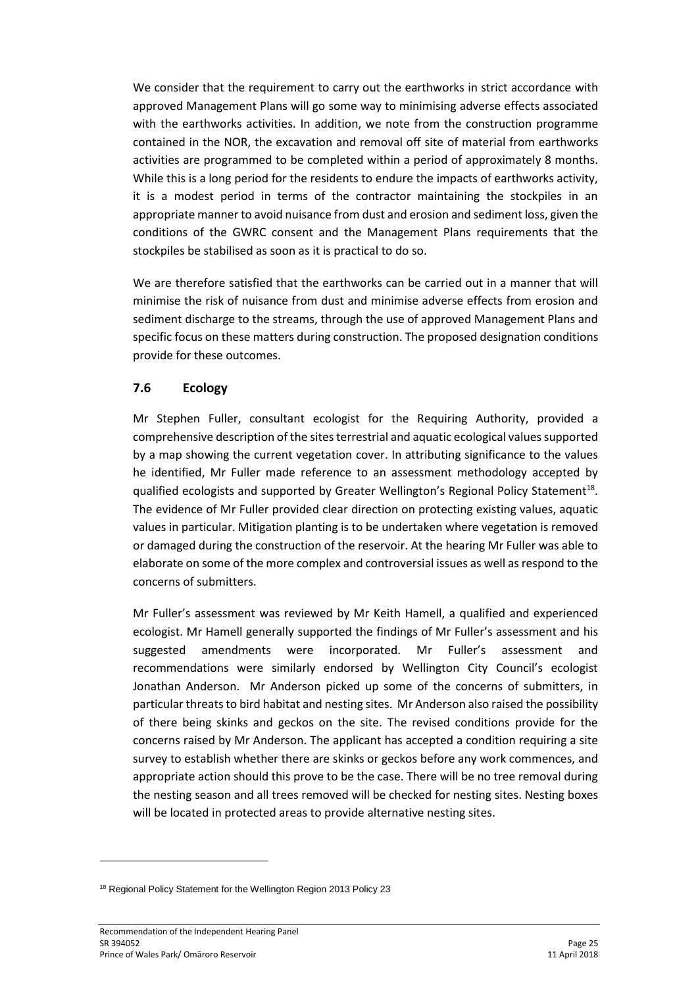We consider that the requirement to carry out the earthworks in strict accordance with approved Management Plans will go some way to minimising adverse effects associated with the earthworks activities. In addition, we note from the construction programme contained in the NOR, the excavation and removal off site of material from earthworks activities are programmed to be completed within a period of approximately 8 months. While this is a long period for the residents to endure the impacts of earthworks activity, it is a modest period in terms of the contractor maintaining the stockpiles in an appropriate manner to avoid nuisance from dust and erosion and sediment loss, given the conditions of the GWRC consent and the Management Plans requirements that the stockpiles be stabilised as soon as it is practical to do so.

We are therefore satisfied that the earthworks can be carried out in a manner that will minimise the risk of nuisance from dust and minimise adverse effects from erosion and sediment discharge to the streams, through the use of approved Management Plans and specific focus on these matters during construction. The proposed designation conditions provide for these outcomes.

### **7.6 Ecology**

Mr Stephen Fuller, consultant ecologist for the Requiring Authority, provided a comprehensive description of the sites terrestrial and aquatic ecological values supported by a map showing the current vegetation cover. In attributing significance to the values he identified, Mr Fuller made reference to an assessment methodology accepted by qualified ecologists and supported by Greater Wellington's Regional Policy Statement<sup>18</sup>. The evidence of Mr Fuller provided clear direction on protecting existing values, aquatic values in particular. Mitigation planting is to be undertaken where vegetation is removed or damaged during the construction of the reservoir. At the hearing Mr Fuller was able to elaborate on some of the more complex and controversial issues as well as respond to the concerns of submitters.

Mr Fuller's assessment was reviewed by Mr Keith Hamell, a qualified and experienced ecologist. Mr Hamell generally supported the findings of Mr Fuller's assessment and his suggested amendments were incorporated. Mr Fuller's assessment and recommendations were similarly endorsed by Wellington City Council's ecologist Jonathan Anderson. Mr Anderson picked up some of the concerns of submitters, in particular threats to bird habitat and nesting sites. Mr Anderson also raised the possibility of there being skinks and geckos on the site. The revised conditions provide for the concerns raised by Mr Anderson. The applicant has accepted a condition requiring a site survey to establish whether there are skinks or geckos before any work commences, and appropriate action should this prove to be the case. There will be no tree removal during the nesting season and all trees removed will be checked for nesting sites. Nesting boxes will be located in protected areas to provide alternative nesting sites.

<sup>&</sup>lt;sup>18</sup> Regional Policy Statement for the Wellington Region 2013 Policy 23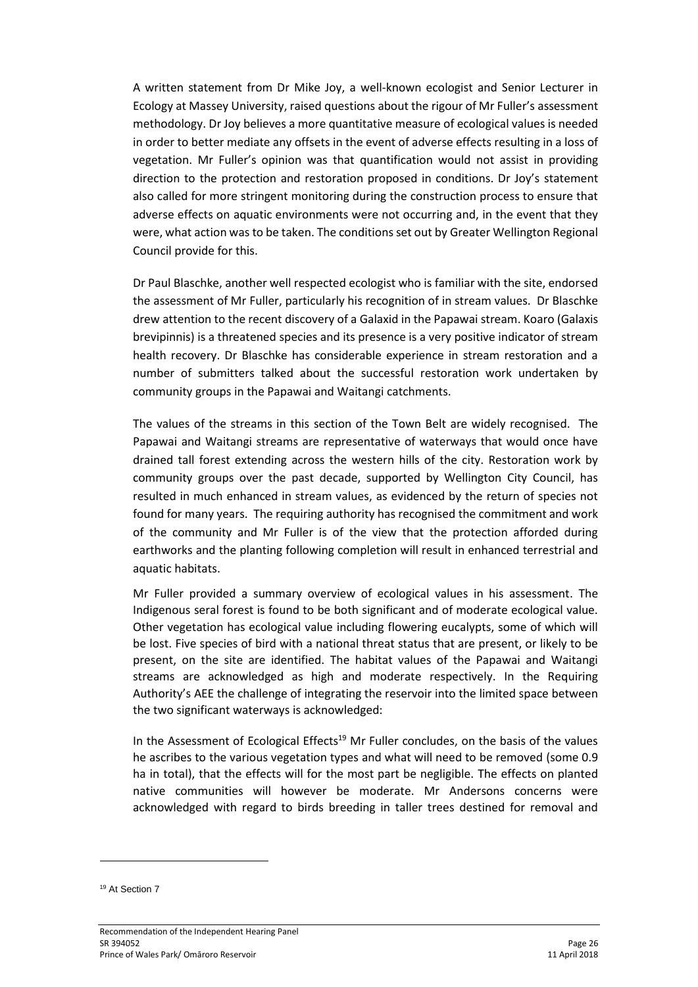A written statement from Dr Mike Joy, a well-known ecologist and Senior Lecturer in Ecology at Massey University, raised questions about the rigour of Mr Fuller's assessment methodology. Dr Joy believes a more quantitative measure of ecological values is needed in order to better mediate any offsets in the event of adverse effects resulting in a loss of vegetation. Mr Fuller's opinion was that quantification would not assist in providing direction to the protection and restoration proposed in conditions. Dr Joy's statement also called for more stringent monitoring during the construction process to ensure that adverse effects on aquatic environments were not occurring and, in the event that they were, what action was to be taken. The conditions set out by Greater Wellington Regional Council provide for this.

Dr Paul Blaschke, another well respected ecologist who is familiar with the site, endorsed the assessment of Mr Fuller, particularly his recognition of in stream values. Dr Blaschke drew attention to the recent discovery of a Galaxid in the Papawai stream. Koaro (Galaxis brevipinnis) is a threatened species and its presence is a very positive indicator of stream health recovery. Dr Blaschke has considerable experience in stream restoration and a number of submitters talked about the successful restoration work undertaken by community groups in the Papawai and Waitangi catchments.

The values of the streams in this section of the Town Belt are widely recognised. The Papawai and Waitangi streams are representative of waterways that would once have drained tall forest extending across the western hills of the city. Restoration work by community groups over the past decade, supported by Wellington City Council, has resulted in much enhanced in stream values, as evidenced by the return of species not found for many years. The requiring authority has recognised the commitment and work of the community and Mr Fuller is of the view that the protection afforded during earthworks and the planting following completion will result in enhanced terrestrial and aquatic habitats.

Mr Fuller provided a summary overview of ecological values in his assessment. The Indigenous seral forest is found to be both significant and of moderate ecological value. Other vegetation has ecological value including flowering eucalypts, some of which will be lost. Five species of bird with a national threat status that are present, or likely to be present, on the site are identified. The habitat values of the Papawai and Waitangi streams are acknowledged as high and moderate respectively. In the Requiring Authority's AEE the challenge of integrating the reservoir into the limited space between the two significant waterways is acknowledged:

In the Assessment of Ecological Effects<sup>19</sup> Mr Fuller concludes, on the basis of the values he ascribes to the various vegetation types and what will need to be removed (some 0.9 ha in total), that the effects will for the most part be negligible. The effects on planted native communities will however be moderate. Mr Andersons concerns were acknowledged with regard to birds breeding in taller trees destined for removal and

<sup>&</sup>lt;sup>19</sup> At Section 7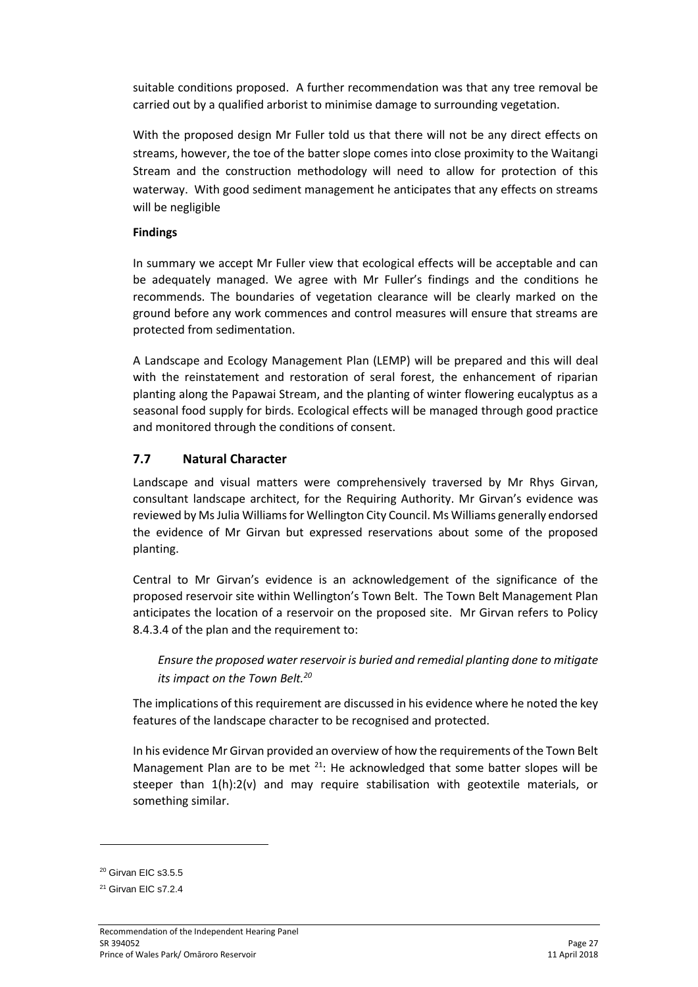suitable conditions proposed. A further recommendation was that any tree removal be carried out by a qualified arborist to minimise damage to surrounding vegetation.

With the proposed design Mr Fuller told us that there will not be any direct effects on streams, however, the toe of the batter slope comes into close proximity to the Waitangi Stream and the construction methodology will need to allow for protection of this waterway. With good sediment management he anticipates that any effects on streams will be negligible

#### **Findings**

In summary we accept Mr Fuller view that ecological effects will be acceptable and can be adequately managed. We agree with Mr Fuller's findings and the conditions he recommends. The boundaries of vegetation clearance will be clearly marked on the ground before any work commences and control measures will ensure that streams are protected from sedimentation.

A Landscape and Ecology Management Plan (LEMP) will be prepared and this will deal with the reinstatement and restoration of seral forest, the enhancement of riparian planting along the Papawai Stream, and the planting of winter flowering eucalyptus as a seasonal food supply for birds. Ecological effects will be managed through good practice and monitored through the conditions of consent.

### **7.7 Natural Character**

Landscape and visual matters were comprehensively traversed by Mr Rhys Girvan, consultant landscape architect, for the Requiring Authority. Mr Girvan's evidence was reviewed by Ms Julia Williams for Wellington City Council. Ms Williams generally endorsed the evidence of Mr Girvan but expressed reservations about some of the proposed planting.

Central to Mr Girvan's evidence is an acknowledgement of the significance of the proposed reservoir site within Wellington's Town Belt. The Town Belt Management Plan anticipates the location of a reservoir on the proposed site. Mr Girvan refers to Policy 8.4.3.4 of the plan and the requirement to:

*Ensure the proposed water reservoir is buried and remedial planting done to mitigate its impact on the Town Belt.<sup>20</sup>*

The implications of this requirement are discussed in his evidence where he noted the key features of the landscape character to be recognised and protected.

In his evidence Mr Girvan provided an overview of how the requirements of the Town Belt Management Plan are to be met  $21$ : He acknowledged that some batter slopes will be steeper than 1(h):2(v) and may require stabilisation with geotextile materials, or something similar.

**.** 

<sup>&</sup>lt;sup>20</sup> Girvan EIC s3.5.5

<sup>&</sup>lt;sup>21</sup> Girvan EIC s7.2.4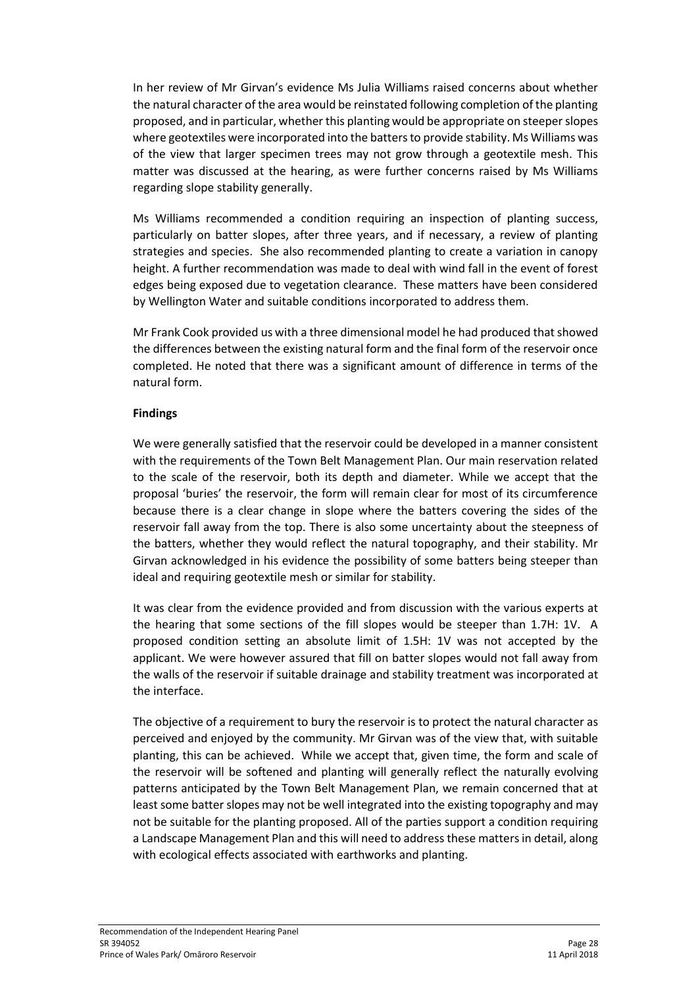In her review of Mr Girvan's evidence Ms Julia Williams raised concerns about whether the natural character of the area would be reinstated following completion of the planting proposed, and in particular, whether this planting would be appropriate on steeper slopes where geotextiles were incorporated into the batters to provide stability. Ms Williams was of the view that larger specimen trees may not grow through a geotextile mesh. This matter was discussed at the hearing, as were further concerns raised by Ms Williams regarding slope stability generally.

Ms Williams recommended a condition requiring an inspection of planting success, particularly on batter slopes, after three years, and if necessary, a review of planting strategies and species. She also recommended planting to create a variation in canopy height. A further recommendation was made to deal with wind fall in the event of forest edges being exposed due to vegetation clearance. These matters have been considered by Wellington Water and suitable conditions incorporated to address them.

Mr Frank Cook provided us with a three dimensional model he had produced that showed the differences between the existing natural form and the final form of the reservoir once completed. He noted that there was a significant amount of difference in terms of the natural form.

#### **Findings**

We were generally satisfied that the reservoir could be developed in a manner consistent with the requirements of the Town Belt Management Plan. Our main reservation related to the scale of the reservoir, both its depth and diameter. While we accept that the proposal 'buries' the reservoir, the form will remain clear for most of its circumference because there is a clear change in slope where the batters covering the sides of the reservoir fall away from the top. There is also some uncertainty about the steepness of the batters, whether they would reflect the natural topography, and their stability. Mr Girvan acknowledged in his evidence the possibility of some batters being steeper than ideal and requiring geotextile mesh or similar for stability.

It was clear from the evidence provided and from discussion with the various experts at the hearing that some sections of the fill slopes would be steeper than 1.7H: 1V. A proposed condition setting an absolute limit of 1.5H: 1V was not accepted by the applicant. We were however assured that fill on batter slopes would not fall away from the walls of the reservoir if suitable drainage and stability treatment was incorporated at the interface.

The objective of a requirement to bury the reservoir is to protect the natural character as perceived and enjoyed by the community. Mr Girvan was of the view that, with suitable planting, this can be achieved. While we accept that, given time, the form and scale of the reservoir will be softened and planting will generally reflect the naturally evolving patterns anticipated by the Town Belt Management Plan, we remain concerned that at least some batter slopes may not be well integrated into the existing topography and may not be suitable for the planting proposed. All of the parties support a condition requiring a Landscape Management Plan and this will need to address these matters in detail, along with ecological effects associated with earthworks and planting.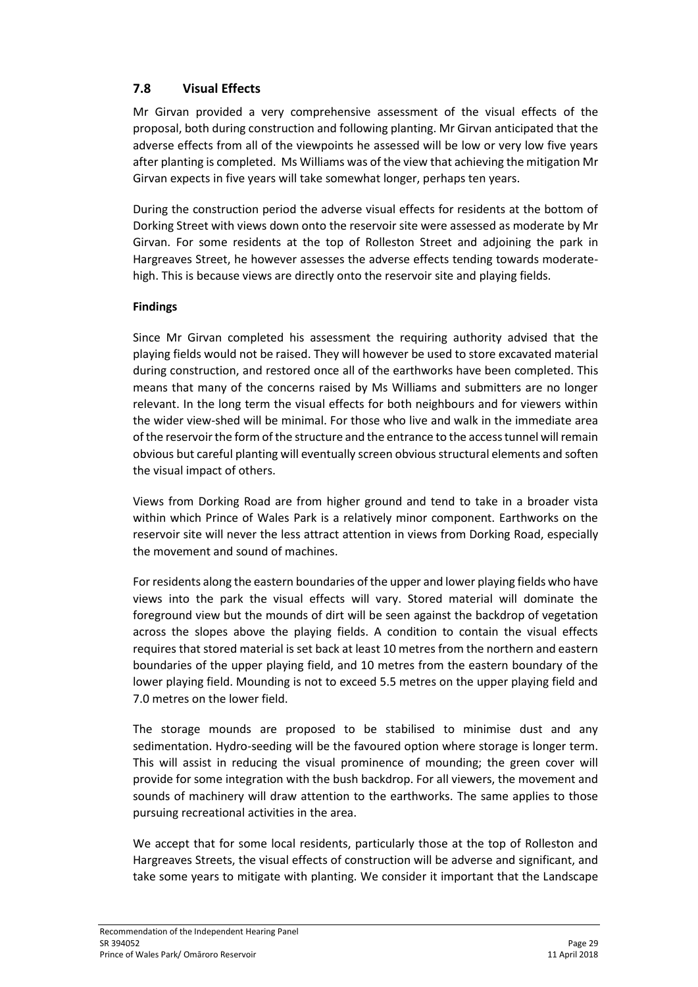# **7.8 Visual Effects**

Mr Girvan provided a very comprehensive assessment of the visual effects of the proposal, both during construction and following planting. Mr Girvan anticipated that the adverse effects from all of the viewpoints he assessed will be low or very low five years after planting is completed. Ms Williams was of the view that achieving the mitigation Mr Girvan expects in five years will take somewhat longer, perhaps ten years.

During the construction period the adverse visual effects for residents at the bottom of Dorking Street with views down onto the reservoir site were assessed as moderate by Mr Girvan. For some residents at the top of Rolleston Street and adjoining the park in Hargreaves Street, he however assesses the adverse effects tending towards moderatehigh. This is because views are directly onto the reservoir site and playing fields.

#### **Findings**

Since Mr Girvan completed his assessment the requiring authority advised that the playing fields would not be raised. They will however be used to store excavated material during construction, and restored once all of the earthworks have been completed. This means that many of the concerns raised by Ms Williams and submitters are no longer relevant. In the long term the visual effects for both neighbours and for viewers within the wider view-shed will be minimal. For those who live and walk in the immediate area of the reservoir the form of the structure and the entrance to the access tunnel will remain obvious but careful planting will eventually screen obvious structural elements and soften the visual impact of others.

Views from Dorking Road are from higher ground and tend to take in a broader vista within which Prince of Wales Park is a relatively minor component. Earthworks on the reservoir site will never the less attract attention in views from Dorking Road, especially the movement and sound of machines.

For residents along the eastern boundaries of the upper and lower playing fields who have views into the park the visual effects will vary. Stored material will dominate the foreground view but the mounds of dirt will be seen against the backdrop of vegetation across the slopes above the playing fields. A condition to contain the visual effects requires that stored material is set back at least 10 metres from the northern and eastern boundaries of the upper playing field, and 10 metres from the eastern boundary of the lower playing field. Mounding is not to exceed 5.5 metres on the upper playing field and 7.0 metres on the lower field.

The storage mounds are proposed to be stabilised to minimise dust and any sedimentation. Hydro-seeding will be the favoured option where storage is longer term. This will assist in reducing the visual prominence of mounding; the green cover will provide for some integration with the bush backdrop. For all viewers, the movement and sounds of machinery will draw attention to the earthworks. The same applies to those pursuing recreational activities in the area.

We accept that for some local residents, particularly those at the top of Rolleston and Hargreaves Streets, the visual effects of construction will be adverse and significant, and take some years to mitigate with planting. We consider it important that the Landscape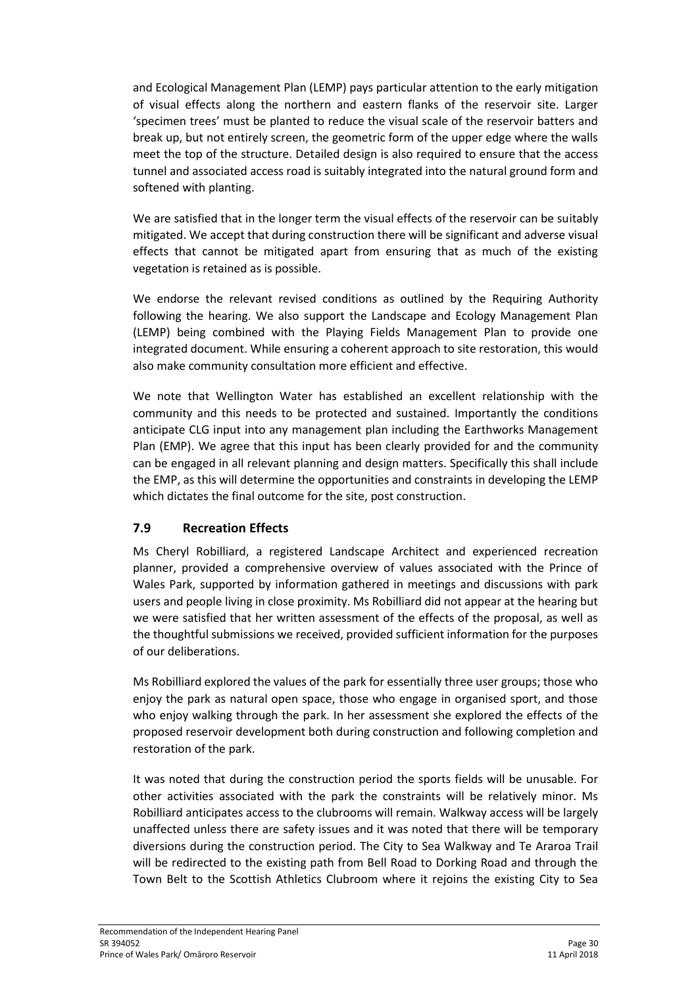and Ecological Management Plan (LEMP) pays particular attention to the early mitigation of visual effects along the northern and eastern flanks of the reservoir site. Larger 'specimen trees' must be planted to reduce the visual scale of the reservoir batters and break up, but not entirely screen, the geometric form of the upper edge where the walls meet the top of the structure. Detailed design is also required to ensure that the access tunnel and associated access road is suitably integrated into the natural ground form and softened with planting.

We are satisfied that in the longer term the visual effects of the reservoir can be suitably mitigated. We accept that during construction there will be significant and adverse visual effects that cannot be mitigated apart from ensuring that as much of the existing vegetation is retained as is possible.

We endorse the relevant revised conditions as outlined by the Requiring Authority following the hearing. We also support the Landscape and Ecology Management Plan (LEMP) being combined with the Playing Fields Management Plan to provide one integrated document. While ensuring a coherent approach to site restoration, this would also make community consultation more efficient and effective.

We note that Wellington Water has established an excellent relationship with the community and this needs to be protected and sustained. Importantly the conditions anticipate CLG input into any management plan including the Earthworks Management Plan (EMP). We agree that this input has been clearly provided for and the community can be engaged in all relevant planning and design matters. Specifically this shall include the EMP, as this will determine the opportunities and constraints in developing the LEMP which dictates the final outcome for the site, post construction.

# **7.9 Recreation Effects**

Ms Cheryl Robilliard, a registered Landscape Architect and experienced recreation planner, provided a comprehensive overview of values associated with the Prince of Wales Park, supported by information gathered in meetings and discussions with park users and people living in close proximity. Ms Robilliard did not appear at the hearing but we were satisfied that her written assessment of the effects of the proposal, as well as the thoughtful submissions we received, provided sufficient information for the purposes of our deliberations.

Ms Robilliard explored the values of the park for essentially three user groups; those who enjoy the park as natural open space, those who engage in organised sport, and those who enjoy walking through the park. In her assessment she explored the effects of the proposed reservoir development both during construction and following completion and restoration of the park.

It was noted that during the construction period the sports fields will be unusable. For other activities associated with the park the constraints will be relatively minor. Ms Robilliard anticipates access to the clubrooms will remain. Walkway access will be largely unaffected unless there are safety issues and it was noted that there will be temporary diversions during the construction period. The City to Sea Walkway and Te Araroa Trail will be redirected to the existing path from Bell Road to Dorking Road and through the Town Belt to the Scottish Athletics Clubroom where it rejoins the existing City to Sea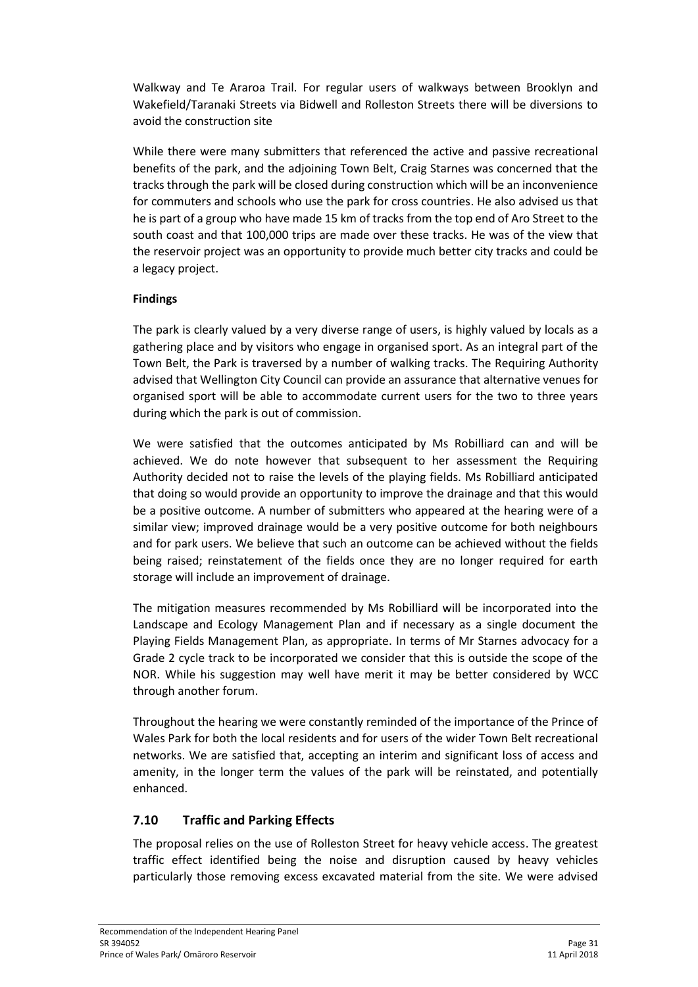Walkway and Te Araroa Trail. For regular users of walkways between Brooklyn and Wakefield/Taranaki Streets via Bidwell and Rolleston Streets there will be diversions to avoid the construction site

While there were many submitters that referenced the active and passive recreational benefits of the park, and the adjoining Town Belt, Craig Starnes was concerned that the tracks through the park will be closed during construction which will be an inconvenience for commuters and schools who use the park for cross countries. He also advised us that he is part of a group who have made 15 km of tracks from the top end of Aro Street to the south coast and that 100,000 trips are made over these tracks. He was of the view that the reservoir project was an opportunity to provide much better city tracks and could be a legacy project.

### **Findings**

The park is clearly valued by a very diverse range of users, is highly valued by locals as a gathering place and by visitors who engage in organised sport. As an integral part of the Town Belt, the Park is traversed by a number of walking tracks. The Requiring Authority advised that Wellington City Council can provide an assurance that alternative venues for organised sport will be able to accommodate current users for the two to three years during which the park is out of commission.

We were satisfied that the outcomes anticipated by Ms Robilliard can and will be achieved. We do note however that subsequent to her assessment the Requiring Authority decided not to raise the levels of the playing fields. Ms Robilliard anticipated that doing so would provide an opportunity to improve the drainage and that this would be a positive outcome. A number of submitters who appeared at the hearing were of a similar view; improved drainage would be a very positive outcome for both neighbours and for park users. We believe that such an outcome can be achieved without the fields being raised; reinstatement of the fields once they are no longer required for earth storage will include an improvement of drainage.

The mitigation measures recommended by Ms Robilliard will be incorporated into the Landscape and Ecology Management Plan and if necessary as a single document the Playing Fields Management Plan, as appropriate. In terms of Mr Starnes advocacy for a Grade 2 cycle track to be incorporated we consider that this is outside the scope of the NOR. While his suggestion may well have merit it may be better considered by WCC through another forum.

Throughout the hearing we were constantly reminded of the importance of the Prince of Wales Park for both the local residents and for users of the wider Town Belt recreational networks. We are satisfied that, accepting an interim and significant loss of access and amenity, in the longer term the values of the park will be reinstated, and potentially enhanced.

### **7.10 Traffic and Parking Effects**

The proposal relies on the use of Rolleston Street for heavy vehicle access. The greatest traffic effect identified being the noise and disruption caused by heavy vehicles particularly those removing excess excavated material from the site. We were advised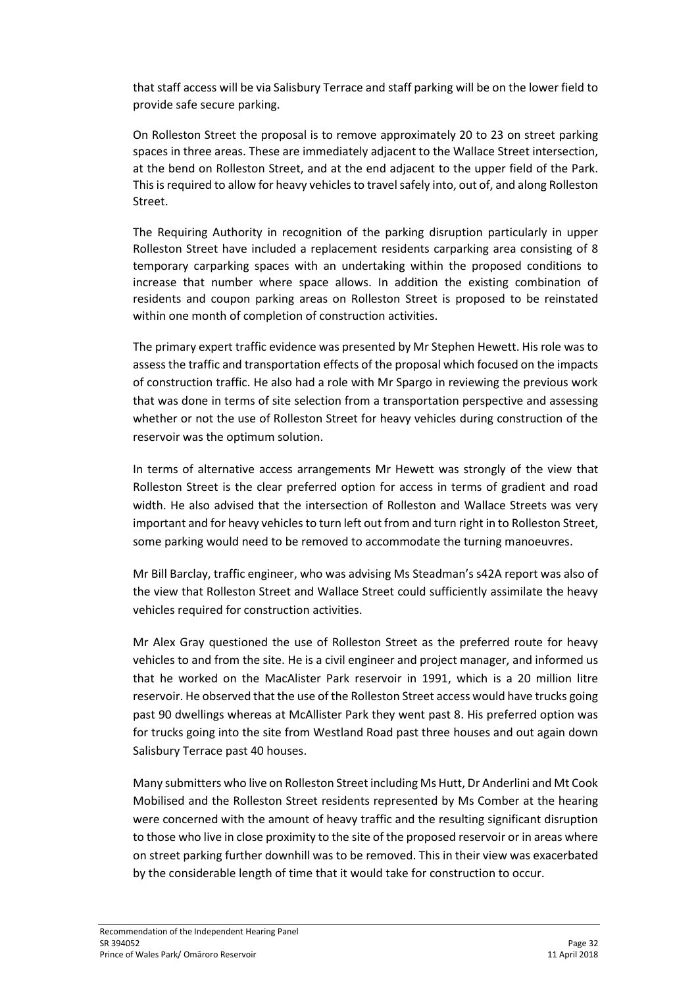that staff access will be via Salisbury Terrace and staff parking will be on the lower field to provide safe secure parking.

On Rolleston Street the proposal is to remove approximately 20 to 23 on street parking spaces in three areas. These are immediately adjacent to the Wallace Street intersection, at the bend on Rolleston Street, and at the end adjacent to the upper field of the Park. This is required to allow for heavy vehicles to travel safely into, out of, and along Rolleston Street.

The Requiring Authority in recognition of the parking disruption particularly in upper Rolleston Street have included a replacement residents carparking area consisting of 8 temporary carparking spaces with an undertaking within the proposed conditions to increase that number where space allows. In addition the existing combination of residents and coupon parking areas on Rolleston Street is proposed to be reinstated within one month of completion of construction activities.

The primary expert traffic evidence was presented by Mr Stephen Hewett. His role was to assess the traffic and transportation effects of the proposal which focused on the impacts of construction traffic. He also had a role with Mr Spargo in reviewing the previous work that was done in terms of site selection from a transportation perspective and assessing whether or not the use of Rolleston Street for heavy vehicles during construction of the reservoir was the optimum solution.

In terms of alternative access arrangements Mr Hewett was strongly of the view that Rolleston Street is the clear preferred option for access in terms of gradient and road width. He also advised that the intersection of Rolleston and Wallace Streets was very important and for heavy vehicles to turn left out from and turn right in to Rolleston Street, some parking would need to be removed to accommodate the turning manoeuvres.

Mr Bill Barclay, traffic engineer, who was advising Ms Steadman's s42A report was also of the view that Rolleston Street and Wallace Street could sufficiently assimilate the heavy vehicles required for construction activities.

Mr Alex Gray questioned the use of Rolleston Street as the preferred route for heavy vehicles to and from the site. He is a civil engineer and project manager, and informed us that he worked on the MacAlister Park reservoir in 1991, which is a 20 million litre reservoir. He observed that the use of the Rolleston Street access would have trucks going past 90 dwellings whereas at McAllister Park they went past 8. His preferred option was for trucks going into the site from Westland Road past three houses and out again down Salisbury Terrace past 40 houses.

Many submitters who live on Rolleston Street including Ms Hutt, Dr Anderlini and Mt Cook Mobilised and the Rolleston Street residents represented by Ms Comber at the hearing were concerned with the amount of heavy traffic and the resulting significant disruption to those who live in close proximity to the site of the proposed reservoir or in areas where on street parking further downhill was to be removed. This in their view was exacerbated by the considerable length of time that it would take for construction to occur.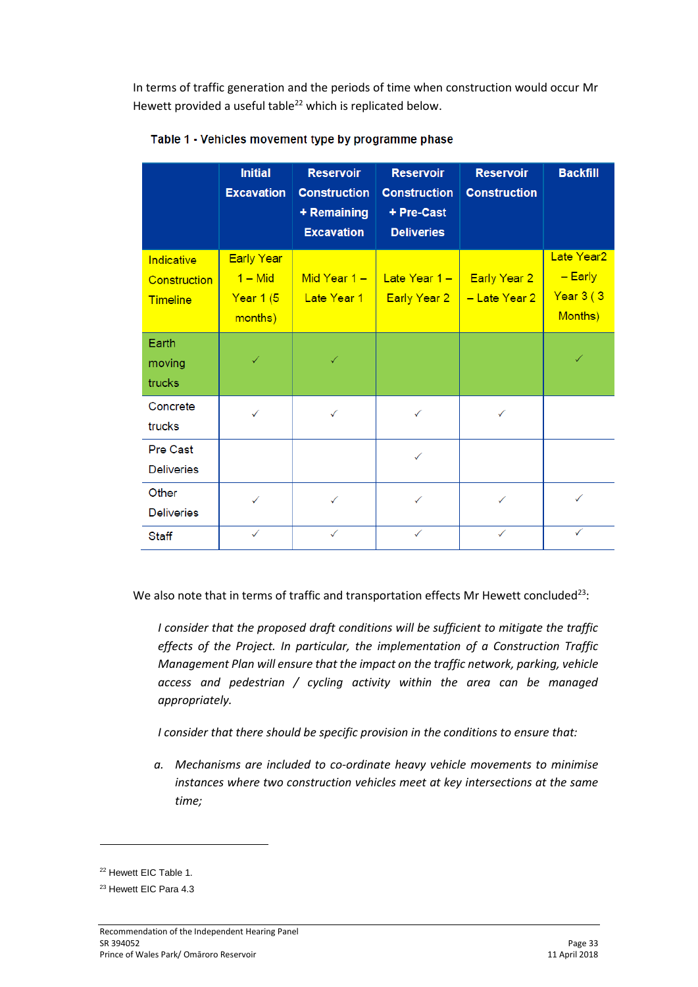In terms of traffic generation and the periods of time when construction would occur Mr Hewett provided a useful table<sup>22</sup> which is replicated below.

|                                               | <b>Initial</b><br><b>Excavation</b>                    | <b>Reservoir</b><br><b>Construction</b><br>+ Remaining<br><b>Excavation</b> | <b>Reservoir</b><br><b>Construction</b><br>+ Pre-Cast<br><b>Deliveries</b> | <b>Reservoir</b><br><b>Construction</b> | <b>Backfill</b>                                              |
|-----------------------------------------------|--------------------------------------------------------|-----------------------------------------------------------------------------|----------------------------------------------------------------------------|-----------------------------------------|--------------------------------------------------------------|
| Indicative<br>Construction<br><b>Timeline</b> | <b>Early Year</b><br>$1 - Mid$<br>Year 1 (5<br>months) | Mid Year $1 -$<br>Late Year 1                                               | Late Year 1-<br>Early Year 2                                               | <b>Early Year 2</b><br>- Late Year 2    | Late Year <sub>2</sub><br>$-$ Early<br>Year 3 (3)<br>Months) |
| Earth<br>moving<br>trucks                     |                                                        |                                                                             |                                                                            |                                         |                                                              |
| Concrete<br>trucks                            | ✓                                                      | ✓                                                                           | ✓                                                                          | ✓                                       |                                                              |
| <b>Pre Cast</b><br><b>Deliveries</b>          |                                                        |                                                                             | ✓                                                                          |                                         |                                                              |
| Other<br><b>Deliveries</b>                    | ✓                                                      | ✓                                                                           | ✓                                                                          | ✓                                       | ✓                                                            |
| <b>Staff</b>                                  | ✓                                                      | ✓                                                                           | ✓                                                                          |                                         | ✓                                                            |

Table 1 - Vehicles movement type by programme phase

We also note that in terms of traffic and transportation effects Mr Hewett concluded<sup>23</sup>:

*I consider that the proposed draft conditions will be sufficient to mitigate the traffic effects of the Project. In particular, the implementation of a Construction Traffic Management Plan will ensure that the impact on the traffic network, parking, vehicle access and pedestrian / cycling activity within the area can be managed appropriately.* 

*I consider that there should be specific provision in the conditions to ensure that:*

*a. Mechanisms are included to co-ordinate heavy vehicle movements to minimise instances where two construction vehicles meet at key intersections at the same time;*

**.** 

<sup>&</sup>lt;sup>22</sup> Hewett EIC Table 1.

<sup>23</sup> Hewett EIC Para 4.3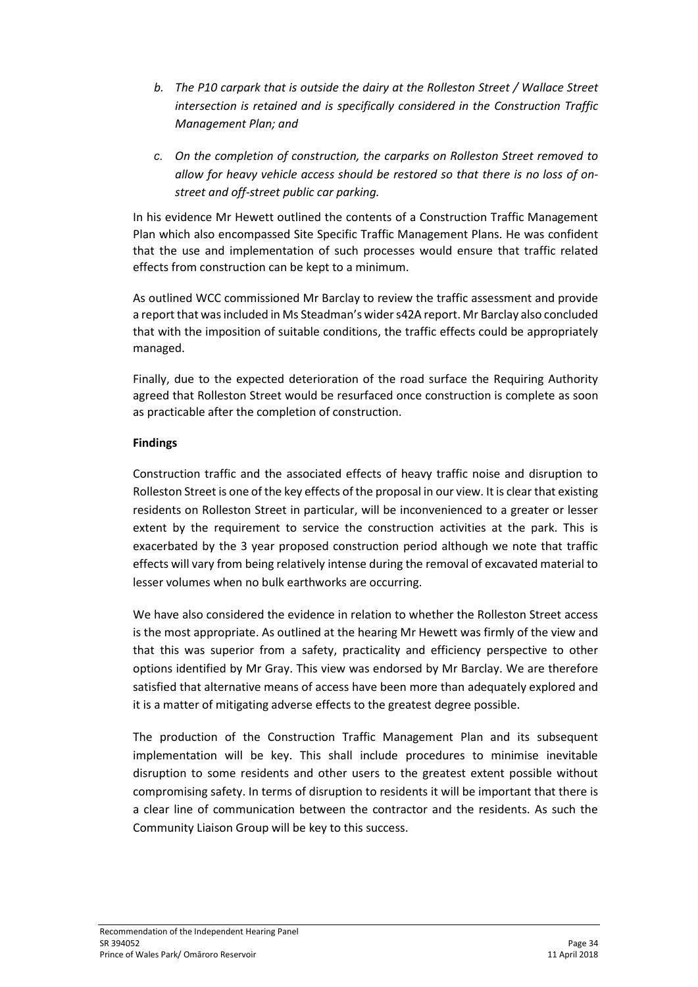- *b. The P10 carpark that is outside the dairy at the Rolleston Street / Wallace Street intersection is retained and is specifically considered in the Construction Traffic Management Plan; and*
- *c. On the completion of construction, the carparks on Rolleston Street removed to allow for heavy vehicle access should be restored so that there is no loss of onstreet and off-street public car parking.*

In his evidence Mr Hewett outlined the contents of a Construction Traffic Management Plan which also encompassed Site Specific Traffic Management Plans. He was confident that the use and implementation of such processes would ensure that traffic related effects from construction can be kept to a minimum.

As outlined WCC commissioned Mr Barclay to review the traffic assessment and provide a report that was included in Ms Steadman's wider s42A report. Mr Barclay also concluded that with the imposition of suitable conditions, the traffic effects could be appropriately managed.

Finally, due to the expected deterioration of the road surface the Requiring Authority agreed that Rolleston Street would be resurfaced once construction is complete as soon as practicable after the completion of construction.

### **Findings**

Construction traffic and the associated effects of heavy traffic noise and disruption to Rolleston Street is one of the key effects of the proposal in our view. It is clear that existing residents on Rolleston Street in particular, will be inconvenienced to a greater or lesser extent by the requirement to service the construction activities at the park. This is exacerbated by the 3 year proposed construction period although we note that traffic effects will vary from being relatively intense during the removal of excavated material to lesser volumes when no bulk earthworks are occurring.

We have also considered the evidence in relation to whether the Rolleston Street access is the most appropriate. As outlined at the hearing Mr Hewett was firmly of the view and that this was superior from a safety, practicality and efficiency perspective to other options identified by Mr Gray. This view was endorsed by Mr Barclay. We are therefore satisfied that alternative means of access have been more than adequately explored and it is a matter of mitigating adverse effects to the greatest degree possible.

The production of the Construction Traffic Management Plan and its subsequent implementation will be key. This shall include procedures to minimise inevitable disruption to some residents and other users to the greatest extent possible without compromising safety. In terms of disruption to residents it will be important that there is a clear line of communication between the contractor and the residents. As such the Community Liaison Group will be key to this success.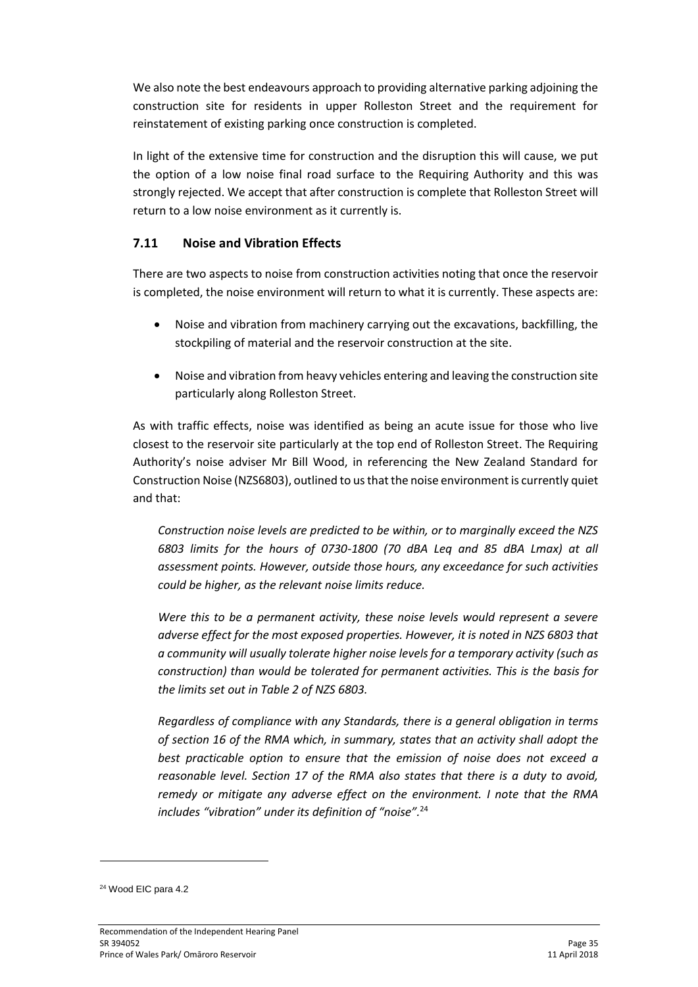We also note the best endeavours approach to providing alternative parking adjoining the construction site for residents in upper Rolleston Street and the requirement for reinstatement of existing parking once construction is completed.

In light of the extensive time for construction and the disruption this will cause, we put the option of a low noise final road surface to the Requiring Authority and this was strongly rejected. We accept that after construction is complete that Rolleston Street will return to a low noise environment as it currently is.

## **7.11 Noise and Vibration Effects**

There are two aspects to noise from construction activities noting that once the reservoir is completed, the noise environment will return to what it is currently. These aspects are:

- Noise and vibration from machinery carrying out the excavations, backfilling, the stockpiling of material and the reservoir construction at the site.
- Noise and vibration from heavy vehicles entering and leaving the construction site particularly along Rolleston Street.

As with traffic effects, noise was identified as being an acute issue for those who live closest to the reservoir site particularly at the top end of Rolleston Street. The Requiring Authority's noise adviser Mr Bill Wood, in referencing the New Zealand Standard for Construction Noise (NZS6803), outlined to us that the noise environment is currently quiet and that:

*Construction noise levels are predicted to be within, or to marginally exceed the NZS 6803 limits for the hours of 0730-1800 (70 dBA Leq and 85 dBA Lmax) at all assessment points. However, outside those hours, any exceedance for such activities could be higher, as the relevant noise limits reduce.*

*Were this to be a permanent activity, these noise levels would represent a severe adverse effect for the most exposed properties. However, it is noted in NZS 6803 that a community will usually tolerate higher noise levels for a temporary activity (such as construction) than would be tolerated for permanent activities. This is the basis for the limits set out in Table 2 of NZS 6803.*

*Regardless of compliance with any Standards, there is a general obligation in terms of section 16 of the RMA which, in summary, states that an activity shall adopt the best practicable option to ensure that the emission of noise does not exceed a reasonable level. Section 17 of the RMA also states that there is a duty to avoid, remedy or mitigate any adverse effect on the environment. I note that the RMA includes "vibration" under its definition of "noise".*<sup>24</sup>

-

<sup>24</sup> Wood EIC para 4.2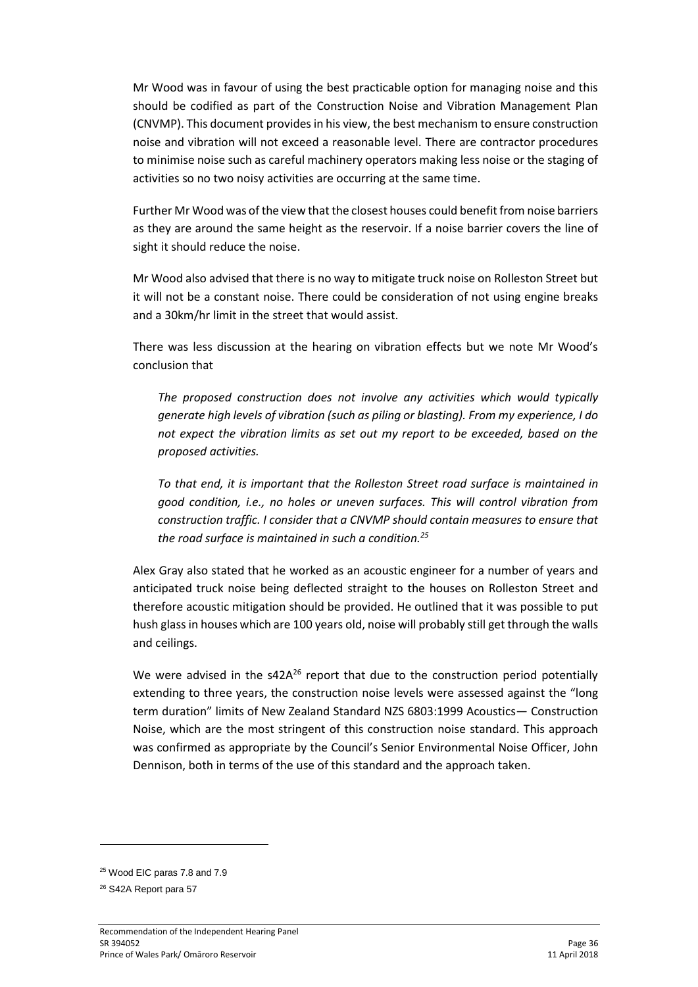Mr Wood was in favour of using the best practicable option for managing noise and this should be codified as part of the Construction Noise and Vibration Management Plan (CNVMP). This document providesin his view, the best mechanism to ensure construction noise and vibration will not exceed a reasonable level. There are contractor procedures to minimise noise such as careful machinery operators making less noise or the staging of activities so no two noisy activities are occurring at the same time.

Further Mr Wood was of the view that the closest houses could benefit from noise barriers as they are around the same height as the reservoir. If a noise barrier covers the line of sight it should reduce the noise.

Mr Wood also advised that there is no way to mitigate truck noise on Rolleston Street but it will not be a constant noise. There could be consideration of not using engine breaks and a 30km/hr limit in the street that would assist.

There was less discussion at the hearing on vibration effects but we note Mr Wood's conclusion that

*The proposed construction does not involve any activities which would typically generate high levels of vibration (such as piling or blasting). From my experience, I do not expect the vibration limits as set out my report to be exceeded, based on the proposed activities.*

*To that end, it is important that the Rolleston Street road surface is maintained in good condition, i.e., no holes or uneven surfaces. This will control vibration from construction traffic. I consider that a CNVMP should contain measures to ensure that the road surface is maintained in such a condition.<sup>25</sup>*

Alex Gray also stated that he worked as an acoustic engineer for a number of years and anticipated truck noise being deflected straight to the houses on Rolleston Street and therefore acoustic mitigation should be provided. He outlined that it was possible to put hush glass in houses which are 100 years old, noise will probably still get through the walls and ceilings.

We were advised in the  $s42A^{26}$  report that due to the construction period potentially extending to three years, the construction noise levels were assessed against the "long term duration" limits of New Zealand Standard NZS 6803:1999 Acoustics— Construction Noise, which are the most stringent of this construction noise standard. This approach was confirmed as appropriate by the Council's Senior Environmental Noise Officer, John Dennison, both in terms of the use of this standard and the approach taken.

**.** 

<sup>&</sup>lt;sup>25</sup> Wood EIC paras 7.8 and 7.9

<sup>26</sup> S42A Report para 57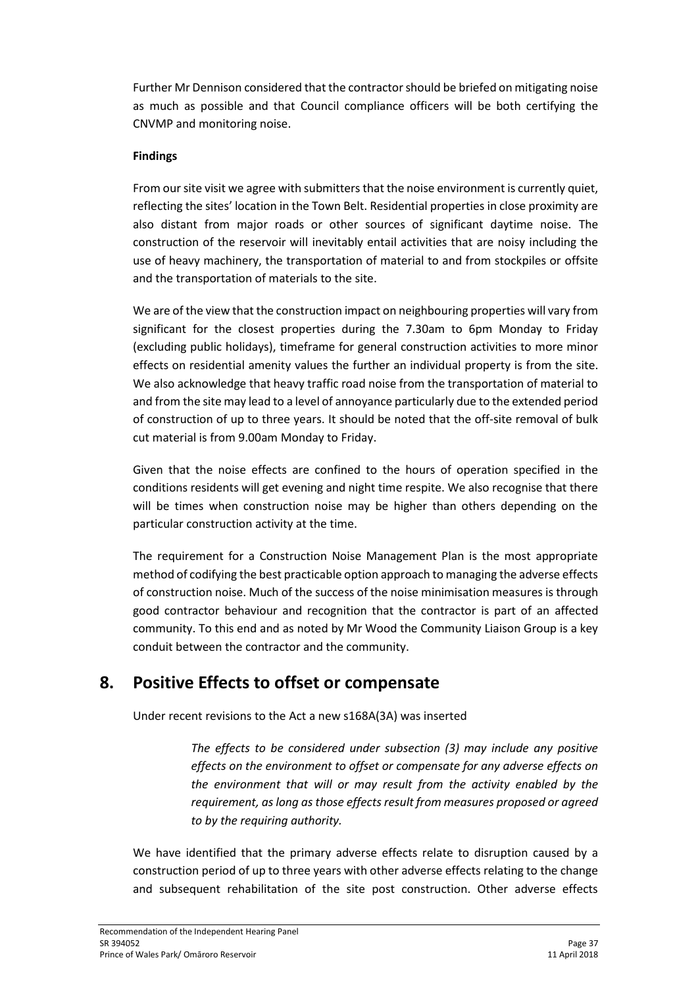Further Mr Dennison considered that the contractor should be briefed on mitigating noise as much as possible and that Council compliance officers will be both certifying the CNVMP and monitoring noise.

### **Findings**

From our site visit we agree with submitters that the noise environment is currently quiet, reflecting the sites' location in the Town Belt. Residential properties in close proximity are also distant from major roads or other sources of significant daytime noise. The construction of the reservoir will inevitably entail activities that are noisy including the use of heavy machinery, the transportation of material to and from stockpiles or offsite and the transportation of materials to the site.

We are of the view that the construction impact on neighbouring properties will vary from significant for the closest properties during the 7.30am to 6pm Monday to Friday (excluding public holidays), timeframe for general construction activities to more minor effects on residential amenity values the further an individual property is from the site. We also acknowledge that heavy traffic road noise from the transportation of material to and from the site may lead to a level of annoyance particularly due to the extended period of construction of up to three years. It should be noted that the off-site removal of bulk cut material is from 9.00am Monday to Friday.

Given that the noise effects are confined to the hours of operation specified in the conditions residents will get evening and night time respite. We also recognise that there will be times when construction noise may be higher than others depending on the particular construction activity at the time.

The requirement for a Construction Noise Management Plan is the most appropriate method of codifying the best practicable option approach to managing the adverse effects of construction noise. Much of the success of the noise minimisation measures is through good contractor behaviour and recognition that the contractor is part of an affected community. To this end and as noted by Mr Wood the Community Liaison Group is a key conduit between the contractor and the community.

# **8. Positive Effects to offset or compensate**

Under recent revisions to the Act a new s168A(3A) was inserted

*The effects to be considered under subsection (3) may include any positive effects on the environment to offset or compensate for any adverse effects on the environment that will or may result from the activity enabled by the requirement, as long as those effects result from measures proposed or agreed to by the requiring authority.*

We have identified that the primary adverse effects relate to disruption caused by a construction period of up to three years with other adverse effects relating to the change and subsequent rehabilitation of the site post construction. Other adverse effects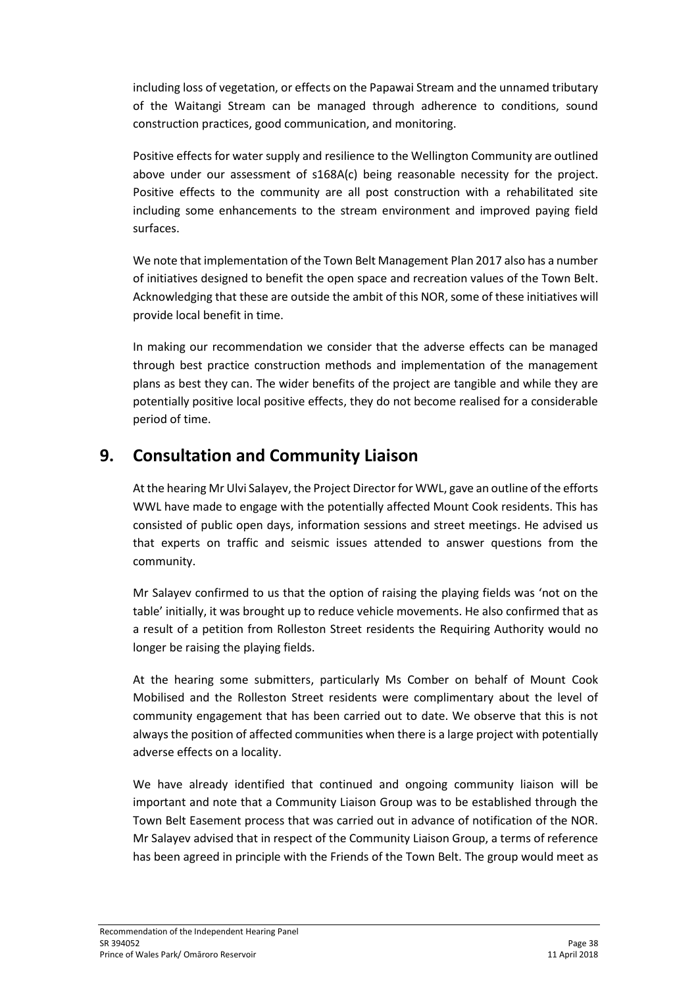including loss of vegetation, or effects on the Papawai Stream and the unnamed tributary of the Waitangi Stream can be managed through adherence to conditions, sound construction practices, good communication, and monitoring.

Positive effects for water supply and resilience to the Wellington Community are outlined above under our assessment of s168A(c) being reasonable necessity for the project. Positive effects to the community are all post construction with a rehabilitated site including some enhancements to the stream environment and improved paying field surfaces.

We note that implementation of the Town Belt Management Plan 2017 also has a number of initiatives designed to benefit the open space and recreation values of the Town Belt. Acknowledging that these are outside the ambit of this NOR, some of these initiatives will provide local benefit in time.

In making our recommendation we consider that the adverse effects can be managed through best practice construction methods and implementation of the management plans as best they can. The wider benefits of the project are tangible and while they are potentially positive local positive effects, they do not become realised for a considerable period of time.

# **9. Consultation and Community Liaison**

At the hearing Mr Ulvi Salayev, the Project Director for WWL, gave an outline of the efforts WWL have made to engage with the potentially affected Mount Cook residents. This has consisted of public open days, information sessions and street meetings. He advised us that experts on traffic and seismic issues attended to answer questions from the community.

Mr Salayev confirmed to us that the option of raising the playing fields was 'not on the table' initially, it was brought up to reduce vehicle movements. He also confirmed that as a result of a petition from Rolleston Street residents the Requiring Authority would no longer be raising the playing fields.

At the hearing some submitters, particularly Ms Comber on behalf of Mount Cook Mobilised and the Rolleston Street residents were complimentary about the level of community engagement that has been carried out to date. We observe that this is not always the position of affected communities when there is a large project with potentially adverse effects on a locality.

We have already identified that continued and ongoing community liaison will be important and note that a Community Liaison Group was to be established through the Town Belt Easement process that was carried out in advance of notification of the NOR. Mr Salayev advised that in respect of the Community Liaison Group, a terms of reference has been agreed in principle with the Friends of the Town Belt. The group would meet as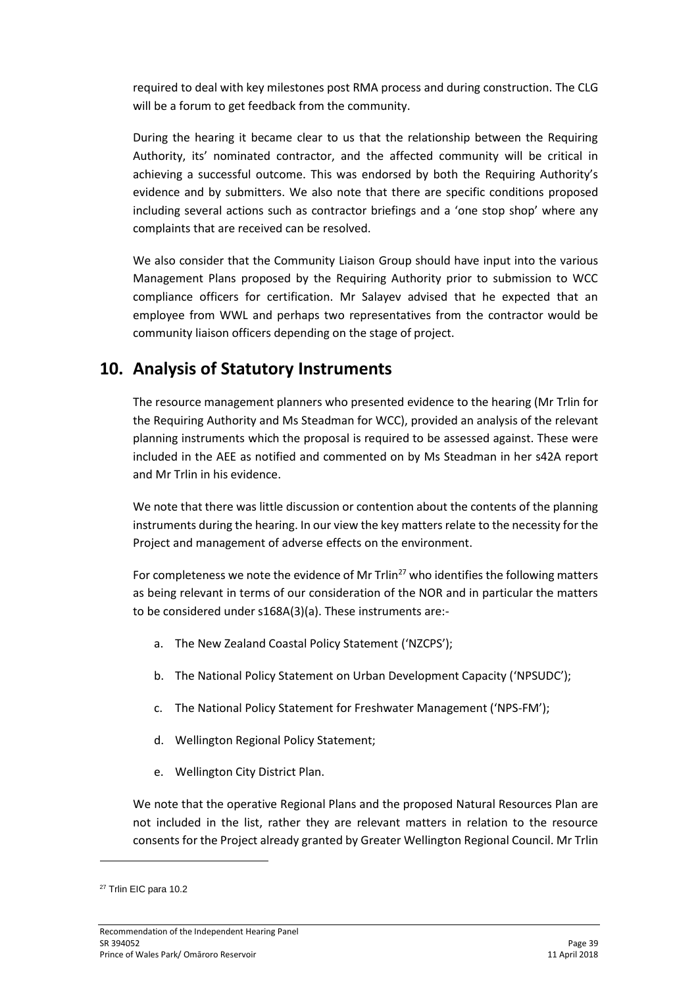required to deal with key milestones post RMA process and during construction. The CLG will be a forum to get feedback from the community.

During the hearing it became clear to us that the relationship between the Requiring Authority, its' nominated contractor, and the affected community will be critical in achieving a successful outcome. This was endorsed by both the Requiring Authority's evidence and by submitters. We also note that there are specific conditions proposed including several actions such as contractor briefings and a 'one stop shop' where any complaints that are received can be resolved.

We also consider that the Community Liaison Group should have input into the various Management Plans proposed by the Requiring Authority prior to submission to WCC compliance officers for certification. Mr Salayev advised that he expected that an employee from WWL and perhaps two representatives from the contractor would be community liaison officers depending on the stage of project.

# **10. Analysis of Statutory Instruments**

The resource management planners who presented evidence to the hearing (Mr Trlin for the Requiring Authority and Ms Steadman for WCC), provided an analysis of the relevant planning instruments which the proposal is required to be assessed against. These were included in the AEE as notified and commented on by Ms Steadman in her s42A report and Mr Trlin in his evidence.

We note that there was little discussion or contention about the contents of the planning instruments during the hearing. In our view the key matters relate to the necessity for the Project and management of adverse effects on the environment.

For completeness we note the evidence of Mr Trlin<sup>27</sup> who identifies the following matters as being relevant in terms of our consideration of the NOR and in particular the matters to be considered under s168A(3)(a). These instruments are:-

- a. The New Zealand Coastal Policy Statement ('NZCPS');
- b. The National Policy Statement on Urban Development Capacity ('NPSUDC');
- c. The National Policy Statement for Freshwater Management ('NPS-FM');
- d. Wellington Regional Policy Statement;
- e. Wellington City District Plan.

We note that the operative Regional Plans and the proposed Natural Resources Plan are not included in the list, rather they are relevant matters in relation to the resource consents for the Project already granted by Greater Wellington Regional Council. Mr Trlin

-

<sup>&</sup>lt;sup>27</sup> Trlin EIC para 10.2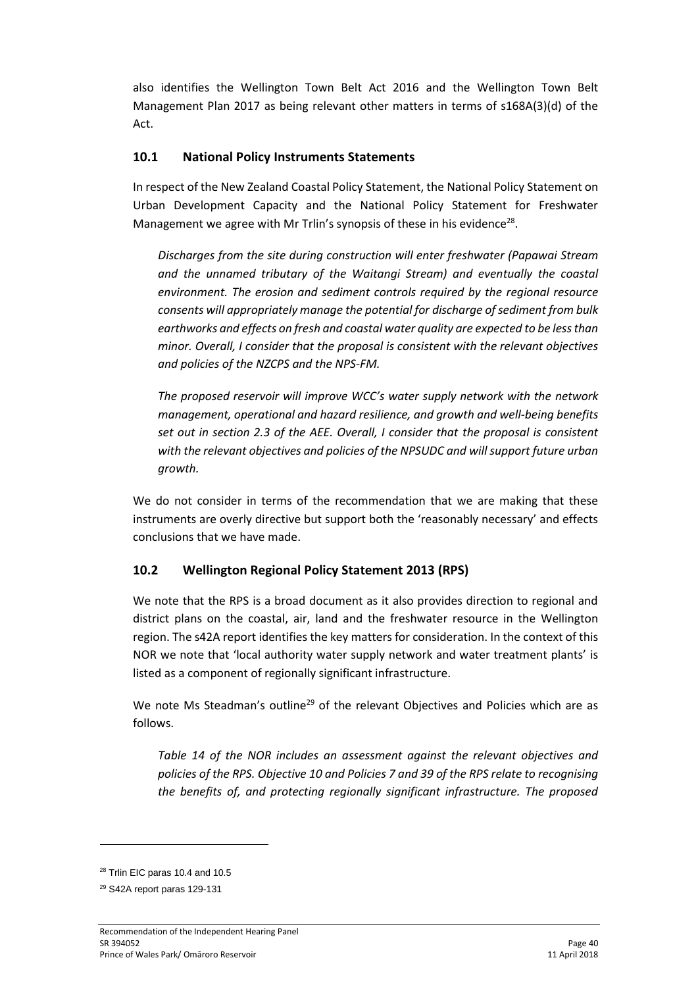also identifies the Wellington Town Belt Act 2016 and the Wellington Town Belt Management Plan 2017 as being relevant other matters in terms of s168A(3)(d) of the Act.

## **10.1 National Policy Instruments Statements**

In respect of the New Zealand Coastal Policy Statement, the National Policy Statement on Urban Development Capacity and the National Policy Statement for Freshwater Management we agree with Mr Trlin's synopsis of these in his evidence<sup>28</sup>.

*Discharges from the site during construction will enter freshwater (Papawai Stream and the unnamed tributary of the Waitangi Stream) and eventually the coastal environment. The erosion and sediment controls required by the regional resource consents will appropriately manage the potential for discharge of sediment from bulk earthworks and effects on fresh and coastal water quality are expected to be less than minor. Overall, I consider that the proposal is consistent with the relevant objectives and policies of the NZCPS and the NPS-FM.*

*The proposed reservoir will improve WCC's water supply network with the network management, operational and hazard resilience, and growth and well-being benefits set out in section 2.3 of the AEE. Overall, I consider that the proposal is consistent with the relevant objectives and policies of the NPSUDC and will support future urban growth.*

We do not consider in terms of the recommendation that we are making that these instruments are overly directive but support both the 'reasonably necessary' and effects conclusions that we have made.

# **10.2 Wellington Regional Policy Statement 2013 (RPS)**

We note that the RPS is a broad document as it also provides direction to regional and district plans on the coastal, air, land and the freshwater resource in the Wellington region. The s42A report identifies the key matters for consideration. In the context of this NOR we note that 'local authority water supply network and water treatment plants' is listed as a component of regionally significant infrastructure.

We note Ms Steadman's outline<sup>29</sup> of the relevant Objectives and Policies which are as follows.

*Table 14 of the NOR includes an assessment against the relevant objectives and policies of the RPS. Objective 10 and Policies 7 and 39 of the RPS relate to recognising the benefits of, and protecting regionally significant infrastructure. The proposed* 

**.** 

 $28$  Trlin EIC paras 10.4 and 10.5

<sup>29</sup> S42A report paras 129-131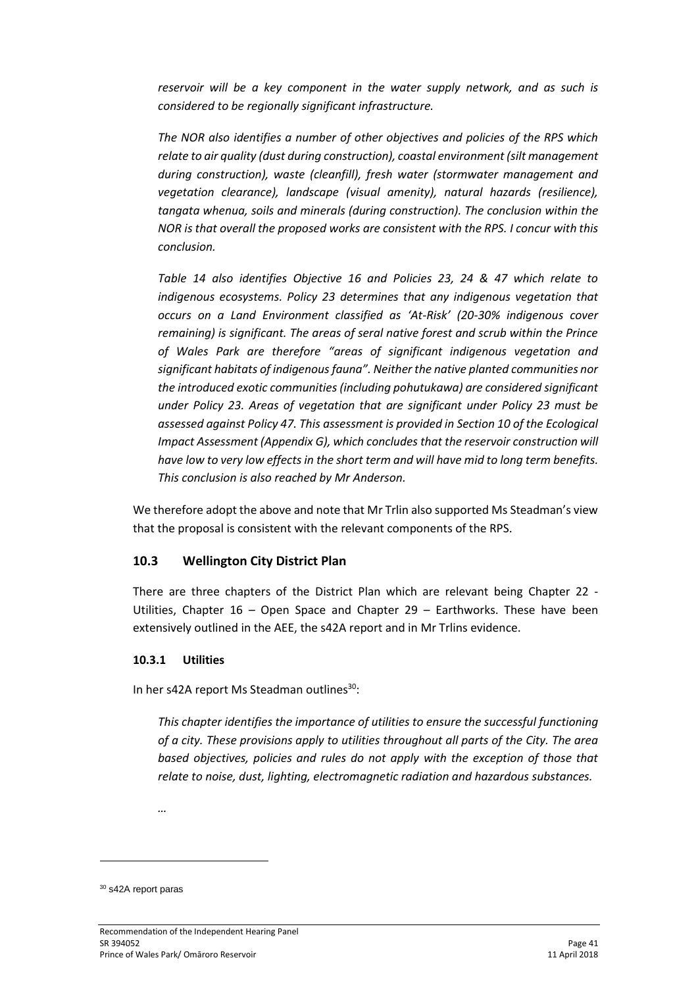*reservoir will be a key component in the water supply network, and as such is considered to be regionally significant infrastructure.* 

*The NOR also identifies a number of other objectives and policies of the RPS which relate to air quality (dust during construction), coastal environment (silt management during construction), waste (cleanfill), fresh water (stormwater management and vegetation clearance), landscape (visual amenity), natural hazards (resilience), tangata whenua, soils and minerals (during construction). The conclusion within the NOR is that overall the proposed works are consistent with the RPS. I concur with this conclusion.*

*Table 14 also identifies Objective 16 and Policies 23, 24 & 47 which relate to indigenous ecosystems. Policy 23 determines that any indigenous vegetation that occurs on a Land Environment classified as 'At-Risk' (20-30% indigenous cover remaining) is significant. The areas of seral native forest and scrub within the Prince of Wales Park are therefore "areas of significant indigenous vegetation and significant habitats of indigenous fauna". Neither the native planted communities nor the introduced exotic communities (including pohutukawa) are considered significant under Policy 23. Areas of vegetation that are significant under Policy 23 must be assessed against Policy 47. This assessment is provided in Section 10 of the Ecological Impact Assessment (Appendix G), which concludes that the reservoir construction will have low to very low effects in the short term and will have mid to long term benefits. This conclusion is also reached by Mr Anderson.* 

We therefore adopt the above and note that Mr Trlin also supported Ms Steadman's view that the proposal is consistent with the relevant components of the RPS.

### **10.3 Wellington City District Plan**

There are three chapters of the District Plan which are relevant being Chapter 22 - Utilities, Chapter 16 – Open Space and Chapter 29 – Earthworks. These have been extensively outlined in the AEE, the s42A report and in Mr Trlins evidence.

### **10.3.1 Utilities**

In her s42A report Ms Steadman outlines<sup>30</sup>:

*This chapter identifies the importance of utilities to ensure the successful functioning of a city. These provisions apply to utilities throughout all parts of the City. The area based objectives, policies and rules do not apply with the exception of those that relate to noise, dust, lighting, electromagnetic radiation and hazardous substances.*

*…*

-

<sup>30</sup> s42A report paras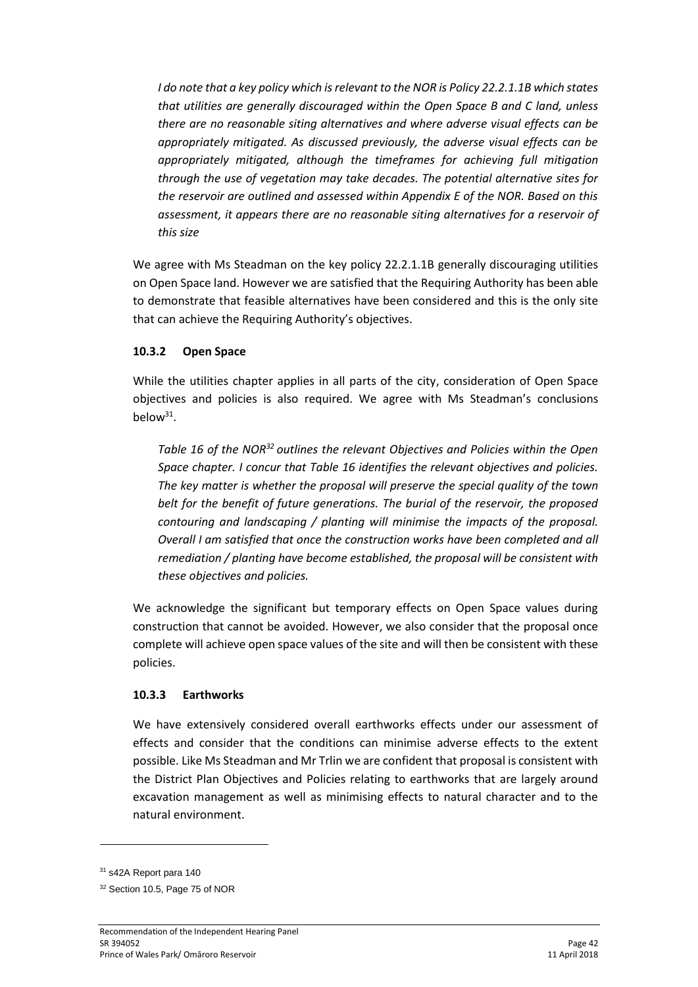*I do note that a key policy which is relevant to the NOR is Policy 22.2.1.1B which states that utilities are generally discouraged within the Open Space B and C land, unless there are no reasonable siting alternatives and where adverse visual effects can be appropriately mitigated. As discussed previously, the adverse visual effects can be appropriately mitigated, although the timeframes for achieving full mitigation through the use of vegetation may take decades. The potential alternative sites for the reservoir are outlined and assessed within Appendix E of the NOR. Based on this assessment, it appears there are no reasonable siting alternatives for a reservoir of this size*

We agree with Ms Steadman on the key policy 22.2.1.1B generally discouraging utilities on Open Space land. However we are satisfied that the Requiring Authority has been able to demonstrate that feasible alternatives have been considered and this is the only site that can achieve the Requiring Authority's objectives.

### **10.3.2 Open Space**

While the utilities chapter applies in all parts of the city, consideration of Open Space objectives and policies is also required. We agree with Ms Steadman's conclusions below $31$ .

*Table 16 of the NOR<sup>32</sup> outlines the relevant Objectives and Policies within the Open Space chapter. I concur that Table 16 identifies the relevant objectives and policies. The key matter is whether the proposal will preserve the special quality of the town belt for the benefit of future generations. The burial of the reservoir, the proposed contouring and landscaping / planting will minimise the impacts of the proposal. Overall I am satisfied that once the construction works have been completed and all remediation / planting have become established, the proposal will be consistent with these objectives and policies.*

We acknowledge the significant but temporary effects on Open Space values during construction that cannot be avoided. However, we also consider that the proposal once complete will achieve open space values of the site and will then be consistent with these policies.

### **10.3.3 Earthworks**

We have extensively considered overall earthworks effects under our assessment of effects and consider that the conditions can minimise adverse effects to the extent possible. Like Ms Steadman and Mr Trlin we are confident that proposal is consistent with the District Plan Objectives and Policies relating to earthworks that are largely around excavation management as well as minimising effects to natural character and to the natural environment.

**.** 

<sup>&</sup>lt;sup>31</sup> s42A Report para 140

<sup>32</sup> Section 10.5, Page 75 of NOR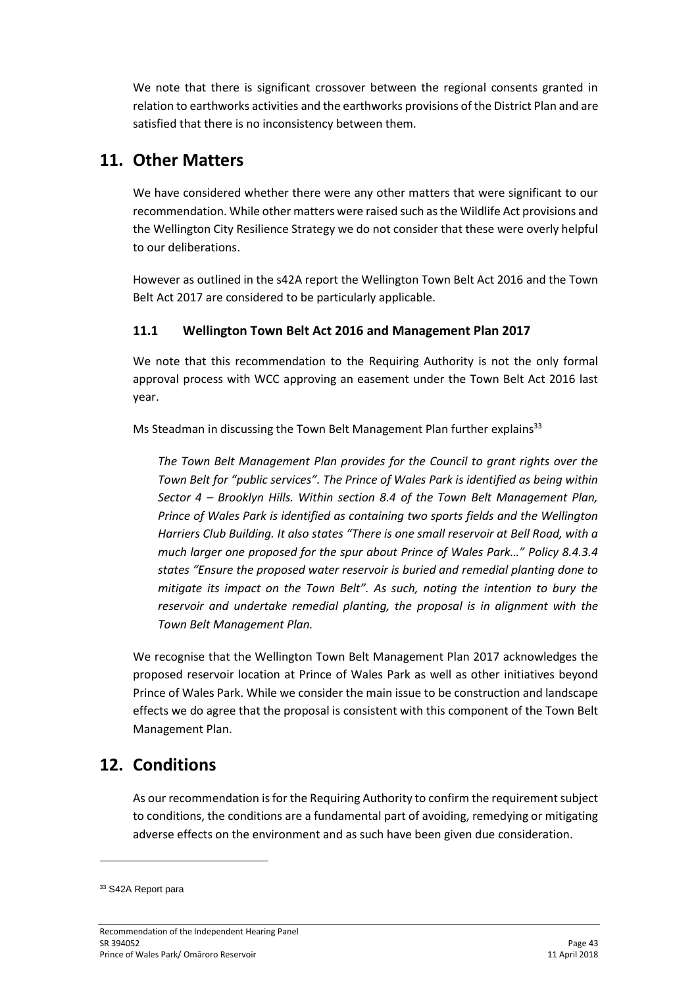We note that there is significant crossover between the regional consents granted in relation to earthworks activities and the earthworks provisions of the District Plan and are satisfied that there is no inconsistency between them.

# **11. Other Matters**

We have considered whether there were any other matters that were significant to our recommendation. While other matters were raised such as the Wildlife Act provisions and the Wellington City Resilience Strategy we do not consider that these were overly helpful to our deliberations.

However as outlined in the s42A report the Wellington Town Belt Act 2016 and the Town Belt Act 2017 are considered to be particularly applicable.

# **11.1 Wellington Town Belt Act 2016 and Management Plan 2017**

We note that this recommendation to the Requiring Authority is not the only formal approval process with WCC approving an easement under the Town Belt Act 2016 last year.

Ms Steadman in discussing the Town Belt Management Plan further explains $33$ 

*The Town Belt Management Plan provides for the Council to grant rights over the Town Belt for "public services". The Prince of Wales Park is identified as being within Sector 4 – Brooklyn Hills. Within section 8.4 of the Town Belt Management Plan, Prince of Wales Park is identified as containing two sports fields and the Wellington Harriers Club Building. It also states "There is one small reservoir at Bell Road, with a much larger one proposed for the spur about Prince of Wales Park…" Policy 8.4.3.4 states "Ensure the proposed water reservoir is buried and remedial planting done to mitigate its impact on the Town Belt". As such, noting the intention to bury the reservoir and undertake remedial planting, the proposal is in alignment with the Town Belt Management Plan.*

We recognise that the Wellington Town Belt Management Plan 2017 acknowledges the proposed reservoir location at Prince of Wales Park as well as other initiatives beyond Prince of Wales Park. While we consider the main issue to be construction and landscape effects we do agree that the proposal is consistent with this component of the Town Belt Management Plan.

# **12. Conditions**

As our recommendation is for the Requiring Authority to confirm the requirementsubject to conditions, the conditions are a fundamental part of avoiding, remedying or mitigating adverse effects on the environment and as such have been given due consideration.

-

<sup>&</sup>lt;sup>33</sup> S42A Report para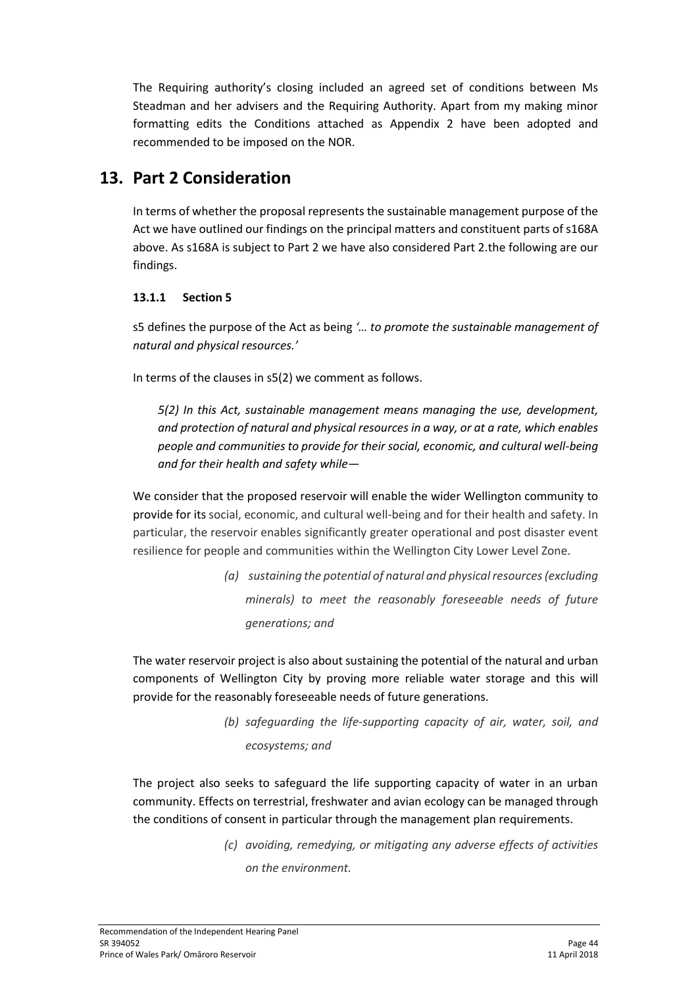The Requiring authority's closing included an agreed set of conditions between Ms Steadman and her advisers and the Requiring Authority. Apart from my making minor formatting edits the Conditions attached as Appendix 2 have been adopted and recommended to be imposed on the NOR.

# **13. Part 2 Consideration**

In terms of whether the proposal represents the sustainable management purpose of the Act we have outlined our findings on the principal matters and constituent parts of s168A above. As s168A is subject to Part 2 we have also considered Part 2.the following are our findings.

### **13.1.1 Section 5**

s5 defines the purpose of the Act as being *'… to promote the sustainable management of natural and physical resources.'* 

In terms of the clauses in s5(2) we comment as follows.

*5(2) In this Act, sustainable management means managing the use, development, and protection of natural and physical resources in a way, or at a rate, which enables people and communities to provide for their social, economic, and cultural well-being and for their health and safety while—*

We consider that the proposed reservoir will enable the wider Wellington community to provide for its social, economic, and cultural well-being and for their health and safety. In particular, the reservoir enables significantly greater operational and post disaster event resilience for people and communities within the Wellington City Lower Level Zone.

> *(a) sustaining the potential of natural and physical resources (excluding minerals) to meet the reasonably foreseeable needs of future generations; and*

The water reservoir project is also about sustaining the potential of the natural and urban components of Wellington City by proving more reliable water storage and this will provide for the reasonably foreseeable needs of future generations.

> *(b) safeguarding the life-supporting capacity of air, water, soil, and ecosystems; and*

The project also seeks to safeguard the life supporting capacity of water in an urban community. Effects on terrestrial, freshwater and avian ecology can be managed through the conditions of consent in particular through the management plan requirements.

> *(c) avoiding, remedying, or mitigating any adverse effects of activities on the environment.*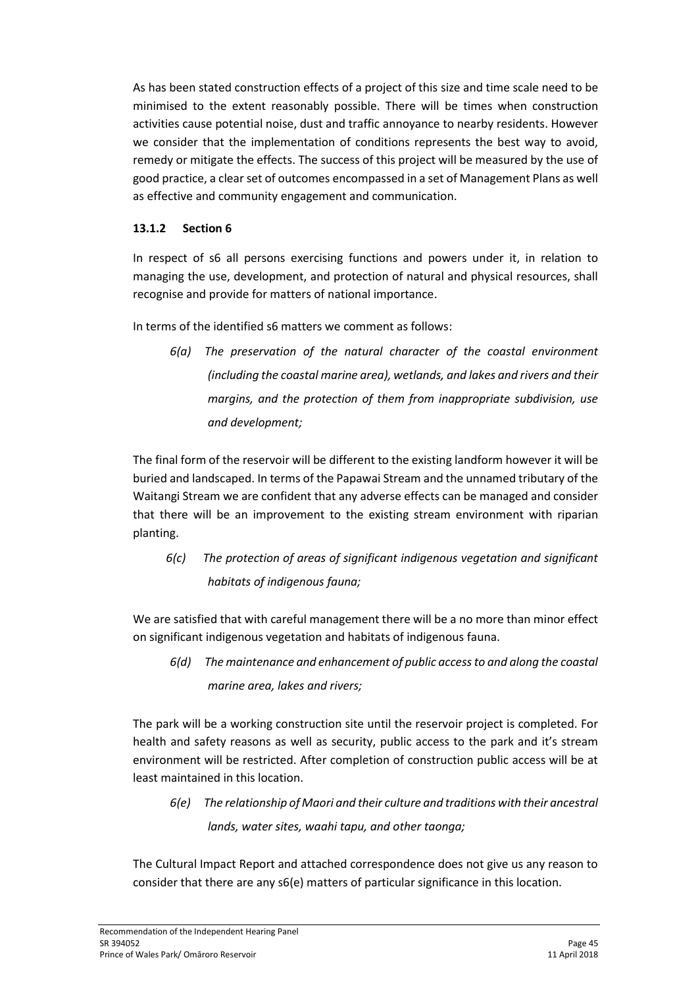As has been stated construction effects of a project of this size and time scale need to be minimised to the extent reasonably possible. There will be times when construction activities cause potential noise, dust and traffic annoyance to nearby residents. However we consider that the implementation of conditions represents the best way to avoid, remedy or mitigate the effects. The success of this project will be measured by the use of good practice, a clear set of outcomes encompassed in a set of Management Plans as well as effective and community engagement and communication.

### **13.1.2 Section 6**

In respect of s6 all persons exercising functions and powers under it, in relation to managing the use, development, and protection of natural and physical resources, shall recognise and provide for matters of national importance.

In terms of the identified s6 matters we comment as follows:

*6(a) The preservation of the natural character of the coastal environment (including the coastal marine area), wetlands, and lakes and rivers and their margins, and the protection of them from inappropriate subdivision, use and development;* 

The final form of the reservoir will be different to the existing landform however it will be buried and landscaped. In terms of the Papawai Stream and the unnamed tributary of the Waitangi Stream we are confident that any adverse effects can be managed and consider that there will be an improvement to the existing stream environment with riparian planting.

*6(c) The protection of areas of significant indigenous vegetation and significant habitats of indigenous fauna;*

We are satisfied that with careful management there will be a no more than minor effect on significant indigenous vegetation and habitats of indigenous fauna.

*6(d) The maintenance and enhancement of public access to and along the coastal marine area, lakes and rivers;*

The park will be a working construction site until the reservoir project is completed. For health and safety reasons as well as security, public access to the park and it's stream environment will be restricted. After completion of construction public access will be at least maintained in this location.

*6(e) The relationship of Maori and their culture and traditions with their ancestral lands, water sites, waahi tapu, and other taonga;* 

The Cultural Impact Report and attached correspondence does not give us any reason to consider that there are any s6(e) matters of particular significance in this location.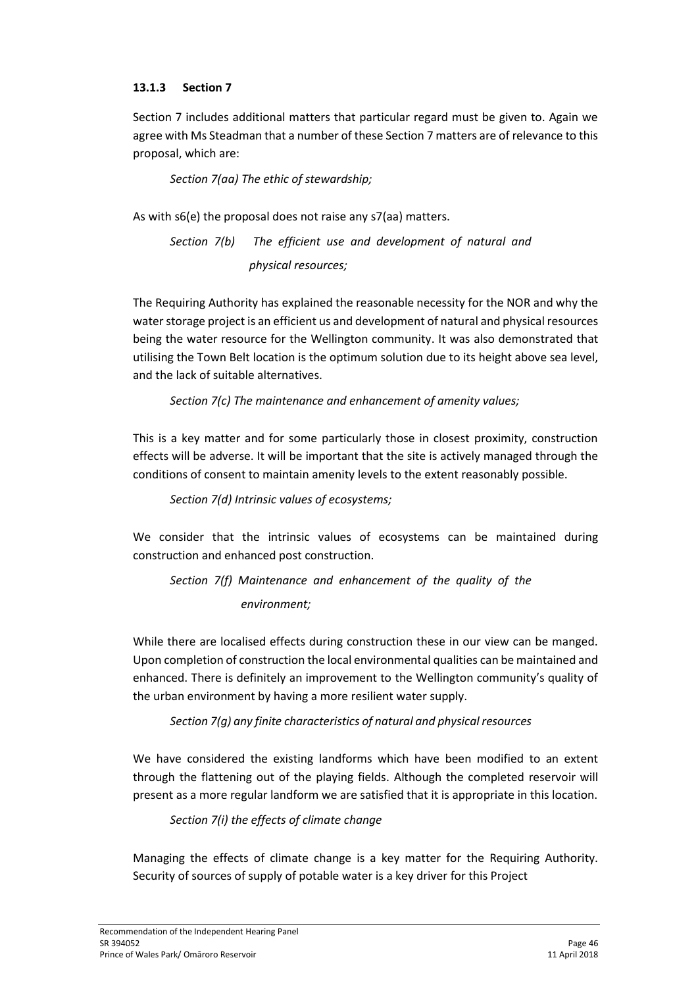### **13.1.3 Section 7**

Section 7 includes additional matters that particular regard must be given to. Again we agree with Ms Steadman that a number of these Section 7 matters are of relevance to this proposal, which are:

*Section 7(aa) The ethic of stewardship;*

As with s6(e) the proposal does not raise any s7(aa) matters.

*Section 7(b) The efficient use and development of natural and physical resources;*

The Requiring Authority has explained the reasonable necessity for the NOR and why the water storage project is an efficient us and development of natural and physical resources being the water resource for the Wellington community. It was also demonstrated that utilising the Town Belt location is the optimum solution due to its height above sea level, and the lack of suitable alternatives.

*Section 7(c) The maintenance and enhancement of amenity values;*

This is a key matter and for some particularly those in closest proximity, construction effects will be adverse. It will be important that the site is actively managed through the conditions of consent to maintain amenity levels to the extent reasonably possible.

*Section 7(d) Intrinsic values of ecosystems;*

We consider that the intrinsic values of ecosystems can be maintained during construction and enhanced post construction.

*Section 7(f) Maintenance and enhancement of the quality of the environment;*

While there are localised effects during construction these in our view can be manged. Upon completion of construction the local environmental qualities can be maintained and enhanced. There is definitely an improvement to the Wellington community's quality of the urban environment by having a more resilient water supply.

*Section 7(g) any finite characteristics of natural and physical resources*

We have considered the existing landforms which have been modified to an extent through the flattening out of the playing fields. Although the completed reservoir will present as a more regular landform we are satisfied that it is appropriate in this location.

*Section 7(i) the effects of climate change*

Managing the effects of climate change is a key matter for the Requiring Authority. Security of sources of supply of potable water is a key driver for this Project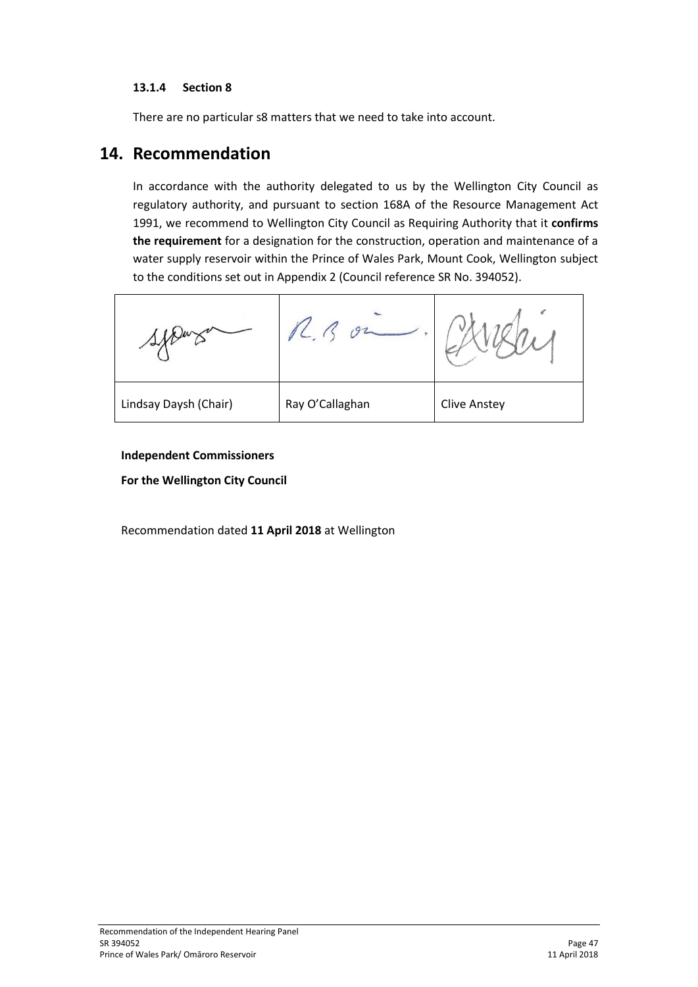### **13.1.4 Section 8**

There are no particular s8 matters that we need to take into account.

# **14. Recommendation**

In accordance with the authority delegated to us by the Wellington City Council as regulatory authority, and pursuant to section 168A of the Resource Management Act 1991, we recommend to Wellington City Council as Requiring Authority that it **confirms the requirement** for a designation for the construction, operation and maintenance of a water supply reservoir within the Prince of Wales Park, Mount Cook, Wellington subject to the conditions set out in Appendix 2 (Council reference SR No. 394052).

| Lindsay Daysh (Chair) | Ray O'Callaghan | <b>Clive Anstey</b> |
|-----------------------|-----------------|---------------------|

#### **Independent Commissioners**

**For the Wellington City Council**

Recommendation dated **11 April 2018** at Wellington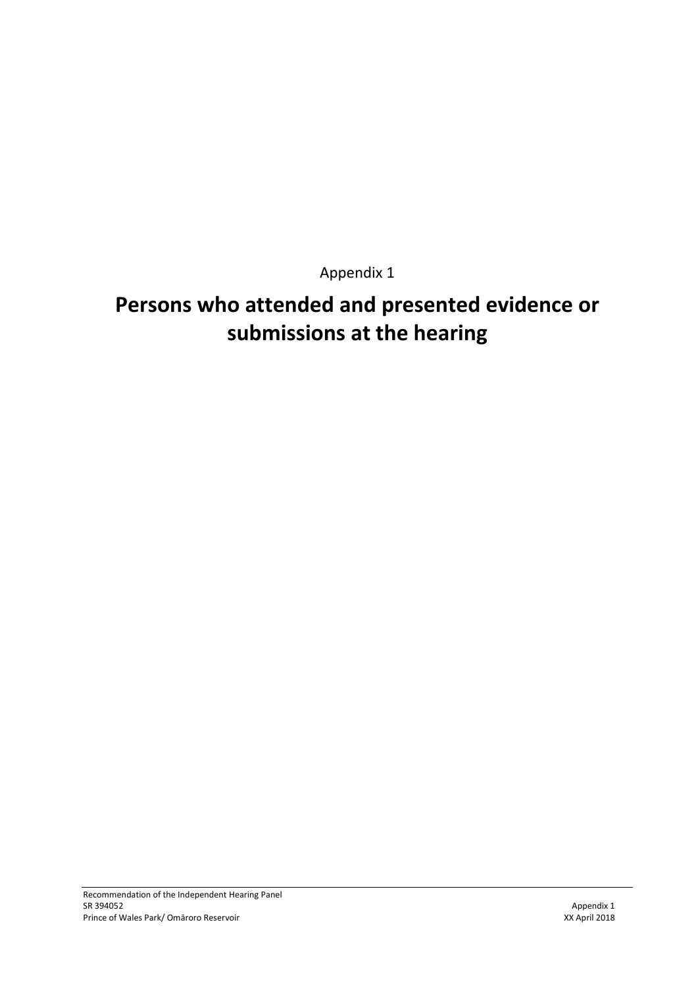Appendix 1

# **Persons who attended and presented evidence or submissions at the hearing**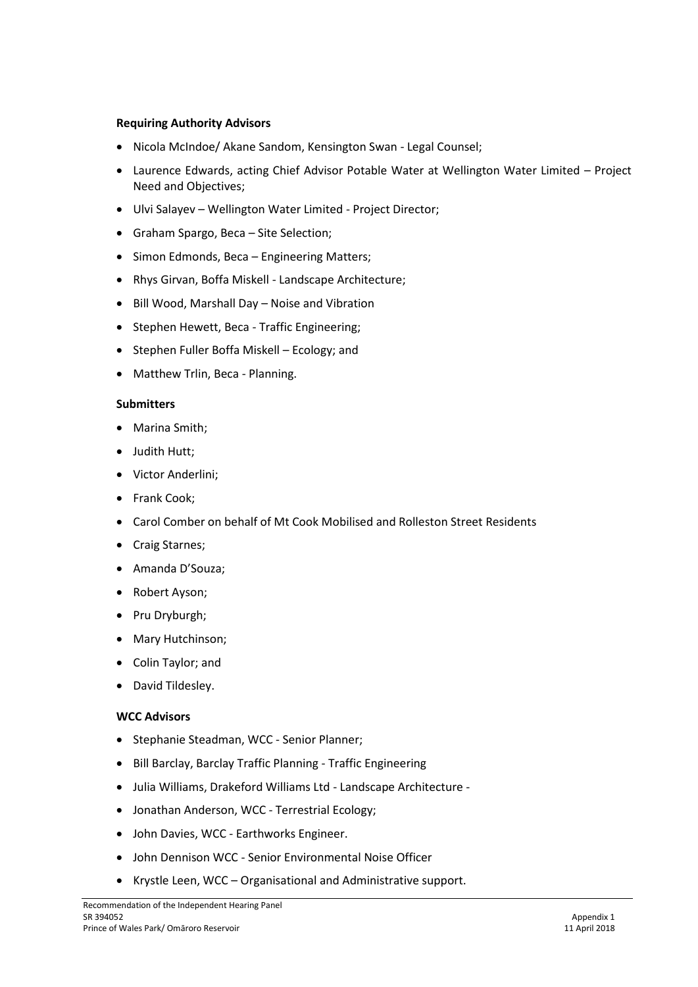#### **Requiring Authority Advisors**

- Nicola McIndoe/ Akane Sandom, Kensington Swan Legal Counsel;
- Laurence Edwards, acting Chief Advisor Potable Water at Wellington Water Limited Project Need and Objectives;
- Ulvi Salayev Wellington Water Limited Project Director;
- Graham Spargo, Beca Site Selection;
- Simon Edmonds, Beca Engineering Matters;
- Rhys Girvan, Boffa Miskell Landscape Architecture;
- Bill Wood, Marshall Day Noise and Vibration
- Stephen Hewett, Beca Traffic Engineering;
- Stephen Fuller Boffa Miskell Ecology; and
- Matthew Trlin, Beca Planning.

#### **Submitters**

- Marina Smith:
- Judith Hutt;
- Victor Anderlini;
- Frank Cook;
- Carol Comber on behalf of Mt Cook Mobilised and Rolleston Street Residents
- Craig Starnes;
- Amanda D'Souza;
- Robert Avson:
- Pru Dryburgh;
- Mary Hutchinson;
- Colin Taylor; and
- David Tildesley.

#### **WCC Advisors**

- Stephanie Steadman, WCC Senior Planner;
- Bill Barclay, Barclay Traffic Planning Traffic Engineering
- Julia Williams, Drakeford Williams Ltd Landscape Architecture -
- Jonathan Anderson, WCC Terrestrial Ecology;
- John Davies, WCC Earthworks Engineer.
- John Dennison WCC Senior Environmental Noise Officer
- Krystle Leen, WCC Organisational and Administrative support.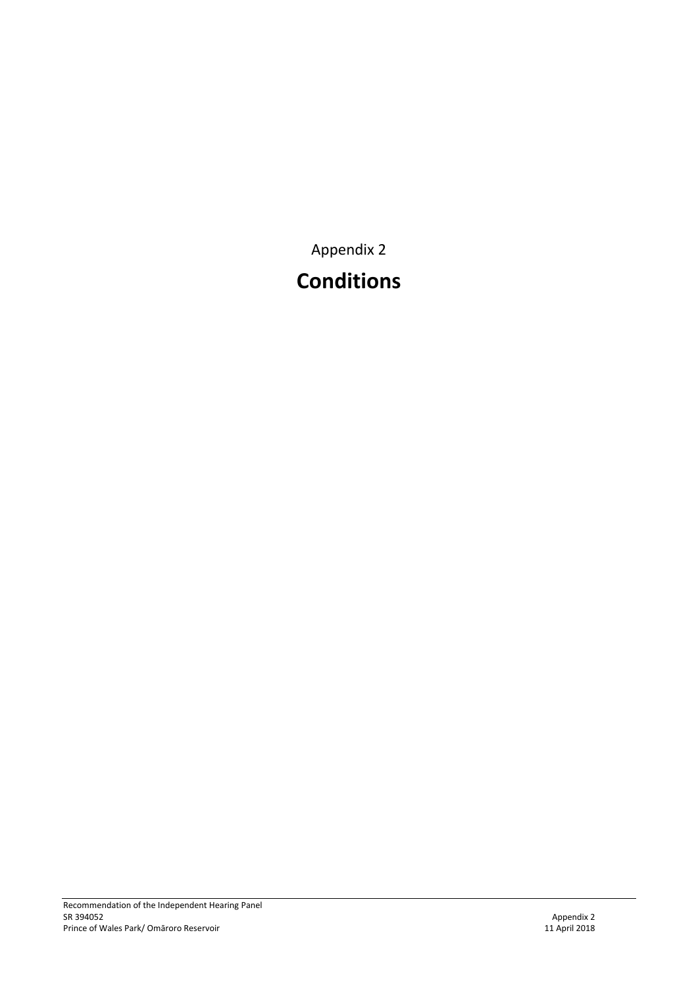Appendix 2

# **Conditions**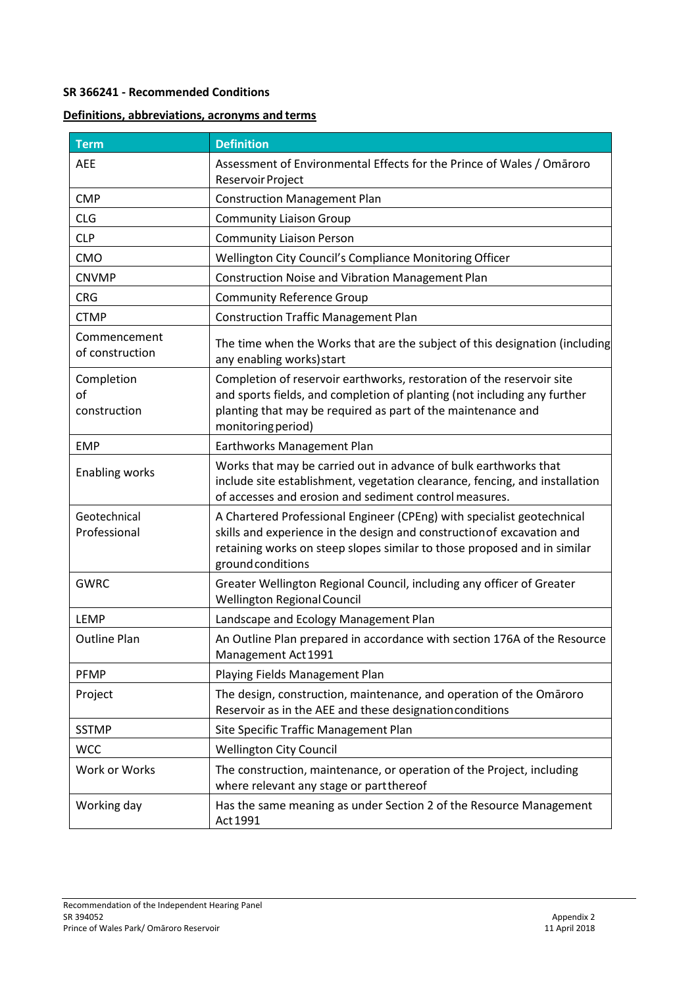### **SR 366241 - Recommended Conditions**

### **Definitions, abbreviations, acronyms and terms**

| <b>Term</b>                      | <b>Definition</b>                                                                                                                                                                                                                                 |
|----------------------------------|---------------------------------------------------------------------------------------------------------------------------------------------------------------------------------------------------------------------------------------------------|
| <b>AEE</b>                       | Assessment of Environmental Effects for the Prince of Wales / Omaroro<br>Reservoir Project                                                                                                                                                        |
| <b>CMP</b>                       | <b>Construction Management Plan</b>                                                                                                                                                                                                               |
| <b>CLG</b>                       | <b>Community Liaison Group</b>                                                                                                                                                                                                                    |
| <b>CLP</b>                       | <b>Community Liaison Person</b>                                                                                                                                                                                                                   |
| CMO                              | Wellington City Council's Compliance Monitoring Officer                                                                                                                                                                                           |
| <b>CNVMP</b>                     | <b>Construction Noise and Vibration Management Plan</b>                                                                                                                                                                                           |
| <b>CRG</b>                       | <b>Community Reference Group</b>                                                                                                                                                                                                                  |
| <b>CTMP</b>                      | <b>Construction Traffic Management Plan</b>                                                                                                                                                                                                       |
| Commencement<br>of construction  | The time when the Works that are the subject of this designation (including<br>any enabling works) start                                                                                                                                          |
| Completion<br>of<br>construction | Completion of reservoir earthworks, restoration of the reservoir site<br>and sports fields, and completion of planting (not including any further<br>planting that may be required as part of the maintenance and<br>monitoring period)           |
| <b>EMP</b>                       | Earthworks Management Plan                                                                                                                                                                                                                        |
| <b>Enabling works</b>            | Works that may be carried out in advance of bulk earthworks that<br>include site establishment, vegetation clearance, fencing, and installation<br>of accesses and erosion and sediment control measures.                                         |
| Geotechnical<br>Professional     | A Chartered Professional Engineer (CPEng) with specialist geotechnical<br>skills and experience in the design and construction of excavation and<br>retaining works on steep slopes similar to those proposed and in similar<br>ground conditions |
| <b>GWRC</b>                      | Greater Wellington Regional Council, including any officer of Greater<br><b>Wellington Regional Council</b>                                                                                                                                       |
| <b>LEMP</b>                      | Landscape and Ecology Management Plan                                                                                                                                                                                                             |
| <b>Outline Plan</b>              | An Outline Plan prepared in accordance with section 176A of the Resource<br>Management Act 1991                                                                                                                                                   |
| <b>PFMP</b>                      | Playing Fields Management Plan                                                                                                                                                                                                                    |
| Project                          | The design, construction, maintenance, and operation of the Omaroro<br>Reservoir as in the AEE and these designation conditions                                                                                                                   |
| <b>SSTMP</b>                     | Site Specific Traffic Management Plan                                                                                                                                                                                                             |
| <b>WCC</b>                       | <b>Wellington City Council</b>                                                                                                                                                                                                                    |
| Work or Works                    | The construction, maintenance, or operation of the Project, including<br>where relevant any stage or partthereof                                                                                                                                  |
| Working day                      | Has the same meaning as under Section 2 of the Resource Management<br>Act 1991                                                                                                                                                                    |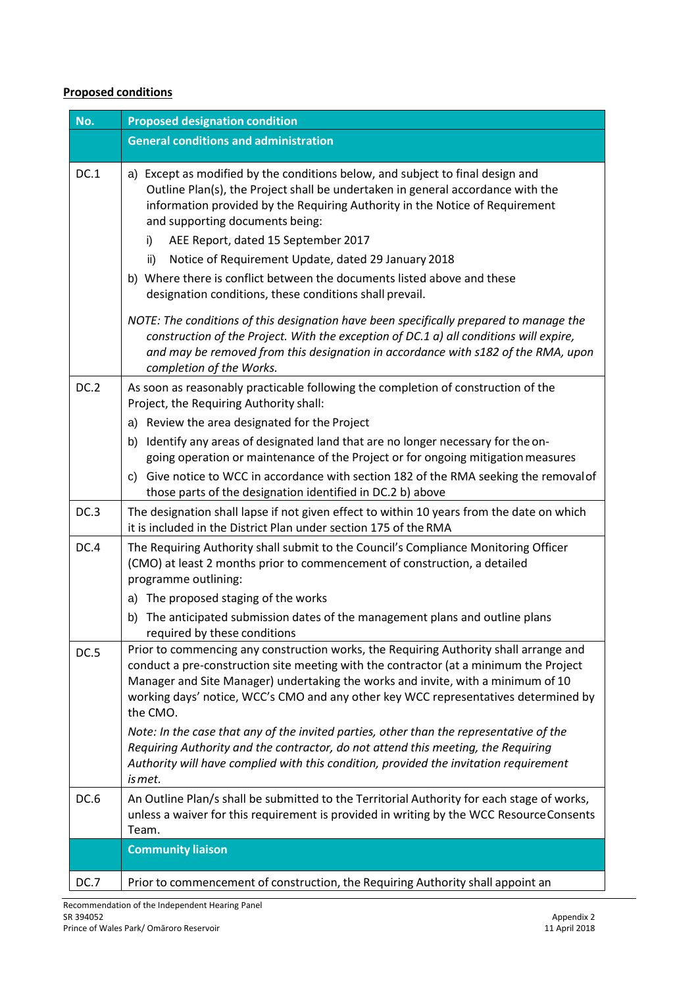# **Proposed conditions**

| No.         | <b>Proposed designation condition</b>                                                                                                                                                                                                                                                                                                                                 |  |  |
|-------------|-----------------------------------------------------------------------------------------------------------------------------------------------------------------------------------------------------------------------------------------------------------------------------------------------------------------------------------------------------------------------|--|--|
|             | <b>General conditions and administration</b>                                                                                                                                                                                                                                                                                                                          |  |  |
| DC.1        | a) Except as modified by the conditions below, and subject to final design and<br>Outline Plan(s), the Project shall be undertaken in general accordance with the<br>information provided by the Requiring Authority in the Notice of Requirement<br>and supporting documents being:                                                                                  |  |  |
|             | AEE Report, dated 15 September 2017<br>i)                                                                                                                                                                                                                                                                                                                             |  |  |
|             | Notice of Requirement Update, dated 29 January 2018<br>ii)                                                                                                                                                                                                                                                                                                            |  |  |
|             | b) Where there is conflict between the documents listed above and these<br>designation conditions, these conditions shall prevail.                                                                                                                                                                                                                                    |  |  |
|             | NOTE: The conditions of this designation have been specifically prepared to manage the<br>construction of the Project. With the exception of DC.1 a) all conditions will expire,<br>and may be removed from this designation in accordance with s182 of the RMA, upon<br>completion of the Works.                                                                     |  |  |
| <b>DC.2</b> | As soon as reasonably practicable following the completion of construction of the<br>Project, the Requiring Authority shall:                                                                                                                                                                                                                                          |  |  |
|             | Review the area designated for the Project<br>a)                                                                                                                                                                                                                                                                                                                      |  |  |
|             | Identify any areas of designated land that are no longer necessary for the on-<br>b)<br>going operation or maintenance of the Project or for ongoing mitigation measures                                                                                                                                                                                              |  |  |
|             | c) Give notice to WCC in accordance with section 182 of the RMA seeking the removal of<br>those parts of the designation identified in DC.2 b) above                                                                                                                                                                                                                  |  |  |
| DC.3        | The designation shall lapse if not given effect to within 10 years from the date on which<br>it is included in the District Plan under section 175 of the RMA                                                                                                                                                                                                         |  |  |
| DC.4        | The Requiring Authority shall submit to the Council's Compliance Monitoring Officer<br>(CMO) at least 2 months prior to commencement of construction, a detailed<br>programme outlining:                                                                                                                                                                              |  |  |
|             | The proposed staging of the works<br>a)                                                                                                                                                                                                                                                                                                                               |  |  |
|             | The anticipated submission dates of the management plans and outline plans<br>b)<br>required by these conditions                                                                                                                                                                                                                                                      |  |  |
| DC.5        | Prior to commencing any construction works, the Requiring Authority shall arrange and<br>conduct a pre-construction site meeting with the contractor (at a minimum the Project<br>Manager and Site Manager) undertaking the works and invite, with a minimum of 10<br>working days' notice, WCC's CMO and any other key WCC representatives determined by<br>the CMO. |  |  |
|             | Note: In the case that any of the invited parties, other than the representative of the<br>Requiring Authority and the contractor, do not attend this meeting, the Requiring<br>Authority will have complied with this condition, provided the invitation requirement<br>is met.                                                                                      |  |  |
| DC.6        | An Outline Plan/s shall be submitted to the Territorial Authority for each stage of works,<br>unless a waiver for this requirement is provided in writing by the WCC Resource Consents<br>Team.                                                                                                                                                                       |  |  |
|             | <b>Community liaison</b>                                                                                                                                                                                                                                                                                                                                              |  |  |
| DC.7        | Prior to commencement of construction, the Requiring Authority shall appoint an                                                                                                                                                                                                                                                                                       |  |  |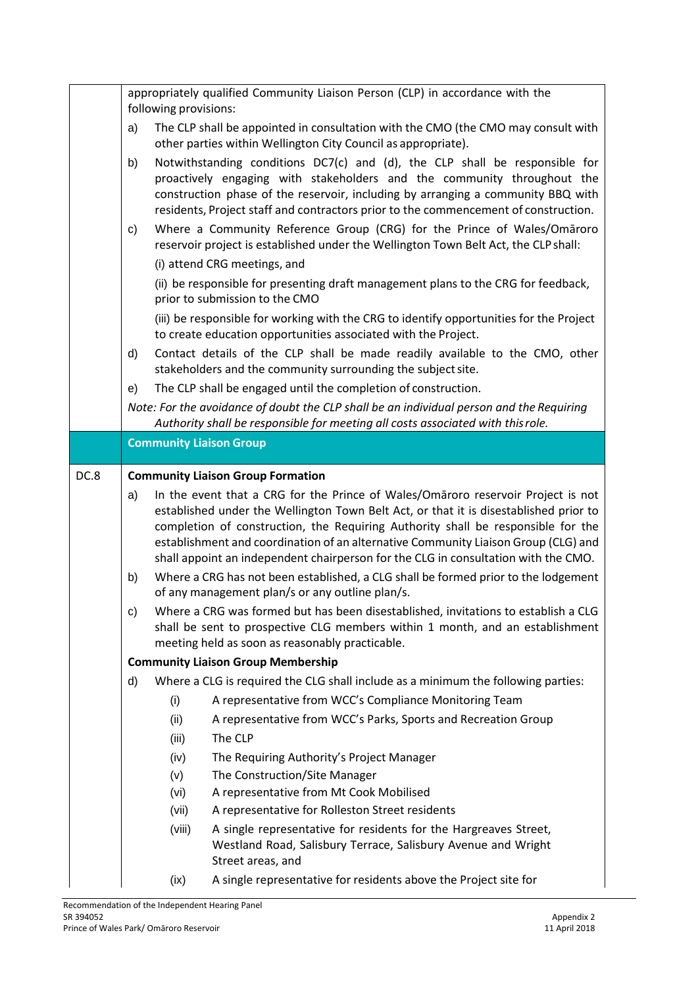|      | appropriately qualified Community Liaison Person (CLP) in accordance with the<br>following provisions: |        |                                                                                                                                                                                                                                                                                                                                   |
|------|--------------------------------------------------------------------------------------------------------|--------|-----------------------------------------------------------------------------------------------------------------------------------------------------------------------------------------------------------------------------------------------------------------------------------------------------------------------------------|
|      | a)                                                                                                     |        | The CLP shall be appointed in consultation with the CMO (the CMO may consult with<br>other parties within Wellington City Council as appropriate).                                                                                                                                                                                |
|      | b)                                                                                                     |        | Notwithstanding conditions DC7(c) and (d), the CLP shall be responsible for<br>proactively engaging with stakeholders and the community throughout the<br>construction phase of the reservoir, including by arranging a community BBQ with<br>residents, Project staff and contractors prior to the commencement of construction. |
|      | C)                                                                                                     |        | Where a Community Reference Group (CRG) for the Prince of Wales/Omaroro<br>reservoir project is established under the Wellington Town Belt Act, the CLP shall:                                                                                                                                                                    |
|      |                                                                                                        |        | (i) attend CRG meetings, and                                                                                                                                                                                                                                                                                                      |
|      |                                                                                                        |        | (ii) be responsible for presenting draft management plans to the CRG for feedback,<br>prior to submission to the CMO                                                                                                                                                                                                              |
|      |                                                                                                        |        | (iii) be responsible for working with the CRG to identify opportunities for the Project<br>to create education opportunities associated with the Project.                                                                                                                                                                         |
|      | d)                                                                                                     |        | Contact details of the CLP shall be made readily available to the CMO, other<br>stakeholders and the community surrounding the subject site.                                                                                                                                                                                      |
|      | e)                                                                                                     |        | The CLP shall be engaged until the completion of construction.                                                                                                                                                                                                                                                                    |
|      |                                                                                                        |        | Note: For the avoidance of doubt the CLP shall be an individual person and the Requiring<br>Authority shall be responsible for meeting all costs associated with this role.                                                                                                                                                       |
|      |                                                                                                        |        | <b>Community Liaison Group</b>                                                                                                                                                                                                                                                                                                    |
|      |                                                                                                        |        |                                                                                                                                                                                                                                                                                                                                   |
| DC.8 |                                                                                                        |        | <b>Community Liaison Group Formation</b>                                                                                                                                                                                                                                                                                          |
|      | a)                                                                                                     |        | In the event that a CRG for the Prince of Wales/Omaroro reservoir Project is not<br>established under the Wellington Town Belt Act, or that it is disestablished prior to                                                                                                                                                         |
|      |                                                                                                        |        | completion of construction, the Requiring Authority shall be responsible for the<br>establishment and coordination of an alternative Community Liaison Group (CLG) and<br>shall appoint an independent chairperson for the CLG in consultation with the CMO.                                                                      |
|      | b)                                                                                                     |        | Where a CRG has not been established, a CLG shall be formed prior to the lodgement<br>of any management plan/s or any outline plan/s.                                                                                                                                                                                             |
|      | c)                                                                                                     |        | Where a CRG was formed but has been disestablished, invitations to establish a CLG<br>shall be sent to prospective CLG members within 1 month, and an establishment<br>meeting held as soon as reasonably practicable.                                                                                                            |
|      |                                                                                                        |        | <b>Community Liaison Group Membership</b>                                                                                                                                                                                                                                                                                         |
|      | d)                                                                                                     |        | Where a CLG is required the CLG shall include as a minimum the following parties:                                                                                                                                                                                                                                                 |
|      |                                                                                                        | (i)    | A representative from WCC's Compliance Monitoring Team                                                                                                                                                                                                                                                                            |
|      |                                                                                                        | (ii)   | A representative from WCC's Parks, Sports and Recreation Group                                                                                                                                                                                                                                                                    |
|      |                                                                                                        | (iii)  | The CLP                                                                                                                                                                                                                                                                                                                           |
|      |                                                                                                        | (iv)   | The Requiring Authority's Project Manager                                                                                                                                                                                                                                                                                         |
|      |                                                                                                        | (v)    | The Construction/Site Manager                                                                                                                                                                                                                                                                                                     |
|      |                                                                                                        | (vi)   | A representative from Mt Cook Mobilised                                                                                                                                                                                                                                                                                           |
|      |                                                                                                        | (vii)  | A representative for Rolleston Street residents                                                                                                                                                                                                                                                                                   |
|      |                                                                                                        | (viii) | A single representative for residents for the Hargreaves Street,<br>Westland Road, Salisbury Terrace, Salisbury Avenue and Wright<br>Street areas, and                                                                                                                                                                            |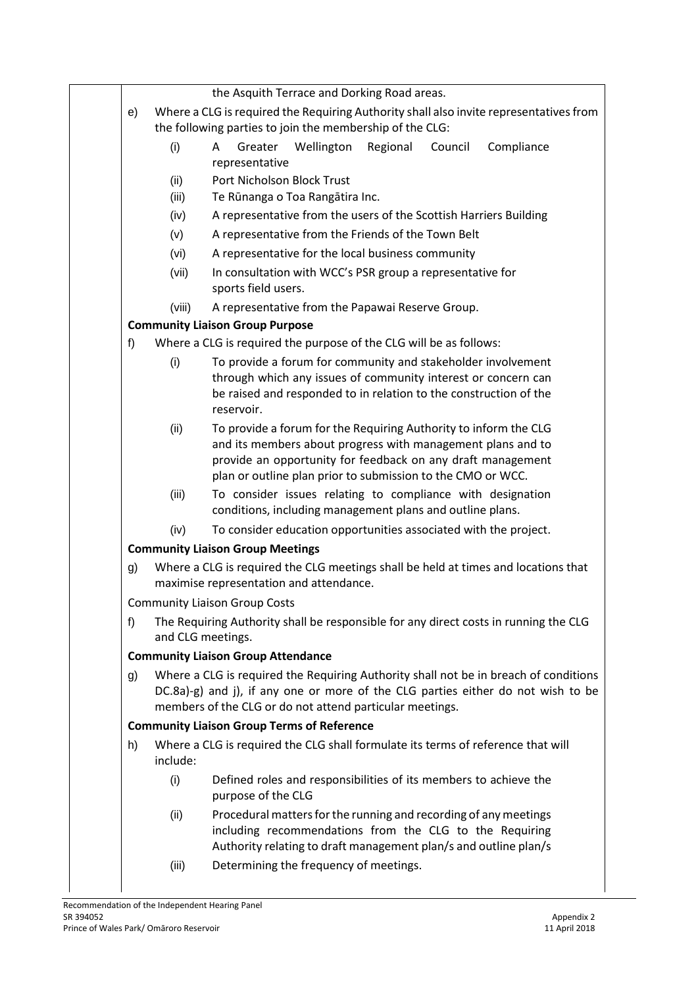|    |          | the Asquith Terrace and Dorking Road areas.                                                                                                                                                                                                                   |
|----|----------|---------------------------------------------------------------------------------------------------------------------------------------------------------------------------------------------------------------------------------------------------------------|
| e) |          | Where a CLG is required the Requiring Authority shall also invite representatives from                                                                                                                                                                        |
|    |          | the following parties to join the membership of the CLG:                                                                                                                                                                                                      |
|    | (i)      | Greater<br>Wellington<br>Regional<br>Council<br>Compliance<br>A<br>representative                                                                                                                                                                             |
|    | (ii)     | Port Nicholson Block Trust                                                                                                                                                                                                                                    |
|    | (iii)    | Te Rūnanga o Toa Rangātira Inc.                                                                                                                                                                                                                               |
|    | (iv)     | A representative from the users of the Scottish Harriers Building                                                                                                                                                                                             |
|    | (v)      | A representative from the Friends of the Town Belt                                                                                                                                                                                                            |
|    | (vi)     | A representative for the local business community                                                                                                                                                                                                             |
|    | (vii)    | In consultation with WCC's PSR group a representative for<br>sports field users.                                                                                                                                                                              |
|    | (viii)   | A representative from the Papawai Reserve Group.                                                                                                                                                                                                              |
|    |          | <b>Community Liaison Group Purpose</b>                                                                                                                                                                                                                        |
| f  |          | Where a CLG is required the purpose of the CLG will be as follows:                                                                                                                                                                                            |
|    | (i)      | To provide a forum for community and stakeholder involvement<br>through which any issues of community interest or concern can<br>be raised and responded to in relation to the construction of the<br>reservoir.                                              |
|    | (ii)     | To provide a forum for the Requiring Authority to inform the CLG<br>and its members about progress with management plans and to<br>provide an opportunity for feedback on any draft management<br>plan or outline plan prior to submission to the CMO or WCC. |
|    | (iii)    | To consider issues relating to compliance with designation<br>conditions, including management plans and outline plans.                                                                                                                                       |
|    | (iv)     | To consider education opportunities associated with the project.                                                                                                                                                                                              |
|    |          | <b>Community Liaison Group Meetings</b>                                                                                                                                                                                                                       |
| g) |          | Where a CLG is required the CLG meetings shall be held at times and locations that<br>maximise representation and attendance.                                                                                                                                 |
|    |          | <b>Community Liaison Group Costs</b>                                                                                                                                                                                                                          |
| f) |          | The Requiring Authority shall be responsible for any direct costs in running the CLG<br>and CLG meetings.                                                                                                                                                     |
|    |          | <b>Community Liaison Group Attendance</b>                                                                                                                                                                                                                     |
| g) |          | Where a CLG is required the Requiring Authority shall not be in breach of conditions<br>DC.8a)-g) and j), if any one or more of the CLG parties either do not wish to be<br>members of the CLG or do not attend particular meetings.                          |
|    |          | <b>Community Liaison Group Terms of Reference</b>                                                                                                                                                                                                             |
| h) | include: | Where a CLG is required the CLG shall formulate its terms of reference that will                                                                                                                                                                              |
|    | (i)      | Defined roles and responsibilities of its members to achieve the<br>purpose of the CLG                                                                                                                                                                        |
|    | (ii)     | Procedural matters for the running and recording of any meetings<br>including recommendations from the CLG to the Requiring<br>Authority relating to draft management plan/s and outline plan/s                                                               |
|    | (iii)    | Determining the frequency of meetings.                                                                                                                                                                                                                        |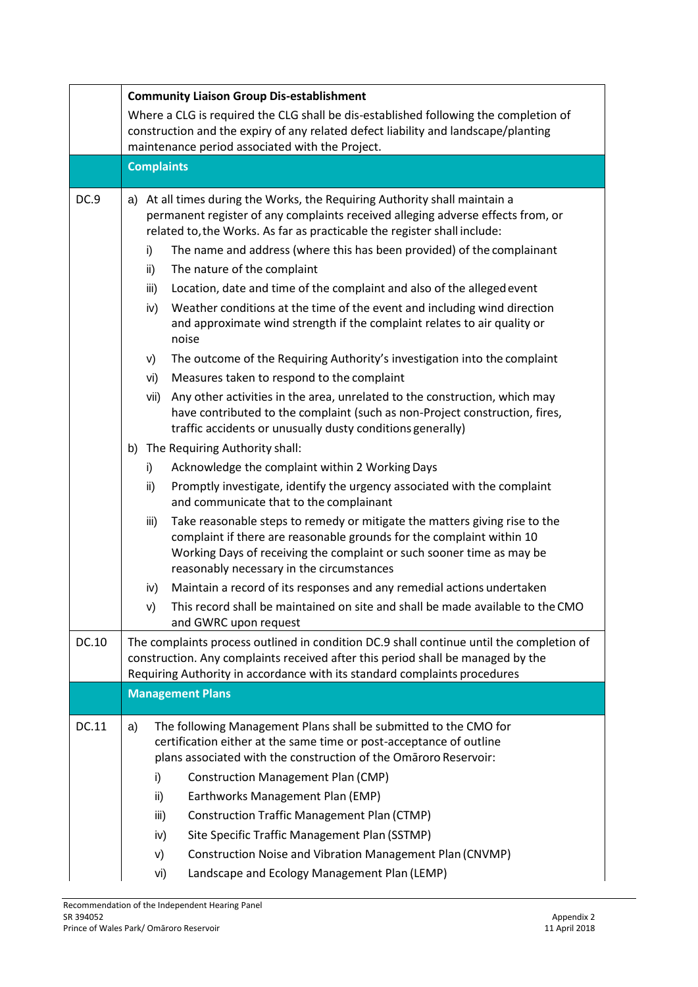|       | <b>Community Liaison Group Dis-establishment</b>                                                                                                                                                                                                         |                                                                                                                                                                                                                                                                           |  |  |  |
|-------|----------------------------------------------------------------------------------------------------------------------------------------------------------------------------------------------------------------------------------------------------------|---------------------------------------------------------------------------------------------------------------------------------------------------------------------------------------------------------------------------------------------------------------------------|--|--|--|
|       | Where a CLG is required the CLG shall be dis-established following the completion of<br>construction and the expiry of any related defect liability and landscape/planting                                                                               |                                                                                                                                                                                                                                                                           |  |  |  |
|       | maintenance period associated with the Project.                                                                                                                                                                                                          |                                                                                                                                                                                                                                                                           |  |  |  |
|       | <b>Complaints</b>                                                                                                                                                                                                                                        |                                                                                                                                                                                                                                                                           |  |  |  |
| DC.9  |                                                                                                                                                                                                                                                          | a) At all times during the Works, the Requiring Authority shall maintain a<br>permanent register of any complaints received alleging adverse effects from, or<br>related to, the Works. As far as practicable the register shall include:                                 |  |  |  |
|       | i)                                                                                                                                                                                                                                                       | The name and address (where this has been provided) of the complainant                                                                                                                                                                                                    |  |  |  |
|       | ii)                                                                                                                                                                                                                                                      | The nature of the complaint                                                                                                                                                                                                                                               |  |  |  |
|       | iii)                                                                                                                                                                                                                                                     | Location, date and time of the complaint and also of the alleged event                                                                                                                                                                                                    |  |  |  |
|       | iv)                                                                                                                                                                                                                                                      | Weather conditions at the time of the event and including wind direction<br>and approximate wind strength if the complaint relates to air quality or<br>noise                                                                                                             |  |  |  |
|       | V)                                                                                                                                                                                                                                                       | The outcome of the Requiring Authority's investigation into the complaint                                                                                                                                                                                                 |  |  |  |
|       | vi)                                                                                                                                                                                                                                                      | Measures taken to respond to the complaint                                                                                                                                                                                                                                |  |  |  |
|       | vii)                                                                                                                                                                                                                                                     | Any other activities in the area, unrelated to the construction, which may<br>have contributed to the complaint (such as non-Project construction, fires,<br>traffic accidents or unusually dusty conditions generally)                                                   |  |  |  |
|       | b)                                                                                                                                                                                                                                                       | The Requiring Authority shall:                                                                                                                                                                                                                                            |  |  |  |
|       | i)                                                                                                                                                                                                                                                       | Acknowledge the complaint within 2 Working Days                                                                                                                                                                                                                           |  |  |  |
|       | ii)                                                                                                                                                                                                                                                      | Promptly investigate, identify the urgency associated with the complaint<br>and communicate that to the complainant                                                                                                                                                       |  |  |  |
|       | iii)                                                                                                                                                                                                                                                     | Take reasonable steps to remedy or mitigate the matters giving rise to the<br>complaint if there are reasonable grounds for the complaint within 10<br>Working Days of receiving the complaint or such sooner time as may be<br>reasonably necessary in the circumstances |  |  |  |
|       | iv)                                                                                                                                                                                                                                                      | Maintain a record of its responses and any remedial actions undertaken                                                                                                                                                                                                    |  |  |  |
|       | V)                                                                                                                                                                                                                                                       | This record shall be maintained on site and shall be made available to the CMO<br>and GWRC upon request                                                                                                                                                                   |  |  |  |
| DC.10 | The complaints process outlined in condition DC.9 shall continue until the completion of<br>construction. Any complaints received after this period shall be managed by the<br>Requiring Authority in accordance with its standard complaints procedures |                                                                                                                                                                                                                                                                           |  |  |  |
|       |                                                                                                                                                                                                                                                          | <b>Management Plans</b>                                                                                                                                                                                                                                                   |  |  |  |
| DC.11 | a)                                                                                                                                                                                                                                                       | The following Management Plans shall be submitted to the CMO for<br>certification either at the same time or post-acceptance of outline                                                                                                                                   |  |  |  |
|       |                                                                                                                                                                                                                                                          | plans associated with the construction of the Omaroro Reservoir:                                                                                                                                                                                                          |  |  |  |
|       | i)                                                                                                                                                                                                                                                       | <b>Construction Management Plan (CMP)</b>                                                                                                                                                                                                                                 |  |  |  |
|       | ii)                                                                                                                                                                                                                                                      | Earthworks Management Plan (EMP)                                                                                                                                                                                                                                          |  |  |  |
|       | iii)                                                                                                                                                                                                                                                     | <b>Construction Traffic Management Plan (CTMP)</b>                                                                                                                                                                                                                        |  |  |  |
|       | iv)                                                                                                                                                                                                                                                      | Site Specific Traffic Management Plan (SSTMP)                                                                                                                                                                                                                             |  |  |  |
|       | V)                                                                                                                                                                                                                                                       | Construction Noise and Vibration Management Plan (CNVMP)                                                                                                                                                                                                                  |  |  |  |
|       | vi)                                                                                                                                                                                                                                                      | Landscape and Ecology Management Plan (LEMP)                                                                                                                                                                                                                              |  |  |  |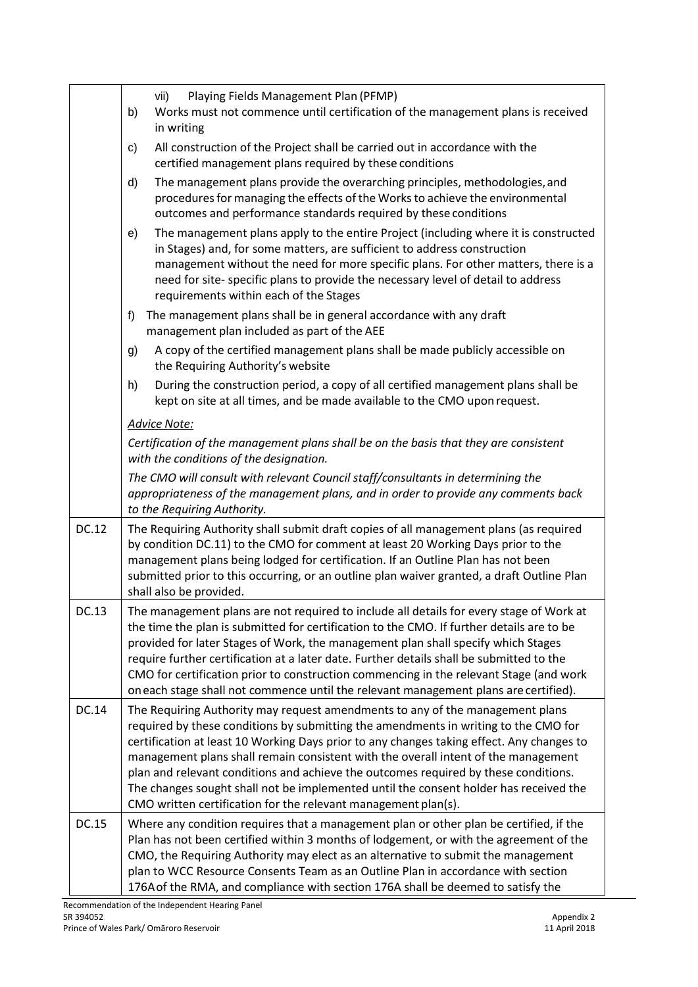|              | Playing Fields Management Plan (PFMP)<br>vii)<br>Works must not commence until certification of the management plans is received<br>b)<br>in writing                                                                                                                                                                                                                                                                                                                                                                                                                                                      |
|--------------|-----------------------------------------------------------------------------------------------------------------------------------------------------------------------------------------------------------------------------------------------------------------------------------------------------------------------------------------------------------------------------------------------------------------------------------------------------------------------------------------------------------------------------------------------------------------------------------------------------------|
|              | All construction of the Project shall be carried out in accordance with the<br>C)<br>certified management plans required by these conditions                                                                                                                                                                                                                                                                                                                                                                                                                                                              |
|              | The management plans provide the overarching principles, methodologies, and<br>d)<br>procedures for managing the effects of the Works to achieve the environmental<br>outcomes and performance standards required by these conditions                                                                                                                                                                                                                                                                                                                                                                     |
|              | The management plans apply to the entire Project (including where it is constructed<br>e)<br>in Stages) and, for some matters, are sufficient to address construction<br>management without the need for more specific plans. For other matters, there is a<br>need for site-specific plans to provide the necessary level of detail to address<br>requirements within each of the Stages                                                                                                                                                                                                                 |
|              | The management plans shall be in general accordance with any draft<br>f)<br>management plan included as part of the AEE                                                                                                                                                                                                                                                                                                                                                                                                                                                                                   |
|              | A copy of the certified management plans shall be made publicly accessible on<br>g)<br>the Requiring Authority's website                                                                                                                                                                                                                                                                                                                                                                                                                                                                                  |
|              | During the construction period, a copy of all certified management plans shall be<br>h)<br>kept on site at all times, and be made available to the CMO upon request.                                                                                                                                                                                                                                                                                                                                                                                                                                      |
|              | <b>Advice Note:</b>                                                                                                                                                                                                                                                                                                                                                                                                                                                                                                                                                                                       |
|              | Certification of the management plans shall be on the basis that they are consistent<br>with the conditions of the designation.                                                                                                                                                                                                                                                                                                                                                                                                                                                                           |
|              | The CMO will consult with relevant Council staff/consultants in determining the<br>appropriateness of the management plans, and in order to provide any comments back<br>to the Requiring Authority.                                                                                                                                                                                                                                                                                                                                                                                                      |
| <b>DC.12</b> | The Requiring Authority shall submit draft copies of all management plans (as required<br>by condition DC.11) to the CMO for comment at least 20 Working Days prior to the<br>management plans being lodged for certification. If an Outline Plan has not been<br>submitted prior to this occurring, or an outline plan waiver granted, a draft Outline Plan<br>shall also be provided.                                                                                                                                                                                                                   |
| DC.13        | The management plans are not required to include all details for every stage of Work at<br>the time the plan is submitted for certification to the CMO. If further details are to be<br>provided for later Stages of Work, the management plan shall specify which Stages<br>require further certification at a later date. Further details shall be submitted to the<br>CMO for certification prior to construction commencing in the relevant Stage (and work<br>oneach stage shall not commence until the relevant management plans are certified).                                                    |
| DC.14        | The Requiring Authority may request amendments to any of the management plans<br>required by these conditions by submitting the amendments in writing to the CMO for<br>certification at least 10 Working Days prior to any changes taking effect. Any changes to<br>management plans shall remain consistent with the overall intent of the management<br>plan and relevant conditions and achieve the outcomes required by these conditions.<br>The changes sought shall not be implemented until the consent holder has received the<br>CMO written certification for the relevant management plan(s). |
| DC.15        | Where any condition requires that a management plan or other plan be certified, if the<br>Plan has not been certified within 3 months of lodgement, or with the agreement of the<br>CMO, the Requiring Authority may elect as an alternative to submit the management<br>plan to WCC Resource Consents Team as an Outline Plan in accordance with section<br>176A of the RMA, and compliance with section 176A shall be deemed to satisfy the                                                                                                                                                             |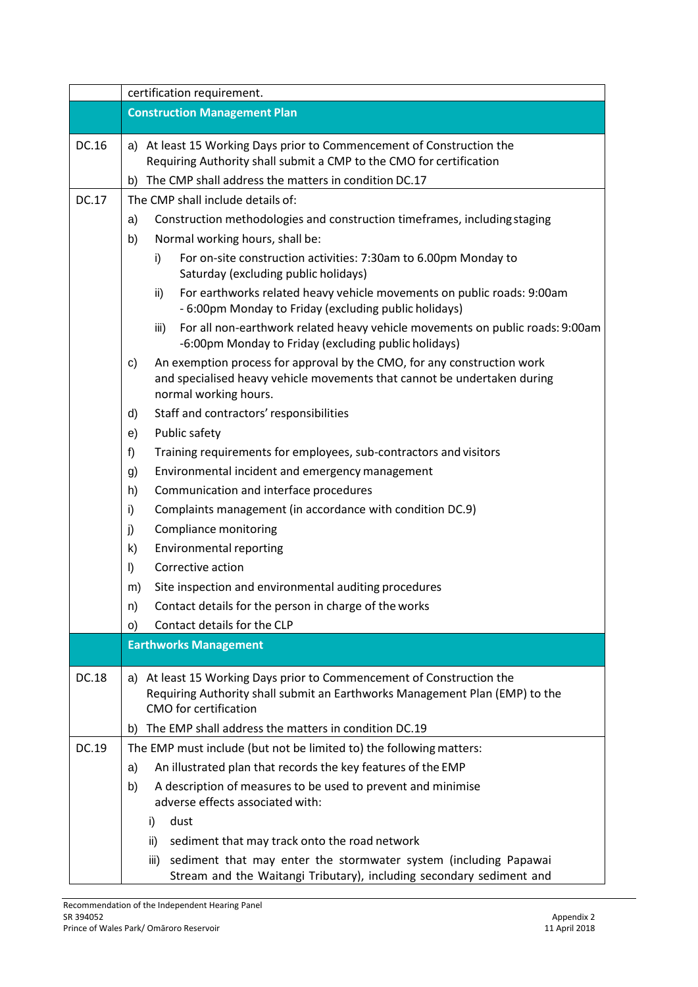|       | certification requirement.                                                                                                                                                         |  |  |  |
|-------|------------------------------------------------------------------------------------------------------------------------------------------------------------------------------------|--|--|--|
|       | <b>Construction Management Plan</b>                                                                                                                                                |  |  |  |
| DC.16 | a) At least 15 Working Days prior to Commencement of Construction the                                                                                                              |  |  |  |
|       | Requiring Authority shall submit a CMP to the CMO for certification                                                                                                                |  |  |  |
|       | The CMP shall address the matters in condition DC.17<br>b)                                                                                                                         |  |  |  |
| DC.17 | The CMP shall include details of:                                                                                                                                                  |  |  |  |
|       | Construction methodologies and construction timeframes, including staging<br>a)                                                                                                    |  |  |  |
|       | Normal working hours, shall be:<br>b)                                                                                                                                              |  |  |  |
|       | i)<br>For on-site construction activities: 7:30am to 6.00pm Monday to<br>Saturday (excluding public holidays)                                                                      |  |  |  |
|       | For earthworks related heavy vehicle movements on public roads: 9:00am<br>ii)<br>- 6:00pm Monday to Friday (excluding public holidays)                                             |  |  |  |
|       | For all non-earthwork related heavy vehicle movements on public roads: 9:00am<br>iii)<br>-6:00pm Monday to Friday (excluding public holidays)                                      |  |  |  |
|       | An exemption process for approval by the CMO, for any construction work<br>C)<br>and specialised heavy vehicle movements that cannot be undertaken during<br>normal working hours. |  |  |  |
|       | Staff and contractors' responsibilities<br>d)                                                                                                                                      |  |  |  |
|       | Public safety<br>e)                                                                                                                                                                |  |  |  |
|       | Training requirements for employees, sub-contractors and visitors<br>f)                                                                                                            |  |  |  |
|       | Environmental incident and emergency management<br>g)                                                                                                                              |  |  |  |
|       | Communication and interface procedures<br>h)                                                                                                                                       |  |  |  |
|       | Complaints management (in accordance with condition DC.9)<br>i)                                                                                                                    |  |  |  |
|       | Compliance monitoring<br>j)                                                                                                                                                        |  |  |  |
|       | k)<br><b>Environmental reporting</b>                                                                                                                                               |  |  |  |
|       | Corrective action<br>$\vert$                                                                                                                                                       |  |  |  |
|       | Site inspection and environmental auditing procedures<br>m)                                                                                                                        |  |  |  |
|       | Contact details for the person in charge of the works<br>n)                                                                                                                        |  |  |  |
|       | Contact details for the CLP<br>O)                                                                                                                                                  |  |  |  |
|       | <b>Earthworks Management</b>                                                                                                                                                       |  |  |  |
| DC.18 | At least 15 Working Days prior to Commencement of Construction the<br>a)<br>Requiring Authority shall submit an Earthworks Management Plan (EMP) to the<br>CMO for certification   |  |  |  |
|       | The EMP shall address the matters in condition DC.19<br>b)                                                                                                                         |  |  |  |
| DC.19 | The EMP must include (but not be limited to) the following matters:                                                                                                                |  |  |  |
|       | An illustrated plan that records the key features of the EMP<br>a)                                                                                                                 |  |  |  |
|       | A description of measures to be used to prevent and minimise<br>b)<br>adverse effects associated with:                                                                             |  |  |  |
|       | dust<br>i)                                                                                                                                                                         |  |  |  |
|       | sediment that may track onto the road network<br>ii)                                                                                                                               |  |  |  |
|       | sediment that may enter the stormwater system (including Papawai<br>iii)                                                                                                           |  |  |  |
|       | Stream and the Waitangi Tributary), including secondary sediment and                                                                                                               |  |  |  |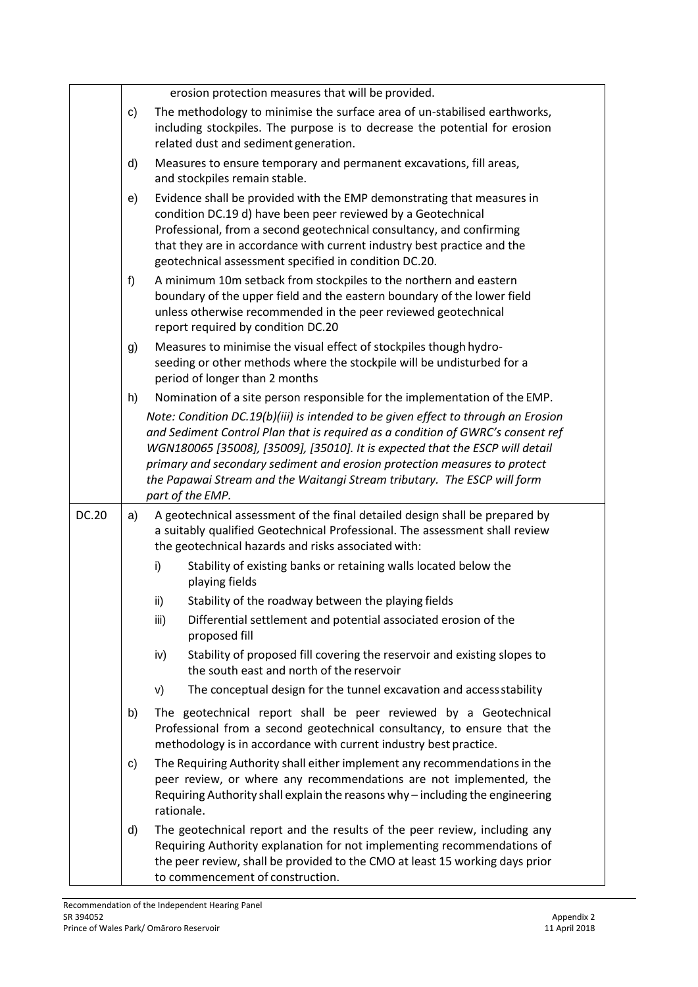|       |    | erosion protection measures that will be provided.                                                                                                                                                                                                                                                                                                                                                                                  |
|-------|----|-------------------------------------------------------------------------------------------------------------------------------------------------------------------------------------------------------------------------------------------------------------------------------------------------------------------------------------------------------------------------------------------------------------------------------------|
|       | C) | The methodology to minimise the surface area of un-stabilised earthworks,<br>including stockpiles. The purpose is to decrease the potential for erosion<br>related dust and sediment generation.                                                                                                                                                                                                                                    |
|       | d) | Measures to ensure temporary and permanent excavations, fill areas,<br>and stockpiles remain stable.                                                                                                                                                                                                                                                                                                                                |
|       | e) | Evidence shall be provided with the EMP demonstrating that measures in<br>condition DC.19 d) have been peer reviewed by a Geotechnical<br>Professional, from a second geotechnical consultancy, and confirming<br>that they are in accordance with current industry best practice and the<br>geotechnical assessment specified in condition DC.20.                                                                                  |
|       | f) | A minimum 10m setback from stockpiles to the northern and eastern<br>boundary of the upper field and the eastern boundary of the lower field<br>unless otherwise recommended in the peer reviewed geotechnical<br>report required by condition DC.20                                                                                                                                                                                |
|       | g) | Measures to minimise the visual effect of stockpiles though hydro-<br>seeding or other methods where the stockpile will be undisturbed for a<br>period of longer than 2 months                                                                                                                                                                                                                                                      |
|       | h) | Nomination of a site person responsible for the implementation of the EMP.                                                                                                                                                                                                                                                                                                                                                          |
|       |    | Note: Condition DC.19(b)(iii) is intended to be given effect to through an Erosion<br>and Sediment Control Plan that is required as a condition of GWRC's consent ref<br>WGN180065 [35008], [35009], [35010]. It is expected that the ESCP will detail<br>primary and secondary sediment and erosion protection measures to protect<br>the Papawai Stream and the Waitangi Stream tributary. The ESCP will form<br>part of the EMP. |
| DC.20 | a) | A geotechnical assessment of the final detailed design shall be prepared by<br>a suitably qualified Geotechnical Professional. The assessment shall review<br>the geotechnical hazards and risks associated with:                                                                                                                                                                                                                   |
|       |    | i)<br>Stability of existing banks or retaining walls located below the<br>playing fields                                                                                                                                                                                                                                                                                                                                            |
|       |    | ii)<br>Stability of the roadway between the playing fields                                                                                                                                                                                                                                                                                                                                                                          |
|       |    | iii)<br>Differential settlement and potential associated erosion of the<br>proposed fill                                                                                                                                                                                                                                                                                                                                            |
|       |    | Stability of proposed fill covering the reservoir and existing slopes to<br>iv)<br>the south east and north of the reservoir                                                                                                                                                                                                                                                                                                        |
|       |    | The conceptual design for the tunnel excavation and access stability<br>V)                                                                                                                                                                                                                                                                                                                                                          |
|       | b) | The geotechnical report shall be peer reviewed by a Geotechnical<br>Professional from a second geotechnical consultancy, to ensure that the<br>methodology is in accordance with current industry best practice.                                                                                                                                                                                                                    |
|       | C) | The Requiring Authority shall either implement any recommendations in the<br>peer review, or where any recommendations are not implemented, the<br>Requiring Authority shall explain the reasons why - including the engineering<br>rationale.                                                                                                                                                                                      |
|       | d) | The geotechnical report and the results of the peer review, including any<br>Requiring Authority explanation for not implementing recommendations of<br>the peer review, shall be provided to the CMO at least 15 working days prior<br>to commencement of construction.                                                                                                                                                            |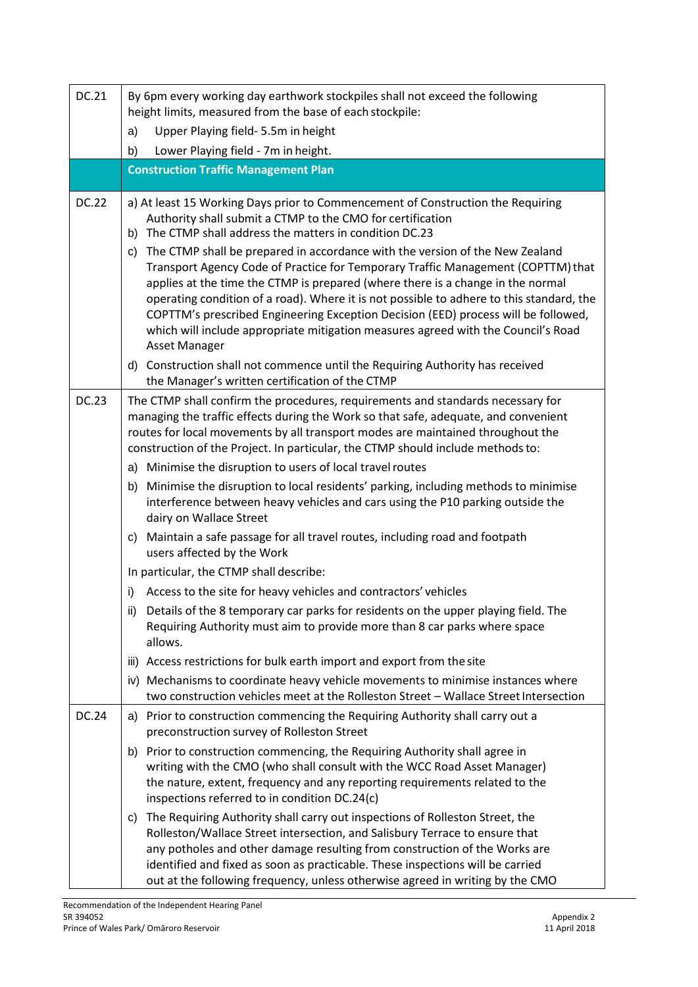| DC.21        | By 6pm every working day earthwork stockpiles shall not exceed the following<br>height limits, measured from the base of each stockpile:                                                                                                                                                                                                                                                                                                                                                                                                              |
|--------------|-------------------------------------------------------------------------------------------------------------------------------------------------------------------------------------------------------------------------------------------------------------------------------------------------------------------------------------------------------------------------------------------------------------------------------------------------------------------------------------------------------------------------------------------------------|
|              | Upper Playing field- 5.5m in height<br>a)                                                                                                                                                                                                                                                                                                                                                                                                                                                                                                             |
|              | Lower Playing field - 7m in height.<br>b)                                                                                                                                                                                                                                                                                                                                                                                                                                                                                                             |
|              | <b>Construction Traffic Management Plan</b>                                                                                                                                                                                                                                                                                                                                                                                                                                                                                                           |
| <b>DC.22</b> | a) At least 15 Working Days prior to Commencement of Construction the Requiring<br>Authority shall submit a CTMP to the CMO for certification<br>b) The CTMP shall address the matters in condition DC.23                                                                                                                                                                                                                                                                                                                                             |
|              | c) The CTMP shall be prepared in accordance with the version of the New Zealand<br>Transport Agency Code of Practice for Temporary Traffic Management (COPTTM) that<br>applies at the time the CTMP is prepared (where there is a change in the normal<br>operating condition of a road). Where it is not possible to adhere to this standard, the<br>COPTTM's prescribed Engineering Exception Decision (EED) process will be followed,<br>which will include appropriate mitigation measures agreed with the Council's Road<br><b>Asset Manager</b> |
|              | d) Construction shall not commence until the Requiring Authority has received<br>the Manager's written certification of the CTMP                                                                                                                                                                                                                                                                                                                                                                                                                      |
| <b>DC.23</b> | The CTMP shall confirm the procedures, requirements and standards necessary for<br>managing the traffic effects during the Work so that safe, adequate, and convenient<br>routes for local movements by all transport modes are maintained throughout the<br>construction of the Project. In particular, the CTMP should include methods to:                                                                                                                                                                                                          |
|              | Minimise the disruption to users of local travel routes<br>a)                                                                                                                                                                                                                                                                                                                                                                                                                                                                                         |
|              | Minimise the disruption to local residents' parking, including methods to minimise<br>b)<br>interference between heavy vehicles and cars using the P10 parking outside the<br>dairy on Wallace Street                                                                                                                                                                                                                                                                                                                                                 |
|              | Maintain a safe passage for all travel routes, including road and footpath<br>C)<br>users affected by the Work                                                                                                                                                                                                                                                                                                                                                                                                                                        |
|              | In particular, the CTMP shall describe:                                                                                                                                                                                                                                                                                                                                                                                                                                                                                                               |
|              | Access to the site for heavy vehicles and contractors' vehicles<br>i)                                                                                                                                                                                                                                                                                                                                                                                                                                                                                 |
|              | ii) Details of the 8 temporary car parks for residents on the upper playing field. The<br>Requiring Authority must aim to provide more than 8 car parks where space<br>allows.                                                                                                                                                                                                                                                                                                                                                                        |
|              | iii) Access restrictions for bulk earth import and export from the site                                                                                                                                                                                                                                                                                                                                                                                                                                                                               |
|              | iv) Mechanisms to coordinate heavy vehicle movements to minimise instances where<br>two construction vehicles meet at the Rolleston Street - Wallace Street Intersection                                                                                                                                                                                                                                                                                                                                                                              |
| DC.24        | a) Prior to construction commencing the Requiring Authority shall carry out a<br>preconstruction survey of Rolleston Street                                                                                                                                                                                                                                                                                                                                                                                                                           |
|              | b) Prior to construction commencing, the Requiring Authority shall agree in<br>writing with the CMO (who shall consult with the WCC Road Asset Manager)<br>the nature, extent, frequency and any reporting requirements related to the<br>inspections referred to in condition DC.24(c)                                                                                                                                                                                                                                                               |
|              | The Requiring Authority shall carry out inspections of Rolleston Street, the<br>C)<br>Rolleston/Wallace Street intersection, and Salisbury Terrace to ensure that<br>any potholes and other damage resulting from construction of the Works are<br>identified and fixed as soon as practicable. These inspections will be carried<br>out at the following frequency, unless otherwise agreed in writing by the CMO                                                                                                                                    |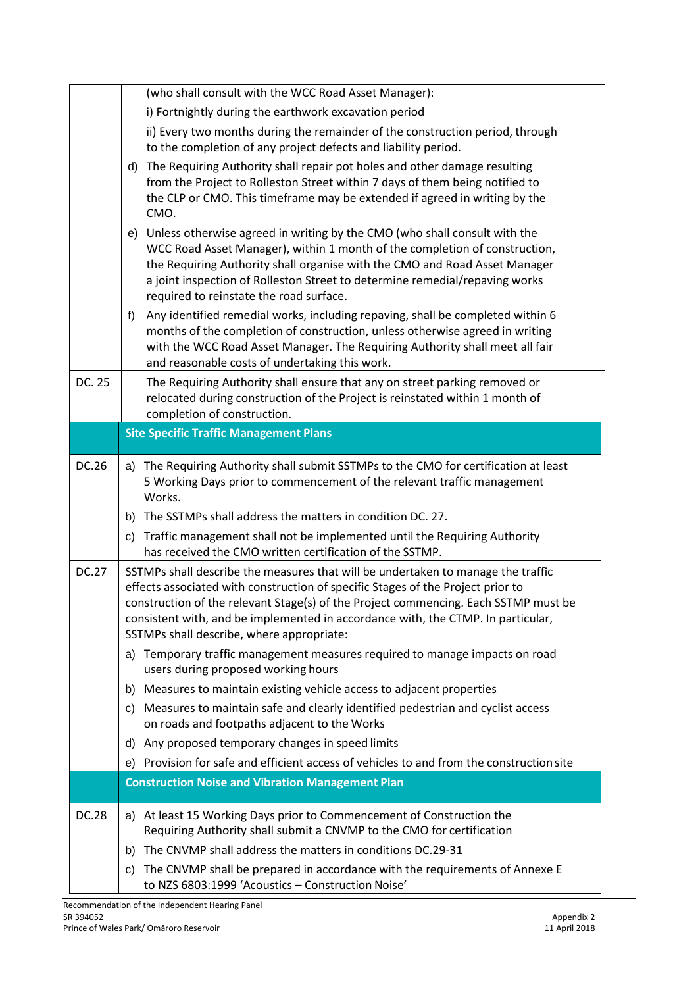|              | (who shall consult with the WCC Road Asset Manager):                                                                                                                                                                                                                                                                                                                                        |
|--------------|---------------------------------------------------------------------------------------------------------------------------------------------------------------------------------------------------------------------------------------------------------------------------------------------------------------------------------------------------------------------------------------------|
|              | i) Fortnightly during the earthwork excavation period                                                                                                                                                                                                                                                                                                                                       |
|              | ii) Every two months during the remainder of the construction period, through<br>to the completion of any project defects and liability period.                                                                                                                                                                                                                                             |
|              | The Requiring Authority shall repair pot holes and other damage resulting<br>d)<br>from the Project to Rolleston Street within 7 days of them being notified to<br>the CLP or CMO. This timeframe may be extended if agreed in writing by the<br>CMO.                                                                                                                                       |
|              | Unless otherwise agreed in writing by the CMO (who shall consult with the<br>e)<br>WCC Road Asset Manager), within 1 month of the completion of construction,<br>the Requiring Authority shall organise with the CMO and Road Asset Manager<br>a joint inspection of Rolleston Street to determine remedial/repaving works<br>required to reinstate the road surface.                       |
|              | Any identified remedial works, including repaving, shall be completed within 6<br>f)<br>months of the completion of construction, unless otherwise agreed in writing<br>with the WCC Road Asset Manager. The Requiring Authority shall meet all fair<br>and reasonable costs of undertaking this work.                                                                                      |
| DC. 25       | The Requiring Authority shall ensure that any on street parking removed or<br>relocated during construction of the Project is reinstated within 1 month of<br>completion of construction.                                                                                                                                                                                                   |
|              | <b>Site Specific Traffic Management Plans</b>                                                                                                                                                                                                                                                                                                                                               |
| DC.26        | a) The Requiring Authority shall submit SSTMPs to the CMO for certification at least<br>5 Working Days prior to commencement of the relevant traffic management<br>Works.                                                                                                                                                                                                                   |
|              | The SSTMPs shall address the matters in condition DC. 27.<br>b)                                                                                                                                                                                                                                                                                                                             |
|              | Traffic management shall not be implemented until the Requiring Authority<br>C)<br>has received the CMO written certification of the SSTMP.                                                                                                                                                                                                                                                 |
| <b>DC.27</b> | SSTMPs shall describe the measures that will be undertaken to manage the traffic<br>effects associated with construction of specific Stages of the Project prior to<br>construction of the relevant Stage(s) of the Project commencing. Each SSTMP must be<br>consistent with, and be implemented in accordance with, the CTMP. In particular,<br>SSTMPs shall describe, where appropriate: |
|              | Temporary traffic management measures required to manage impacts on road<br>a)<br>users during proposed working hours                                                                                                                                                                                                                                                                       |
|              | Measures to maintain existing vehicle access to adjacent properties<br>b)                                                                                                                                                                                                                                                                                                                   |
|              | c) Measures to maintain safe and clearly identified pedestrian and cyclist access<br>on roads and footpaths adjacent to the Works                                                                                                                                                                                                                                                           |
|              | Any proposed temporary changes in speed limits<br>d)                                                                                                                                                                                                                                                                                                                                        |
|              | Provision for safe and efficient access of vehicles to and from the construction site<br>e)                                                                                                                                                                                                                                                                                                 |
|              | <b>Construction Noise and Vibration Management Plan</b>                                                                                                                                                                                                                                                                                                                                     |
| <b>DC.28</b> | a) At least 15 Working Days prior to Commencement of Construction the<br>Requiring Authority shall submit a CNVMP to the CMO for certification                                                                                                                                                                                                                                              |
|              | The CNVMP shall address the matters in conditions DC.29-31<br>b)                                                                                                                                                                                                                                                                                                                            |
|              | The CNVMP shall be prepared in accordance with the requirements of Annexe E<br>C)<br>to NZS 6803:1999 'Acoustics - Construction Noise'                                                                                                                                                                                                                                                      |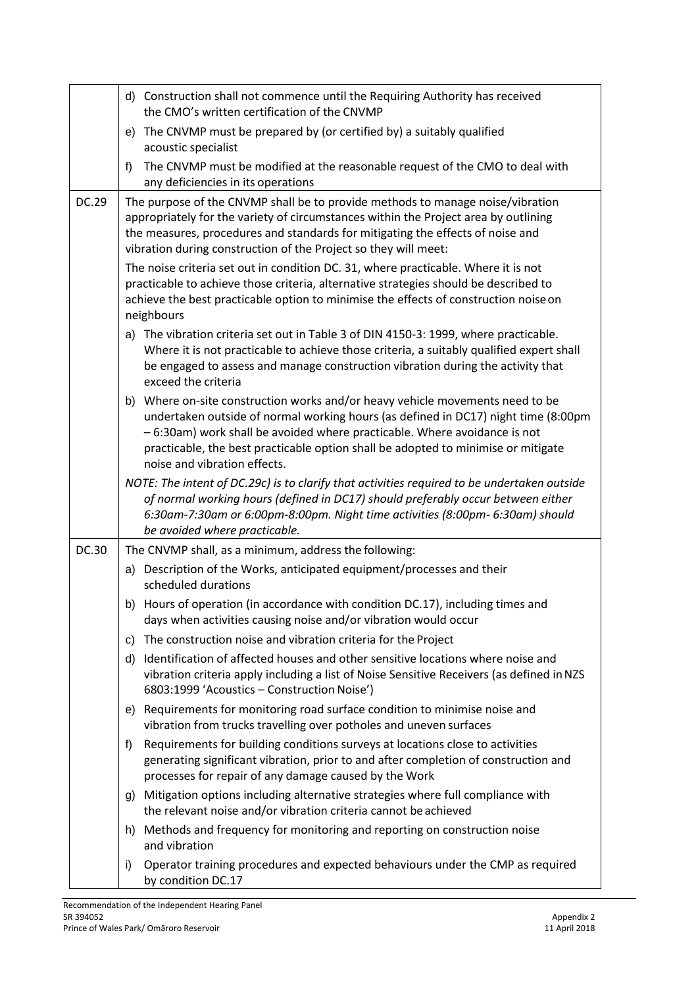|              | d) Construction shall not commence until the Requiring Authority has received<br>the CMO's written certification of the CNVMP                                                                                                                                                                                                                                            |  |  |  |  |  |
|--------------|--------------------------------------------------------------------------------------------------------------------------------------------------------------------------------------------------------------------------------------------------------------------------------------------------------------------------------------------------------------------------|--|--|--|--|--|
|              | e) The CNVMP must be prepared by (or certified by) a suitably qualified<br>acoustic specialist                                                                                                                                                                                                                                                                           |  |  |  |  |  |
|              | The CNVMP must be modified at the reasonable request of the CMO to deal with<br>f<br>any deficiencies in its operations                                                                                                                                                                                                                                                  |  |  |  |  |  |
| DC.29        | The purpose of the CNVMP shall be to provide methods to manage noise/vibration<br>appropriately for the variety of circumstances within the Project area by outlining<br>the measures, procedures and standards for mitigating the effects of noise and<br>vibration during construction of the Project so they will meet:                                               |  |  |  |  |  |
|              | The noise criteria set out in condition DC. 31, where practicable. Where it is not<br>practicable to achieve those criteria, alternative strategies should be described to<br>achieve the best practicable option to minimise the effects of construction noise on<br>neighbours                                                                                         |  |  |  |  |  |
|              | a) The vibration criteria set out in Table 3 of DIN 4150-3: 1999, where practicable.<br>Where it is not practicable to achieve those criteria, a suitably qualified expert shall<br>be engaged to assess and manage construction vibration during the activity that<br>exceed the criteria                                                                               |  |  |  |  |  |
|              | Where on-site construction works and/or heavy vehicle movements need to be<br>b)<br>undertaken outside of normal working hours (as defined in DC17) night time (8:00pm<br>- 6:30am) work shall be avoided where practicable. Where avoidance is not<br>practicable, the best practicable option shall be adopted to minimise or mitigate<br>noise and vibration effects. |  |  |  |  |  |
|              | NOTE: The intent of DC.29c) is to clarify that activities required to be undertaken outside<br>of normal working hours (defined in DC17) should preferably occur between either<br>6:30am-7:30am or 6:00pm-8:00pm. Night time activities (8:00pm- 6:30am) should<br>be avoided where practicable.                                                                        |  |  |  |  |  |
| <b>DC.30</b> | The CNVMP shall, as a minimum, address the following:                                                                                                                                                                                                                                                                                                                    |  |  |  |  |  |
|              | a) Description of the Works, anticipated equipment/processes and their<br>scheduled durations                                                                                                                                                                                                                                                                            |  |  |  |  |  |
|              | b) Hours of operation (in accordance with condition DC.17), including times and<br>days when activities causing noise and/or vibration would occur                                                                                                                                                                                                                       |  |  |  |  |  |
|              | The construction noise and vibration criteria for the Project<br>C)                                                                                                                                                                                                                                                                                                      |  |  |  |  |  |
|              | Identification of affected houses and other sensitive locations where noise and<br>d)<br>vibration criteria apply including a list of Noise Sensitive Receivers (as defined in NZS<br>6803:1999 'Acoustics - Construction Noise')                                                                                                                                        |  |  |  |  |  |
|              | Requirements for monitoring road surface condition to minimise noise and<br>e)<br>vibration from trucks travelling over potholes and uneven surfaces                                                                                                                                                                                                                     |  |  |  |  |  |
|              | Requirements for building conditions surveys at locations close to activities<br>f)<br>generating significant vibration, prior to and after completion of construction and<br>processes for repair of any damage caused by the Work                                                                                                                                      |  |  |  |  |  |
|              | Mitigation options including alternative strategies where full compliance with<br>g)<br>the relevant noise and/or vibration criteria cannot be achieved                                                                                                                                                                                                                  |  |  |  |  |  |
|              | Methods and frequency for monitoring and reporting on construction noise<br>h)<br>and vibration                                                                                                                                                                                                                                                                          |  |  |  |  |  |
|              | Operator training procedures and expected behaviours under the CMP as required<br>i)<br>by condition DC.17                                                                                                                                                                                                                                                               |  |  |  |  |  |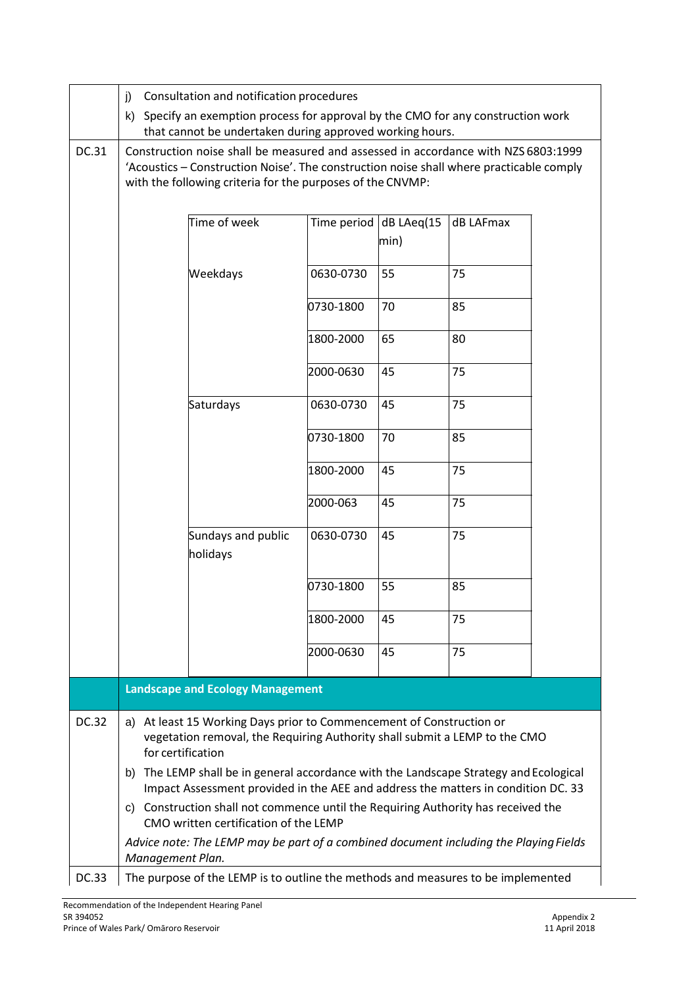|              | Consultation and notification procedures<br>j)                                                                                                                                                                                                                                                                                                        |                                                                                  |           |                                    |           |  |  |
|--------------|-------------------------------------------------------------------------------------------------------------------------------------------------------------------------------------------------------------------------------------------------------------------------------------------------------------------------------------------------------|----------------------------------------------------------------------------------|-----------|------------------------------------|-----------|--|--|
|              | k) Specify an exemption process for approval by the CMO for any construction work<br>that cannot be undertaken during approved working hours.                                                                                                                                                                                                         |                                                                                  |           |                                    |           |  |  |
| DC.31        | Construction noise shall be measured and assessed in accordance with NZS 6803:1999<br>'Acoustics - Construction Noise'. The construction noise shall where practicable comply<br>with the following criteria for the purposes of the CNVMP:                                                                                                           |                                                                                  |           |                                    |           |  |  |
|              |                                                                                                                                                                                                                                                                                                                                                       | Time of week                                                                     |           | Time period dB LAeq $(15)$<br>min) | dB LAFmax |  |  |
|              |                                                                                                                                                                                                                                                                                                                                                       | Weekdays                                                                         | 0630-0730 | 55                                 | 75        |  |  |
|              |                                                                                                                                                                                                                                                                                                                                                       |                                                                                  | 0730-1800 | 70                                 | 85        |  |  |
|              |                                                                                                                                                                                                                                                                                                                                                       |                                                                                  | 1800-2000 | 65                                 | 80        |  |  |
|              |                                                                                                                                                                                                                                                                                                                                                       |                                                                                  | 2000-0630 | 45                                 | 75        |  |  |
|              |                                                                                                                                                                                                                                                                                                                                                       | Saturdays                                                                        | 0630-0730 | 45                                 | 75        |  |  |
|              |                                                                                                                                                                                                                                                                                                                                                       |                                                                                  | 0730-1800 | 70                                 | 85        |  |  |
|              |                                                                                                                                                                                                                                                                                                                                                       |                                                                                  | 1800-2000 | 45                                 | 75        |  |  |
|              |                                                                                                                                                                                                                                                                                                                                                       |                                                                                  | 2000-063  | 45                                 | 75        |  |  |
|              |                                                                                                                                                                                                                                                                                                                                                       | Sundays and public<br>holidays                                                   | 0630-0730 | 45                                 | 75        |  |  |
|              |                                                                                                                                                                                                                                                                                                                                                       |                                                                                  | 0730-1800 | 55                                 | 85        |  |  |
|              |                                                                                                                                                                                                                                                                                                                                                       |                                                                                  | 1800-2000 | 45                                 | 75        |  |  |
|              |                                                                                                                                                                                                                                                                                                                                                       |                                                                                  | 2000-0630 | 45                                 | 75        |  |  |
|              |                                                                                                                                                                                                                                                                                                                                                       | <b>Landscape and Ecology Management</b>                                          |           |                                    |           |  |  |
| <b>DC.32</b> | a) At least 15 Working Days prior to Commencement of Construction or<br>vegetation removal, the Requiring Authority shall submit a LEMP to the CMO<br>for certification<br>b) The LEMP shall be in general accordance with the Landscape Strategy and Ecological<br>Impact Assessment provided in the AEE and address the matters in condition DC. 33 |                                                                                  |           |                                    |           |  |  |
|              |                                                                                                                                                                                                                                                                                                                                                       |                                                                                  |           |                                    |           |  |  |
|              | c) Construction shall not commence until the Requiring Authority has received the<br>CMO written certification of the LEMP                                                                                                                                                                                                                            |                                                                                  |           |                                    |           |  |  |
|              | Advice note: The LEMP may be part of a combined document including the Playing Fields<br>Management Plan.                                                                                                                                                                                                                                             |                                                                                  |           |                                    |           |  |  |
| <b>DC.33</b> |                                                                                                                                                                                                                                                                                                                                                       | The purpose of the LEMP is to outline the methods and measures to be implemented |           |                                    |           |  |  |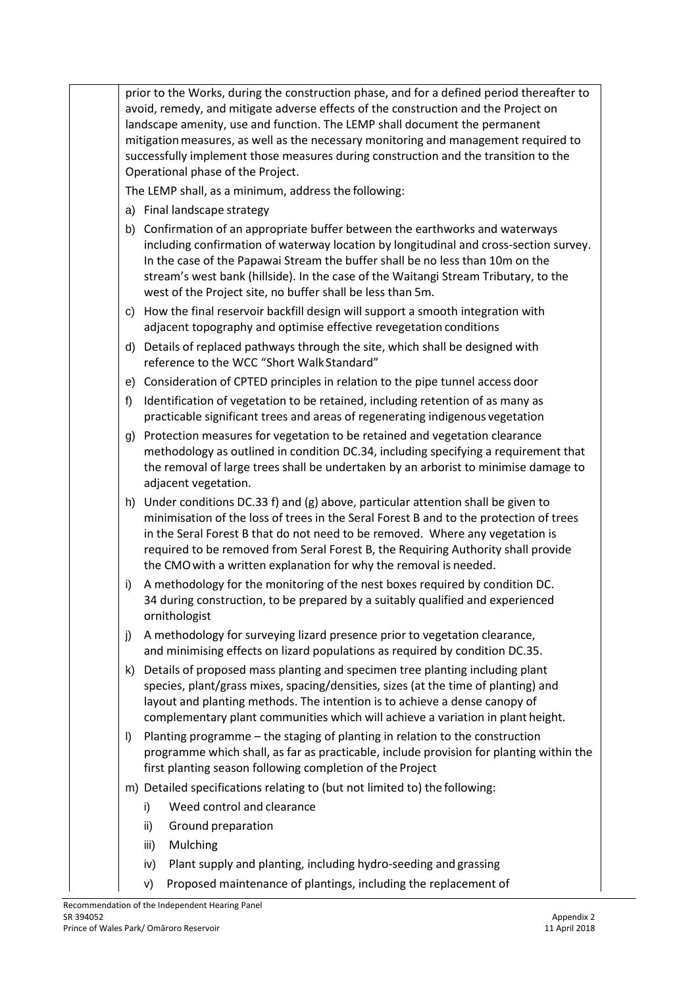prior to the Works, during the construction phase, and for a defined period thereafter to avoid, remedy, and mitigate adverse effects of the construction and the Project on landscape amenity, use and function. The LEMP shall document the permanent mitigation measures, as well as the necessary monitoring and management required to successfully implement those measures during construction and the transition to the Operational phase of the Project.

The LEMP shall, as a minimum, address the following:

- a) Final landscape strategy
- b) Confirmation of an appropriate buffer between the earthworks and waterways including confirmation of waterway location by longitudinal and cross-section survey. In the case of the Papawai Stream the buffer shall be no less than 10m on the stream's west bank (hillside). In the case of the Waitangi Stream Tributary, to the west of the Project site, no buffer shall be less than 5m.
- c) How the final reservoir backfill design will support a smooth integration with adjacent topography and optimise effective revegetation conditions
- d) Details of replaced pathways through the site, which shall be designed with reference to the WCC "Short Walk Standard"
- e) Consideration of CPTED principles in relation to the pipe tunnel access door
- f) Identification of vegetation to be retained, including retention of as many as practicable significant trees and areas of regenerating indigenous vegetation
- g) Protection measures for vegetation to be retained and vegetation clearance methodology as outlined in condition DC.34, including specifying a requirement that the removal of large trees shall be undertaken by an arborist to minimise damage to adjacent vegetation.
- h) Under conditions DC.33 f) and (g) above, particular attention shall be given to minimisation of the loss of trees in the Seral Forest B and to the protection of trees in the Seral Forest B that do not need to be removed. Where any vegetation is required to be removed from Seral Forest B, the Requiring Authority shall provide the CMOwith a written explanation for why the removal is needed.
- i) A methodology for the monitoring of the nest boxes required by condition DC. 34 during construction, to be prepared by a suitably qualified and experienced ornithologist
- j) A methodology for surveying lizard presence prior to vegetation clearance, and minimising effects on lizard populations as required by condition DC.35.
- k) Details of proposed mass planting and specimen tree planting including plant species, plant/grass mixes, spacing/densities, sizes (at the time of planting) and layout and planting methods. The intention is to achieve a dense canopy of complementary plant communities which will achieve a variation in plant height.
- l) Planting programme the staging of planting in relation to the construction programme which shall, as far as practicable, include provision for planting within the first planting season following completion of the Project
- m) Detailed specifications relating to (but not limited to) the following:
	- i) Weed control and clearance
	- ii) Ground preparation
	- iii) Mulching
	- iv) Plant supply and planting, including hydro-seeding and grassing
	- v) Proposed maintenance of plantings, including the replacement of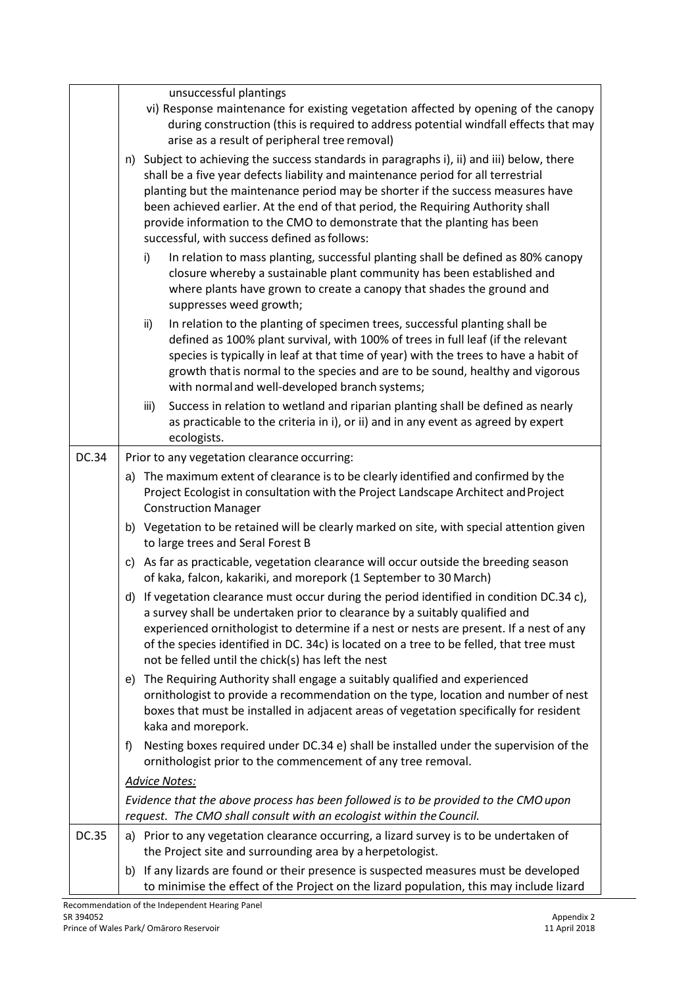|              | unsuccessful plantings<br>vi) Response maintenance for existing vegetation affected by opening of the canopy<br>during construction (this is required to address potential windfall effects that may<br>arise as a result of peripheral tree removal)                                                                                                                                                                                                                            |  |  |  |  |  |
|--------------|----------------------------------------------------------------------------------------------------------------------------------------------------------------------------------------------------------------------------------------------------------------------------------------------------------------------------------------------------------------------------------------------------------------------------------------------------------------------------------|--|--|--|--|--|
|              | n) Subject to achieving the success standards in paragraphs i), ii) and iii) below, there<br>shall be a five year defects liability and maintenance period for all terrestrial<br>planting but the maintenance period may be shorter if the success measures have<br>been achieved earlier. At the end of that period, the Requiring Authority shall<br>provide information to the CMO to demonstrate that the planting has been<br>successful, with success defined as follows: |  |  |  |  |  |
|              | In relation to mass planting, successful planting shall be defined as 80% canopy<br>i)<br>closure whereby a sustainable plant community has been established and<br>where plants have grown to create a canopy that shades the ground and<br>suppresses weed growth;                                                                                                                                                                                                             |  |  |  |  |  |
|              | In relation to the planting of specimen trees, successful planting shall be<br>ii)<br>defined as 100% plant survival, with 100% of trees in full leaf (if the relevant<br>species is typically in leaf at that time of year) with the trees to have a habit of<br>growth that is normal to the species and are to be sound, healthy and vigorous<br>with normal and well-developed branch systems;                                                                               |  |  |  |  |  |
|              | Success in relation to wetland and riparian planting shall be defined as nearly<br>iii)<br>as practicable to the criteria in i), or ii) and in any event as agreed by expert<br>ecologists.                                                                                                                                                                                                                                                                                      |  |  |  |  |  |
| DC.34        | Prior to any vegetation clearance occurring:                                                                                                                                                                                                                                                                                                                                                                                                                                     |  |  |  |  |  |
|              | a) The maximum extent of clearance is to be clearly identified and confirmed by the<br>Project Ecologist in consultation with the Project Landscape Architect and Project<br><b>Construction Manager</b>                                                                                                                                                                                                                                                                         |  |  |  |  |  |
|              | b) Vegetation to be retained will be clearly marked on site, with special attention given<br>to large trees and Seral Forest B                                                                                                                                                                                                                                                                                                                                                   |  |  |  |  |  |
|              | c) As far as practicable, vegetation clearance will occur outside the breeding season<br>of kaka, falcon, kakariki, and morepork (1 September to 30 March)                                                                                                                                                                                                                                                                                                                       |  |  |  |  |  |
|              | d) If vegetation clearance must occur during the period identified in condition DC.34 c),<br>a survey shall be undertaken prior to clearance by a suitably qualified and<br>experienced ornithologist to determine if a nest or nests are present. If a nest of any<br>of the species identified in DC. 34c) is located on a tree to be felled, that tree must<br>not be felled until the chick(s) has left the nest                                                             |  |  |  |  |  |
|              | The Requiring Authority shall engage a suitably qualified and experienced<br>e)<br>ornithologist to provide a recommendation on the type, location and number of nest<br>boxes that must be installed in adjacent areas of vegetation specifically for resident<br>kaka and morepork.                                                                                                                                                                                            |  |  |  |  |  |
|              | Nesting boxes required under DC.34 e) shall be installed under the supervision of the<br>f)<br>ornithologist prior to the commencement of any tree removal.                                                                                                                                                                                                                                                                                                                      |  |  |  |  |  |
|              | <b>Advice Notes:</b>                                                                                                                                                                                                                                                                                                                                                                                                                                                             |  |  |  |  |  |
|              | Evidence that the above process has been followed is to be provided to the CMO upon<br>request. The CMO shall consult with an ecologist within the Council.                                                                                                                                                                                                                                                                                                                      |  |  |  |  |  |
| <b>DC.35</b> | a) Prior to any vegetation clearance occurring, a lizard survey is to be undertaken of<br>the Project site and surrounding area by a herpetologist.                                                                                                                                                                                                                                                                                                                              |  |  |  |  |  |
|              | If any lizards are found or their presence is suspected measures must be developed<br>b)<br>to minimise the effect of the Project on the lizard population, this may include lizard                                                                                                                                                                                                                                                                                              |  |  |  |  |  |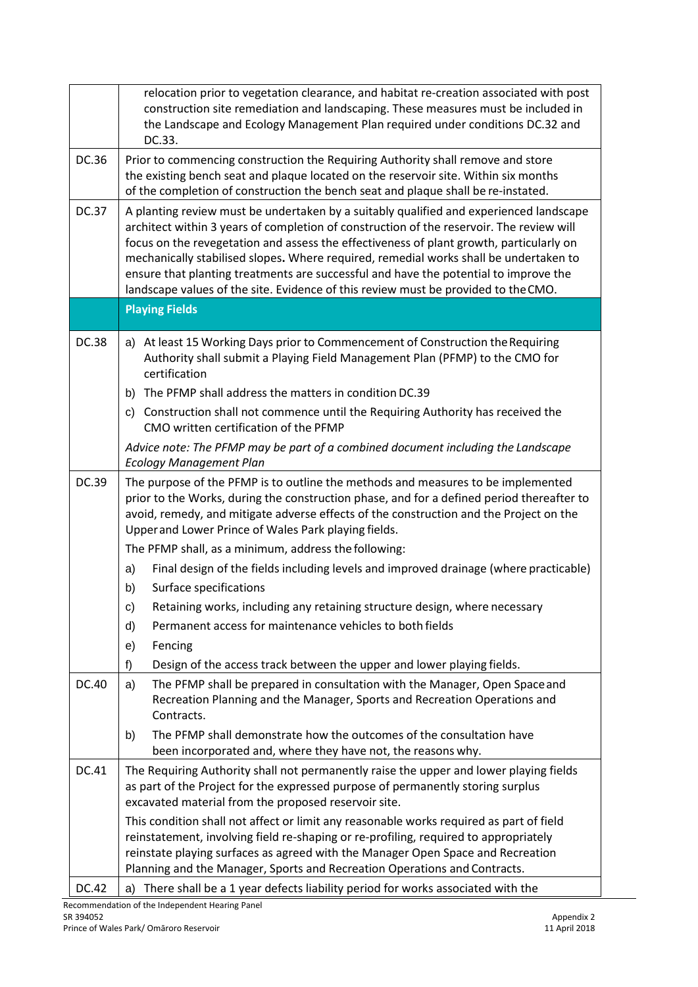|              | relocation prior to vegetation clearance, and habitat re-creation associated with post<br>construction site remediation and landscaping. These measures must be included in<br>the Landscape and Ecology Management Plan required under conditions DC.32 and<br>DC.33.                                                                                                                                                                                                                                                                               |  |  |  |  |  |
|--------------|------------------------------------------------------------------------------------------------------------------------------------------------------------------------------------------------------------------------------------------------------------------------------------------------------------------------------------------------------------------------------------------------------------------------------------------------------------------------------------------------------------------------------------------------------|--|--|--|--|--|
| DC.36        | Prior to commencing construction the Requiring Authority shall remove and store<br>the existing bench seat and plaque located on the reservoir site. Within six months<br>of the completion of construction the bench seat and plaque shall be re-instated.                                                                                                                                                                                                                                                                                          |  |  |  |  |  |
| <b>DC.37</b> | A planting review must be undertaken by a suitably qualified and experienced landscape<br>architect within 3 years of completion of construction of the reservoir. The review will<br>focus on the revegetation and assess the effectiveness of plant growth, particularly on<br>mechanically stabilised slopes. Where required, remedial works shall be undertaken to<br>ensure that planting treatments are successful and have the potential to improve the<br>landscape values of the site. Evidence of this review must be provided to the CMO. |  |  |  |  |  |
|              | <b>Playing Fields</b>                                                                                                                                                                                                                                                                                                                                                                                                                                                                                                                                |  |  |  |  |  |
| <b>DC.38</b> | a) At least 15 Working Days prior to Commencement of Construction the Requiring<br>Authority shall submit a Playing Field Management Plan (PFMP) to the CMO for<br>certification                                                                                                                                                                                                                                                                                                                                                                     |  |  |  |  |  |
|              | The PFMP shall address the matters in condition DC.39<br>b)                                                                                                                                                                                                                                                                                                                                                                                                                                                                                          |  |  |  |  |  |
|              | c) Construction shall not commence until the Requiring Authority has received the<br>CMO written certification of the PFMP                                                                                                                                                                                                                                                                                                                                                                                                                           |  |  |  |  |  |
|              | Advice note: The PFMP may be part of a combined document including the Landscape<br><b>Ecology Management Plan</b>                                                                                                                                                                                                                                                                                                                                                                                                                                   |  |  |  |  |  |
| DC.39        | The purpose of the PFMP is to outline the methods and measures to be implemented<br>prior to the Works, during the construction phase, and for a defined period thereafter to<br>avoid, remedy, and mitigate adverse effects of the construction and the Project on the<br>Upper and Lower Prince of Wales Park playing fields.                                                                                                                                                                                                                      |  |  |  |  |  |
|              | The PFMP shall, as a minimum, address the following:                                                                                                                                                                                                                                                                                                                                                                                                                                                                                                 |  |  |  |  |  |
|              | Final design of the fields including levels and improved drainage (where practicable)<br>a)                                                                                                                                                                                                                                                                                                                                                                                                                                                          |  |  |  |  |  |
|              | Surface specifications<br>b)                                                                                                                                                                                                                                                                                                                                                                                                                                                                                                                         |  |  |  |  |  |
|              | Retaining works, including any retaining structure design, where necessary<br>c)                                                                                                                                                                                                                                                                                                                                                                                                                                                                     |  |  |  |  |  |
|              | Permanent access for maintenance vehicles to both fields<br>d)                                                                                                                                                                                                                                                                                                                                                                                                                                                                                       |  |  |  |  |  |
|              | Fencing<br>e)                                                                                                                                                                                                                                                                                                                                                                                                                                                                                                                                        |  |  |  |  |  |
|              | Design of the access track between the upper and lower playing fields.<br>f)                                                                                                                                                                                                                                                                                                                                                                                                                                                                         |  |  |  |  |  |
| DC.40        | The PFMP shall be prepared in consultation with the Manager, Open Space and<br>a)<br>Recreation Planning and the Manager, Sports and Recreation Operations and<br>Contracts.                                                                                                                                                                                                                                                                                                                                                                         |  |  |  |  |  |
|              | The PFMP shall demonstrate how the outcomes of the consultation have<br>b)<br>been incorporated and, where they have not, the reasons why.                                                                                                                                                                                                                                                                                                                                                                                                           |  |  |  |  |  |
| DC.41        | The Requiring Authority shall not permanently raise the upper and lower playing fields<br>as part of the Project for the expressed purpose of permanently storing surplus<br>excavated material from the proposed reservoir site.                                                                                                                                                                                                                                                                                                                    |  |  |  |  |  |
|              | This condition shall not affect or limit any reasonable works required as part of field<br>reinstatement, involving field re-shaping or re-profiling, required to appropriately<br>reinstate playing surfaces as agreed with the Manager Open Space and Recreation<br>Planning and the Manager, Sports and Recreation Operations and Contracts.                                                                                                                                                                                                      |  |  |  |  |  |
| DC.42        | There shall be a 1 year defects liability period for works associated with the<br>a)                                                                                                                                                                                                                                                                                                                                                                                                                                                                 |  |  |  |  |  |